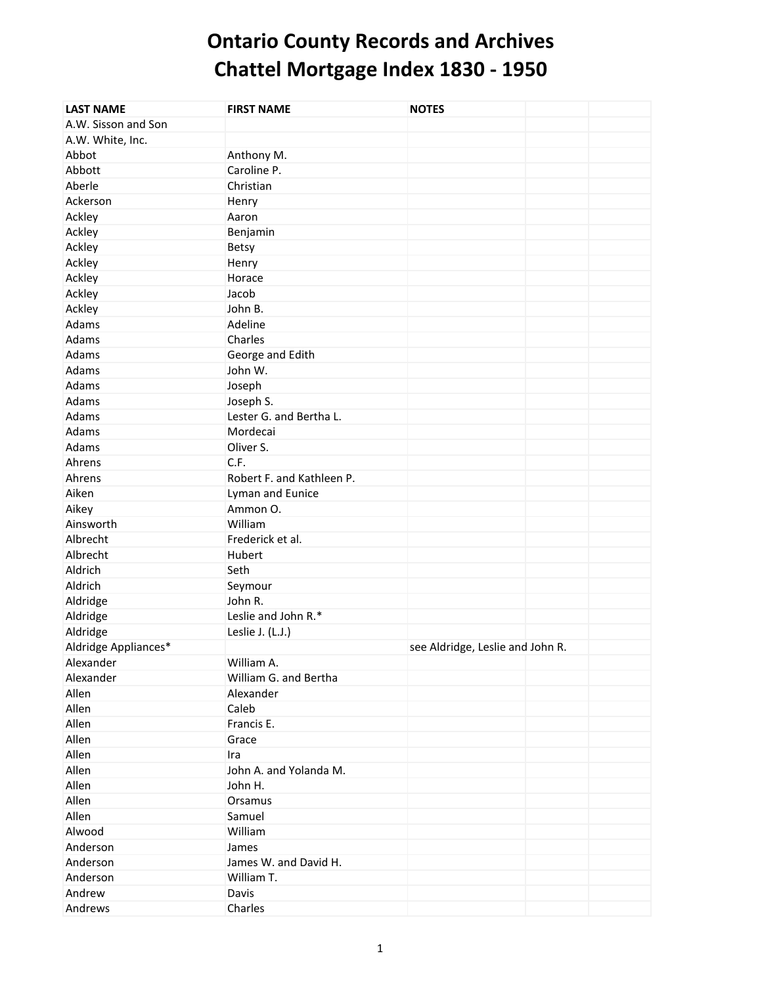| <b>LAST NAME</b>     | <b>FIRST NAME</b>         | <b>NOTES</b>                     |
|----------------------|---------------------------|----------------------------------|
| A.W. Sisson and Son  |                           |                                  |
| A.W. White, Inc.     |                           |                                  |
| Abbot                | Anthony M.                |                                  |
| Abbott               | Caroline P.               |                                  |
| Aberle               | Christian                 |                                  |
| Ackerson             | Henry                     |                                  |
| Ackley               | Aaron                     |                                  |
| Ackley               | Benjamin                  |                                  |
| Ackley               | Betsy                     |                                  |
| Ackley               | Henry                     |                                  |
| Ackley               | Horace                    |                                  |
| Ackley               | Jacob                     |                                  |
| Ackley               | John B.                   |                                  |
| Adams                | Adeline                   |                                  |
| Adams                | Charles                   |                                  |
| Adams                | George and Edith          |                                  |
| Adams                | John W.                   |                                  |
| Adams                | Joseph                    |                                  |
| Adams                | Joseph S.                 |                                  |
| Adams                | Lester G. and Bertha L.   |                                  |
| Adams                | Mordecai                  |                                  |
| Adams                | Oliver S.                 |                                  |
| Ahrens               | C.F.                      |                                  |
| Ahrens               | Robert F. and Kathleen P. |                                  |
| Aiken                | Lyman and Eunice          |                                  |
| Aikey                | Ammon O.                  |                                  |
| Ainsworth            | William                   |                                  |
| Albrecht             | Frederick et al.          |                                  |
| Albrecht             | Hubert                    |                                  |
| Aldrich              | Seth                      |                                  |
| Aldrich              | Seymour                   |                                  |
| Aldridge             | John R.                   |                                  |
| Aldridge             | Leslie and John R.*       |                                  |
| Aldridge             | Leslie J. (L.J.)          |                                  |
| Aldridge Appliances* |                           | see Aldridge, Leslie and John R. |
| Alexander            | William A.                |                                  |
| Alexander            | William G. and Bertha     |                                  |
| Allen                | Alexander                 |                                  |
| Allen                | Caleb                     |                                  |
| Allen                | Francis E.                |                                  |
| Allen                | Grace                     |                                  |
| Allen                | Ira                       |                                  |
| Allen                | John A. and Yolanda M.    |                                  |
| Allen                | John H.                   |                                  |
| Allen                | Orsamus                   |                                  |
| Allen                | Samuel                    |                                  |
| Alwood               | William                   |                                  |
| Anderson             | James                     |                                  |
| Anderson             | James W. and David H.     |                                  |
| Anderson             | William T.                |                                  |
| Andrew               | Davis                     |                                  |
| Andrews              | Charles                   |                                  |
|                      |                           |                                  |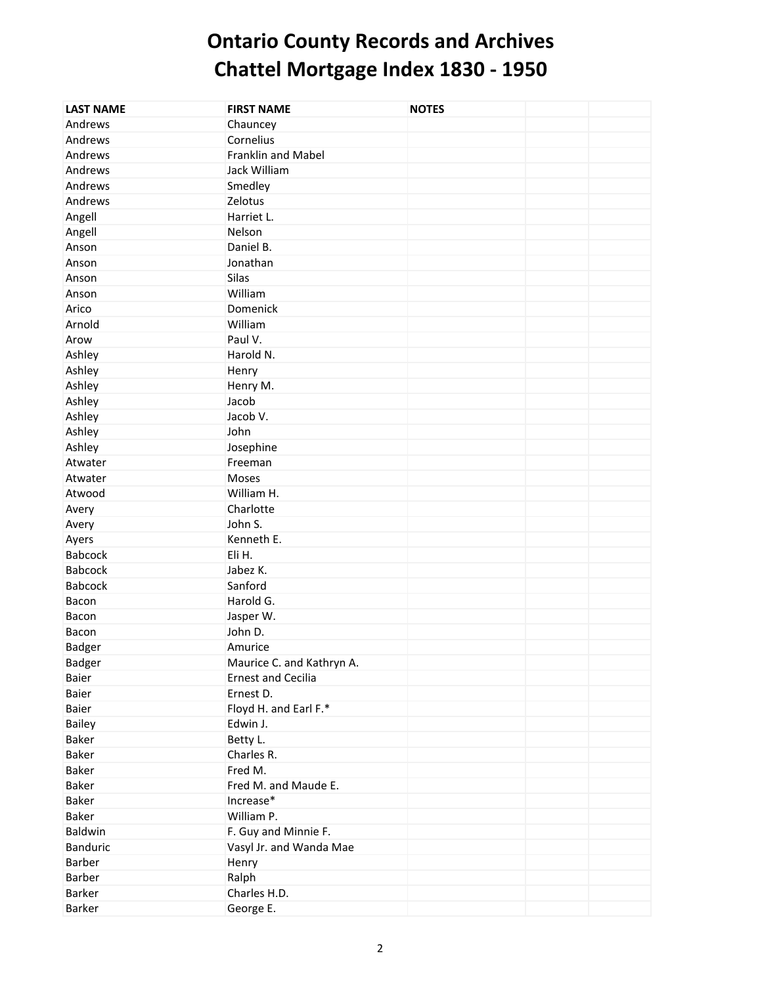| <b>LAST NAME</b> | <b>FIRST NAME</b>         | <b>NOTES</b> |  |
|------------------|---------------------------|--------------|--|
| Andrews          | Chauncey                  |              |  |
| Andrews          | Cornelius                 |              |  |
| Andrews          | Franklin and Mabel        |              |  |
| Andrews          | Jack William              |              |  |
| Andrews          | Smedley                   |              |  |
| Andrews          | Zelotus                   |              |  |
| Angell           | Harriet L.                |              |  |
| Angell           | Nelson                    |              |  |
| Anson            | Daniel B.                 |              |  |
| Anson            | Jonathan                  |              |  |
| Anson            | Silas                     |              |  |
| Anson            | William                   |              |  |
| Arico            | Domenick                  |              |  |
| Arnold           | William                   |              |  |
| Arow             | Paul V.                   |              |  |
| Ashley           | Harold N.                 |              |  |
| Ashley           | Henry                     |              |  |
| Ashley           | Henry M.                  |              |  |
| Ashley           | Jacob                     |              |  |
| Ashley           | Jacob V.                  |              |  |
| Ashley           | John                      |              |  |
| Ashley           | Josephine                 |              |  |
| Atwater          | Freeman                   |              |  |
| Atwater          | Moses                     |              |  |
| Atwood           | William H.                |              |  |
| Avery            | Charlotte                 |              |  |
| Avery            | John S.                   |              |  |
| Ayers            | Kenneth E.                |              |  |
| <b>Babcock</b>   | Eli H.                    |              |  |
| Babcock          | Jabez K.                  |              |  |
| <b>Babcock</b>   | Sanford                   |              |  |
| Bacon            | Harold G.                 |              |  |
| Bacon            | Jasper W.                 |              |  |
| Bacon            | John D.                   |              |  |
| Badger           | Amurice                   |              |  |
| Badger           | Maurice C. and Kathryn A. |              |  |
| Baier            | <b>Ernest and Cecilia</b> |              |  |
| Baier            | Ernest D.                 |              |  |
| Baier            | Floyd H. and Earl F.*     |              |  |
| Bailey           | Edwin J.                  |              |  |
| <b>Baker</b>     | Betty L.                  |              |  |
| <b>Baker</b>     | Charles R.                |              |  |
| Baker            | Fred M.                   |              |  |
| Baker            | Fred M. and Maude E.      |              |  |
| <b>Baker</b>     | Increase*                 |              |  |
| Baker            | William P.                |              |  |
| Baldwin          | F. Guy and Minnie F.      |              |  |
| Banduric         | Vasyl Jr. and Wanda Mae   |              |  |
| Barber           | Henry                     |              |  |
| Barber           | Ralph                     |              |  |
| Barker           | Charles H.D.              |              |  |
| Barker           | George E.                 |              |  |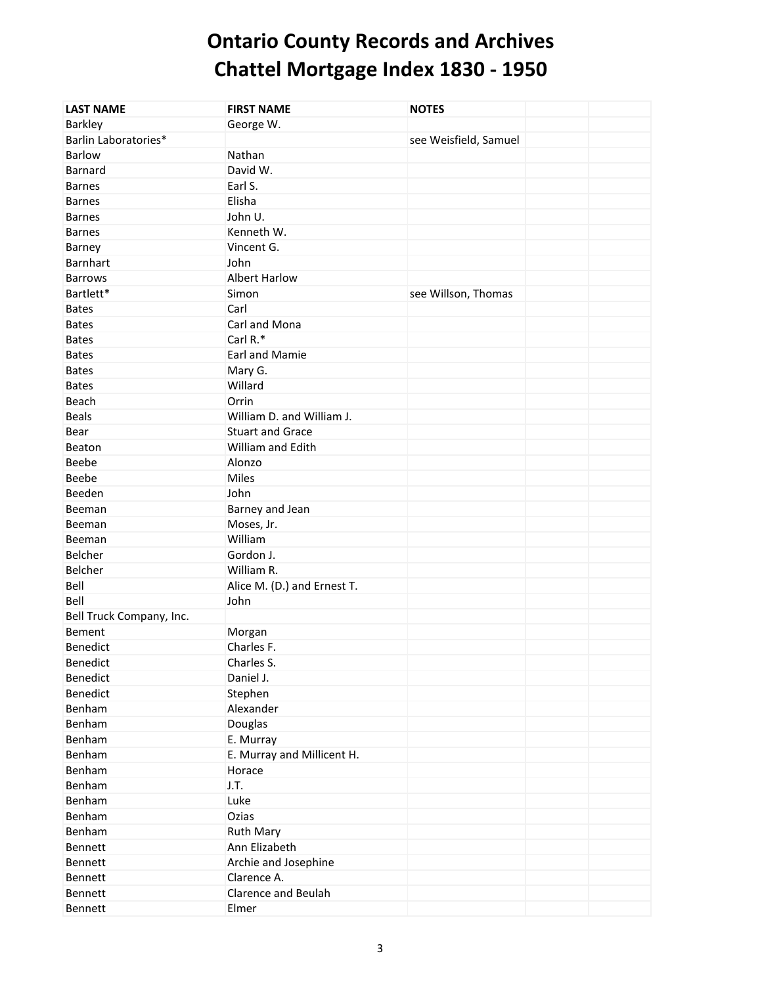| <b>LAST NAME</b>         | <b>FIRST NAME</b>           | <b>NOTES</b>          |  |
|--------------------------|-----------------------------|-----------------------|--|
| Barkley                  | George W.                   |                       |  |
| Barlin Laboratories*     |                             | see Weisfield, Samuel |  |
| Barlow                   | Nathan                      |                       |  |
| Barnard                  | David W.                    |                       |  |
| <b>Barnes</b>            | Earl S.                     |                       |  |
| <b>Barnes</b>            | Elisha                      |                       |  |
| <b>Barnes</b>            | John U.                     |                       |  |
| <b>Barnes</b>            | Kenneth W.                  |                       |  |
| Barney                   | Vincent G.                  |                       |  |
| Barnhart                 | John                        |                       |  |
| <b>Barrows</b>           | <b>Albert Harlow</b>        |                       |  |
| Bartlett*                | Simon                       | see Willson, Thomas   |  |
| <b>Bates</b>             | Carl                        |                       |  |
| <b>Bates</b>             | Carl and Mona               |                       |  |
| <b>Bates</b>             | Carl R.*                    |                       |  |
| <b>Bates</b>             | Earl and Mamie              |                       |  |
| <b>Bates</b>             | Mary G.                     |                       |  |
| <b>Bates</b>             | Willard                     |                       |  |
| Beach                    | Orrin                       |                       |  |
| <b>Beals</b>             | William D. and William J.   |                       |  |
| Bear                     | <b>Stuart and Grace</b>     |                       |  |
| Beaton                   | William and Edith           |                       |  |
| Beebe                    | Alonzo                      |                       |  |
| Beebe                    | Miles                       |                       |  |
| Beeden                   | John                        |                       |  |
| Beeman                   | Barney and Jean             |                       |  |
| Beeman                   | Moses, Jr.                  |                       |  |
| Beeman                   | William                     |                       |  |
| Belcher                  | Gordon J.                   |                       |  |
| Belcher                  | William R.                  |                       |  |
| Bell                     | Alice M. (D.) and Ernest T. |                       |  |
| Bell                     | John                        |                       |  |
| Bell Truck Company, Inc. |                             |                       |  |
| Bement                   | Morgan                      |                       |  |
| <b>Benedict</b>          | Charles F.                  |                       |  |
| <b>Benedict</b>          | Charles S.                  |                       |  |
| Benedict                 | Daniel J.                   |                       |  |
| Benedict                 | Stephen                     |                       |  |
| Benham                   | Alexander                   |                       |  |
| Benham                   | Douglas                     |                       |  |
| Benham                   | E. Murray                   |                       |  |
| Benham                   | E. Murray and Millicent H.  |                       |  |
| Benham                   | Horace                      |                       |  |
| Benham                   | J.T.                        |                       |  |
| Benham                   | Luke                        |                       |  |
| Benham                   | Ozias                       |                       |  |
| Benham                   | Ruth Mary                   |                       |  |
| Bennett                  | Ann Elizabeth               |                       |  |
| Bennett                  | Archie and Josephine        |                       |  |
| Bennett                  | Clarence A.                 |                       |  |
| Bennett                  | <b>Clarence and Beulah</b>  |                       |  |
| Bennett                  | Elmer                       |                       |  |
|                          |                             |                       |  |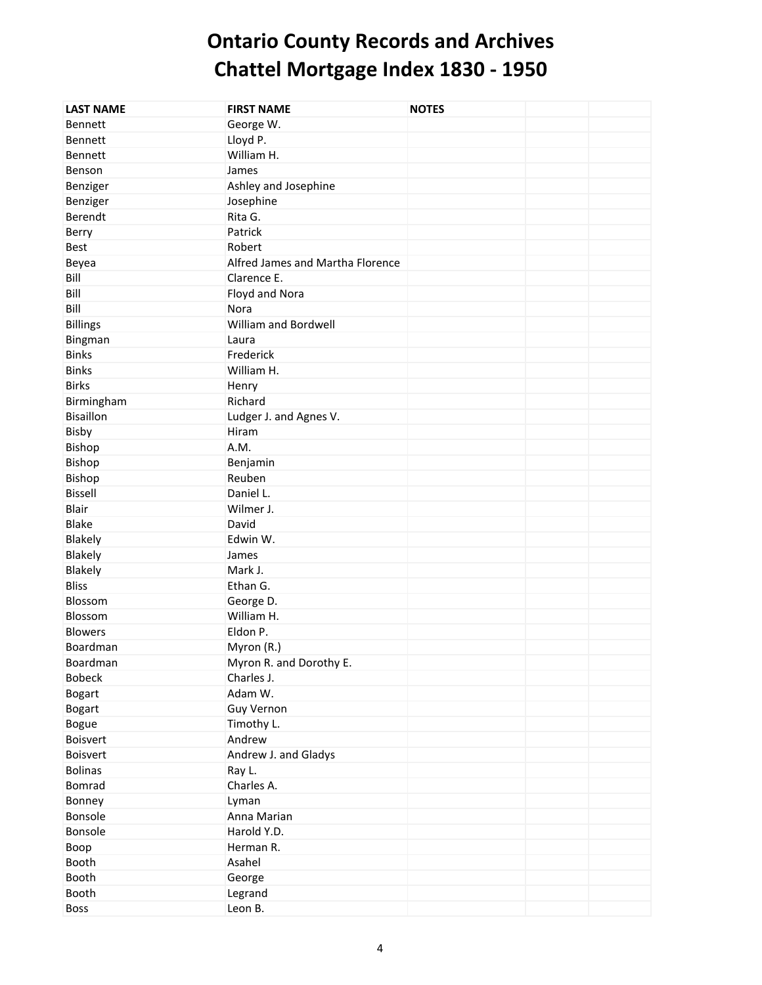| <b>LAST NAME</b>  | <b>FIRST NAME</b>                | <b>NOTES</b> |  |
|-------------------|----------------------------------|--------------|--|
| Bennett           | George W.                        |              |  |
| Bennett           | Lloyd P.                         |              |  |
| Bennett           | William H.                       |              |  |
| Benson            | James                            |              |  |
| Benziger          | Ashley and Josephine             |              |  |
| Benziger          | Josephine                        |              |  |
| Berendt           | Rita G.                          |              |  |
| Berry             | Patrick                          |              |  |
| Best              | Robert                           |              |  |
| Beyea             | Alfred James and Martha Florence |              |  |
| Bill              | Clarence E.                      |              |  |
| Bill              | Floyd and Nora                   |              |  |
| Bill              | Nora                             |              |  |
| <b>Billings</b>   | William and Bordwell             |              |  |
| Bingman           | Laura                            |              |  |
| <b>Binks</b>      | Frederick                        |              |  |
| <b>Binks</b>      | William H.                       |              |  |
| <b>Birks</b>      | Henry                            |              |  |
| Birmingham        | Richard                          |              |  |
| Bisaillon         | Ludger J. and Agnes V.           |              |  |
| Bisby             | Hiram                            |              |  |
| Bishop            | A.M.                             |              |  |
| Bishop            | Benjamin                         |              |  |
| Bishop            | Reuben                           |              |  |
| <b>Bissell</b>    | Daniel L.                        |              |  |
| <b>Blair</b>      | Wilmer J.                        |              |  |
| <b>Blake</b>      | David                            |              |  |
| Blakely           | Edwin W.                         |              |  |
| Blakely           | James                            |              |  |
| Blakely           | Mark J.                          |              |  |
| <b>Bliss</b>      | Ethan G.                         |              |  |
| Blossom           | George D.                        |              |  |
| Blossom           | William H.                       |              |  |
| <b>Blowers</b>    | Eldon P.                         |              |  |
| Boardman          | Myron (R.)                       |              |  |
| Boardman          | Myron R. and Dorothy E.          |              |  |
| <b>Bobeck</b>     | Charles J.                       |              |  |
| <b>Bogart</b>     | Adam W.                          |              |  |
| <b>Bogart</b>     | Guy Vernon                       |              |  |
| Bogue             | Timothy L.                       |              |  |
| Boisvert          | Andrew                           |              |  |
| <b>Boisvert</b>   | Andrew J. and Gladys             |              |  |
| <b>Bolinas</b>    | Ray L.                           |              |  |
| <b>Bomrad</b>     | Charles A.                       |              |  |
|                   |                                  |              |  |
| Bonney<br>Bonsole | Lyman<br>Anna Marian             |              |  |
|                   |                                  |              |  |
| Bonsole           | Harold Y.D.                      |              |  |
| Boop              | Herman R.                        |              |  |
| Booth             | Asahel                           |              |  |
| Booth             | George                           |              |  |
| Booth             | Legrand                          |              |  |
| Boss              | Leon B.                          |              |  |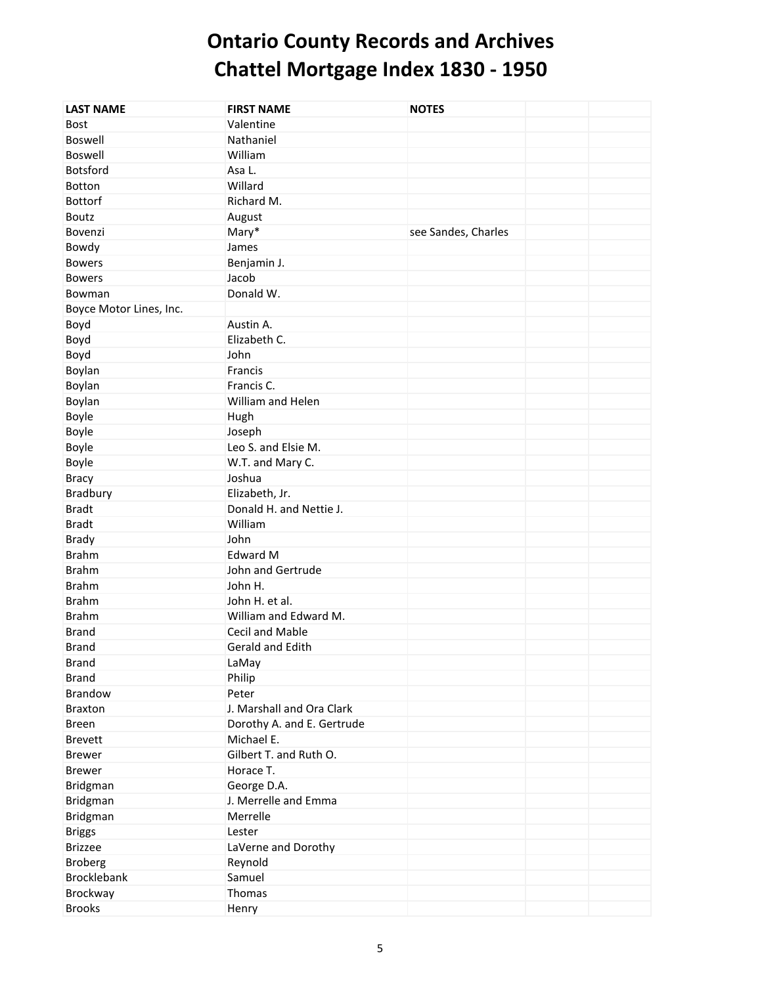| <b>LAST NAME</b>        | <b>FIRST NAME</b>          | <b>NOTES</b>        |  |
|-------------------------|----------------------------|---------------------|--|
| <b>Bost</b>             | Valentine                  |                     |  |
| <b>Boswell</b>          | Nathaniel                  |                     |  |
| <b>Boswell</b>          | William                    |                     |  |
| Botsford                | Asa L.                     |                     |  |
| <b>Botton</b>           | Willard                    |                     |  |
| <b>Bottorf</b>          | Richard M.                 |                     |  |
| <b>Boutz</b>            | August                     |                     |  |
| Bovenzi                 | Mary*                      | see Sandes, Charles |  |
| Bowdy                   | James                      |                     |  |
| <b>Bowers</b>           | Benjamin J.                |                     |  |
| <b>Bowers</b>           | Jacob                      |                     |  |
| Bowman                  | Donald W.                  |                     |  |
| Boyce Motor Lines, Inc. |                            |                     |  |
| Boyd                    | Austin A.                  |                     |  |
| Boyd                    | Elizabeth C.               |                     |  |
| Boyd                    | John                       |                     |  |
| Boylan                  | Francis                    |                     |  |
| Boylan                  | Francis C.                 |                     |  |
| Boylan                  | William and Helen          |                     |  |
| Boyle                   | Hugh                       |                     |  |
| Boyle                   | Joseph                     |                     |  |
| Boyle                   | Leo S. and Elsie M.        |                     |  |
| Boyle                   | W.T. and Mary C.           |                     |  |
| <b>Bracy</b>            | Joshua                     |                     |  |
| Bradbury                | Elizabeth, Jr.             |                     |  |
| <b>Bradt</b>            | Donald H. and Nettie J.    |                     |  |
| <b>Bradt</b>            | William                    |                     |  |
| <b>Brady</b>            | John                       |                     |  |
| <b>Brahm</b>            | <b>Edward M</b>            |                     |  |
| <b>Brahm</b>            | John and Gertrude          |                     |  |
| <b>Brahm</b>            | John H.                    |                     |  |
| <b>Brahm</b>            | John H. et al.             |                     |  |
| <b>Brahm</b>            | William and Edward M.      |                     |  |
| <b>Brand</b>            | Cecil and Mable            |                     |  |
| <b>Brand</b>            | Gerald and Edith           |                     |  |
| <b>Brand</b>            | LaMay                      |                     |  |
| <b>Brand</b>            | Philip                     |                     |  |
| <b>Brandow</b>          | Peter                      |                     |  |
| <b>Braxton</b>          | J. Marshall and Ora Clark  |                     |  |
| <b>Breen</b>            | Dorothy A. and E. Gertrude |                     |  |
| <b>Brevett</b>          | Michael E.                 |                     |  |
| <b>Brewer</b>           | Gilbert T. and Ruth O.     |                     |  |
| <b>Brewer</b>           | Horace T.                  |                     |  |
| Bridgman                | George D.A.                |                     |  |
| Bridgman                | J. Merrelle and Emma       |                     |  |
| Bridgman                | Merrelle                   |                     |  |
|                         | Lester                     |                     |  |
| <b>Briggs</b>           |                            |                     |  |
| <b>Brizzee</b>          | LaVerne and Dorothy        |                     |  |
| <b>Broberg</b>          | Reynold                    |                     |  |
| Brocklebank             | Samuel                     |                     |  |
| Brockway                | Thomas                     |                     |  |
| <b>Brooks</b>           | Henry                      |                     |  |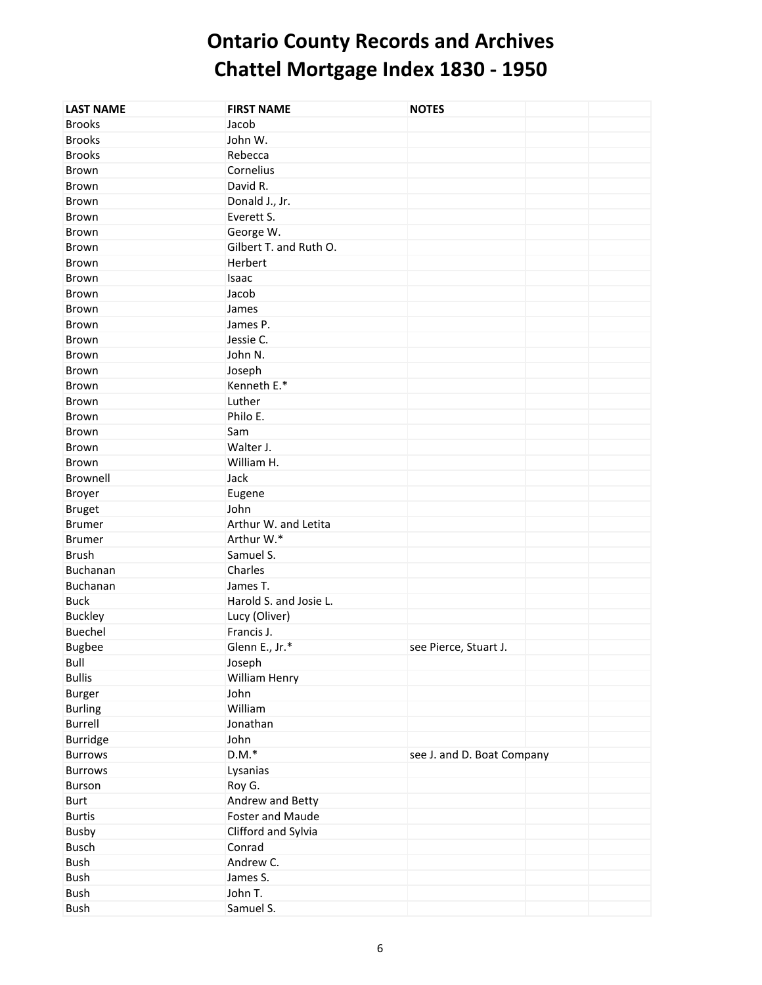| <b>LAST NAME</b> | <b>FIRST NAME</b>       | <b>NOTES</b>               |
|------------------|-------------------------|----------------------------|
| <b>Brooks</b>    | Jacob                   |                            |
| <b>Brooks</b>    | John W.                 |                            |
| <b>Brooks</b>    | Rebecca                 |                            |
| Brown            | Cornelius               |                            |
| Brown            | David R.                |                            |
| Brown            | Donald J., Jr.          |                            |
| Brown            | Everett S.              |                            |
| Brown            | George W.               |                            |
| <b>Brown</b>     | Gilbert T. and Ruth O.  |                            |
| Brown            | Herbert                 |                            |
| Brown            | <b>Isaac</b>            |                            |
| Brown            | Jacob                   |                            |
| Brown            | James                   |                            |
| Brown            | James P.                |                            |
| Brown            | Jessie C.               |                            |
| Brown            | John N.                 |                            |
| Brown            | Joseph                  |                            |
| Brown            | Kenneth E.*             |                            |
| Brown            | Luther                  |                            |
| Brown            | Philo E.                |                            |
| Brown            | Sam                     |                            |
| Brown            | Walter J.               |                            |
| Brown            | William H.              |                            |
| Brownell         | Jack                    |                            |
| Broyer           | Eugene                  |                            |
| <b>Bruget</b>    | John                    |                            |
| <b>Brumer</b>    | Arthur W. and Letita    |                            |
| <b>Brumer</b>    | Arthur W.*              |                            |
| <b>Brush</b>     | Samuel S.               |                            |
| Buchanan         | Charles                 |                            |
| Buchanan         | James T.                |                            |
| <b>Buck</b>      | Harold S. and Josie L.  |                            |
| <b>Buckley</b>   | Lucy (Oliver)           |                            |
| Buechel          | Francis J.              |                            |
| <b>Bugbee</b>    | Glenn E., Jr.*          | see Pierce, Stuart J.      |
| Bull             | Joseph                  |                            |
| <b>Bullis</b>    | William Henry           |                            |
| Burger           | John                    |                            |
| <b>Burling</b>   | William                 |                            |
| Burrell          | Jonathan                |                            |
| <b>Burridge</b>  | John                    |                            |
| <b>Burrows</b>   | $D.M.*$                 | see J. and D. Boat Company |
| <b>Burrows</b>   | Lysanias                |                            |
| Burson           | Roy G.                  |                            |
| <b>Burt</b>      | Andrew and Betty        |                            |
| <b>Burtis</b>    | <b>Foster and Maude</b> |                            |
| Busby            | Clifford and Sylvia     |                            |
| <b>Busch</b>     | Conrad                  |                            |
| Bush             | Andrew C.               |                            |
| <b>Bush</b>      | James S.                |                            |
| <b>Bush</b>      | John T.                 |                            |
| Bush             | Samuel S.               |                            |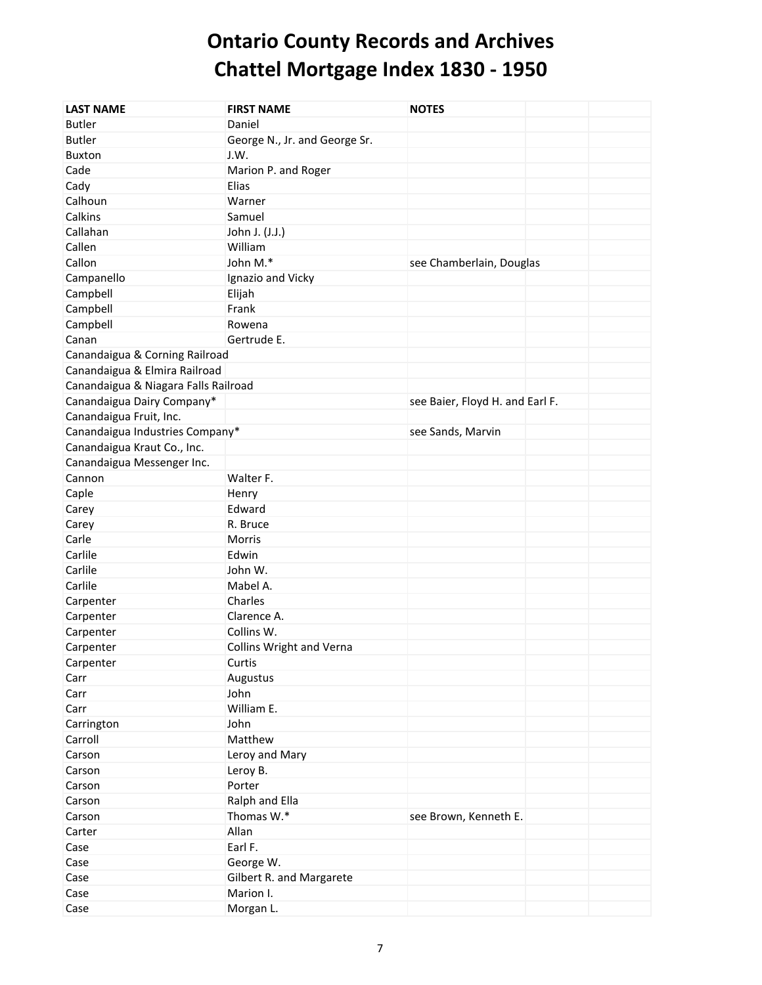| <b>LAST NAME</b>                     | <b>FIRST NAME</b>               | <b>NOTES</b>                    |
|--------------------------------------|---------------------------------|---------------------------------|
| <b>Butler</b>                        | Daniel                          |                                 |
| <b>Butler</b>                        | George N., Jr. and George Sr.   |                                 |
| <b>Buxton</b>                        | J.W.                            |                                 |
| Cade                                 | Marion P. and Roger             |                                 |
| Cady                                 | Elias                           |                                 |
| Calhoun                              | Warner                          |                                 |
| Calkins                              | Samuel                          |                                 |
| Callahan                             | John J. (J.J.)                  |                                 |
| Callen                               | William                         |                                 |
| Callon                               | John M.*                        | see Chamberlain, Douglas        |
| Campanello                           | Ignazio and Vicky               |                                 |
| Campbell                             | Elijah                          |                                 |
| Campbell                             | Frank                           |                                 |
| Campbell                             | Rowena                          |                                 |
| Canan                                | Gertrude E.                     |                                 |
| Canandaigua & Corning Railroad       |                                 |                                 |
| Canandaigua & Elmira Railroad        |                                 |                                 |
| Canandaigua & Niagara Falls Railroad |                                 |                                 |
| Canandaigua Dairy Company*           |                                 | see Baier, Floyd H. and Earl F. |
| Canandaigua Fruit, Inc.              |                                 |                                 |
| Canandaigua Industries Company*      |                                 | see Sands, Marvin               |
| Canandaigua Kraut Co., Inc.          |                                 |                                 |
| Canandaigua Messenger Inc.           |                                 |                                 |
| Cannon                               | Walter F.                       |                                 |
| Caple                                | Henry                           |                                 |
| Carey                                | Edward                          |                                 |
| Carey                                | R. Bruce                        |                                 |
| Carle                                | Morris                          |                                 |
| Carlile                              | Edwin                           |                                 |
| Carlile                              | John W.                         |                                 |
| Carlile                              | Mabel A.                        |                                 |
| Carpenter                            | Charles                         |                                 |
| Carpenter                            | Clarence A.                     |                                 |
| Carpenter                            | Collins W.                      |                                 |
| Carpenter                            | <b>Collins Wright and Verna</b> |                                 |
| Carpenter                            | Curtis                          |                                 |
| Carr                                 | Augustus                        |                                 |
| Carr                                 | John                            |                                 |
| Carr                                 | William E.                      |                                 |
| Carrington                           | John                            |                                 |
| Carroll                              | Matthew                         |                                 |
| Carson                               | Leroy and Mary                  |                                 |
| Carson                               | Leroy B.                        |                                 |
| Carson                               | Porter                          |                                 |
| Carson                               | Ralph and Ella                  |                                 |
| Carson                               | Thomas W.*                      | see Brown, Kenneth E.           |
| Carter                               | Allan                           |                                 |
| Case                                 | Earl F.                         |                                 |
| Case                                 | George W.                       |                                 |
| Case                                 | Gilbert R. and Margarete        |                                 |
| Case                                 | Marion I.                       |                                 |
| Case                                 | Morgan L.                       |                                 |
|                                      |                                 |                                 |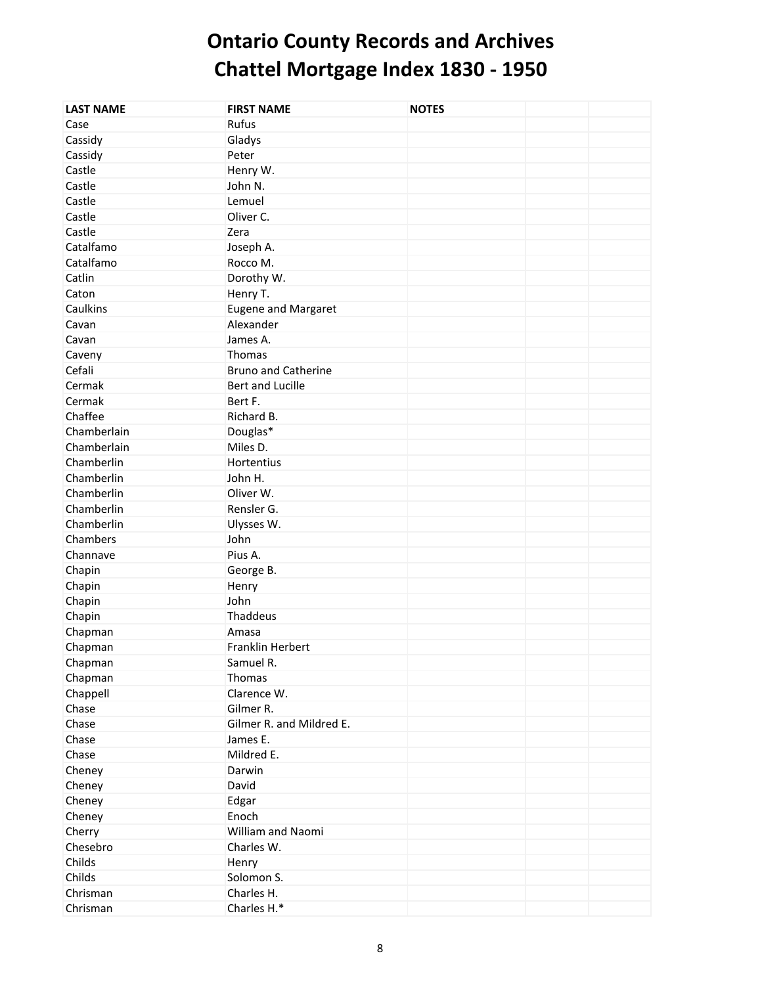| <b>LAST NAME</b> | <b>FIRST NAME</b>          | <b>NOTES</b> |  |
|------------------|----------------------------|--------------|--|
| Case             | Rufus                      |              |  |
| Cassidy          | Gladys                     |              |  |
| Cassidy          | Peter                      |              |  |
| Castle           | Henry W.                   |              |  |
| Castle           | John N.                    |              |  |
| Castle           | Lemuel                     |              |  |
| Castle           | Oliver C.                  |              |  |
| Castle           | Zera                       |              |  |
| Catalfamo        | Joseph A.                  |              |  |
| Catalfamo        | Rocco M.                   |              |  |
| Catlin           | Dorothy W.                 |              |  |
| Caton            | Henry T.                   |              |  |
| Caulkins         | <b>Eugene and Margaret</b> |              |  |
| Cavan            | Alexander                  |              |  |
| Cavan            | James A.                   |              |  |
| Caveny           | Thomas                     |              |  |
| Cefali           | <b>Bruno and Catherine</b> |              |  |
| Cermak           | Bert and Lucille           |              |  |
| Cermak           | Bert F.                    |              |  |
| Chaffee          | Richard B.                 |              |  |
| Chamberlain      | Douglas*                   |              |  |
| Chamberlain      | Miles D.                   |              |  |
| Chamberlin       | Hortentius                 |              |  |
| Chamberlin       | John H.                    |              |  |
| Chamberlin       | Oliver W.                  |              |  |
| Chamberlin       | Rensler G.                 |              |  |
| Chamberlin       | Ulysses W.                 |              |  |
| Chambers         | John                       |              |  |
| Channave         | Pius A.                    |              |  |
| Chapin           | George B.                  |              |  |
| Chapin           | Henry                      |              |  |
| Chapin           | John                       |              |  |
| Chapin           | <b>Thaddeus</b>            |              |  |
| Chapman          | Amasa                      |              |  |
| Chapman          | Franklin Herbert           |              |  |
| Chapman          | Samuel R.                  |              |  |
| Chapman          | Thomas                     |              |  |
| Chappell         | Clarence W.                |              |  |
| Chase            | Gilmer R.                  |              |  |
| Chase            | Gilmer R. and Mildred E.   |              |  |
| Chase            | James E.                   |              |  |
| Chase            | Mildred E.                 |              |  |
| Cheney           | Darwin                     |              |  |
| Cheney           | David                      |              |  |
| Cheney           | Edgar                      |              |  |
| Cheney           | Enoch                      |              |  |
| Cherry           | William and Naomi          |              |  |
| Chesebro         | Charles W.                 |              |  |
| Childs           | Henry                      |              |  |
| Childs           | Solomon S.                 |              |  |
| Chrisman         | Charles H.                 |              |  |
| Chrisman         | Charles H.*                |              |  |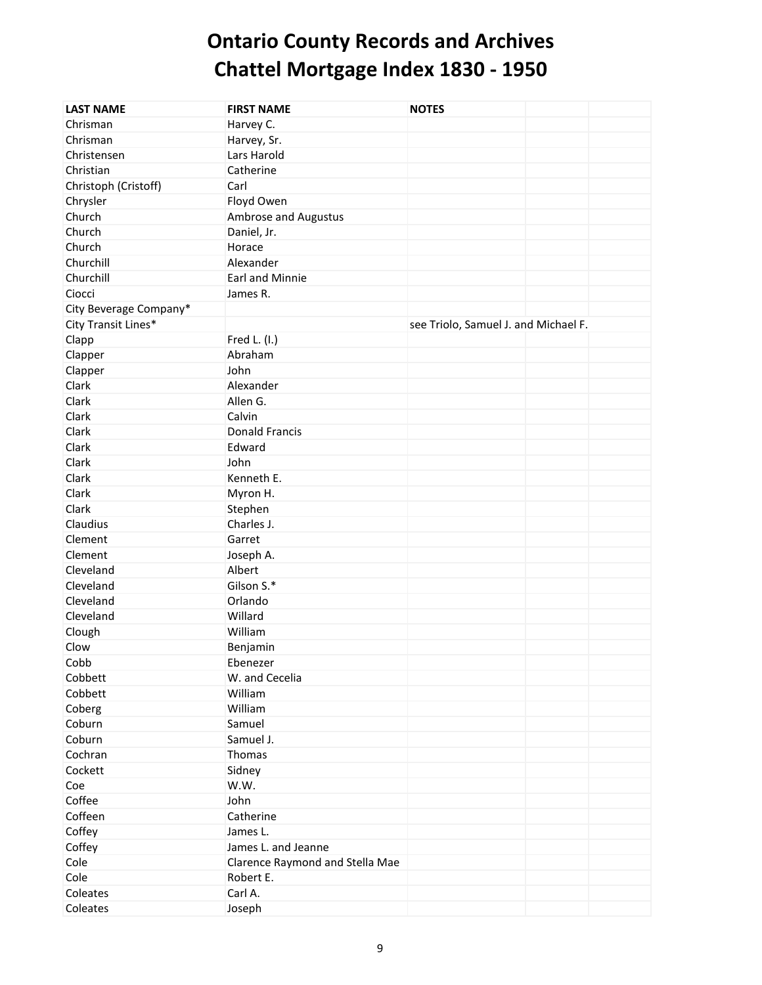| <b>LAST NAME</b>       | <b>FIRST NAME</b>               | <b>NOTES</b>                         |  |
|------------------------|---------------------------------|--------------------------------------|--|
| Chrisman               | Harvey C.                       |                                      |  |
| Chrisman               | Harvey, Sr.                     |                                      |  |
| Christensen            | Lars Harold                     |                                      |  |
| Christian              | Catherine                       |                                      |  |
| Christoph (Cristoff)   | Carl                            |                                      |  |
| Chrysler               | Floyd Owen                      |                                      |  |
| Church                 | Ambrose and Augustus            |                                      |  |
| Church                 | Daniel, Jr.                     |                                      |  |
| Church                 | Horace                          |                                      |  |
| Churchill              | Alexander                       |                                      |  |
| Churchill              | Earl and Minnie                 |                                      |  |
| Ciocci                 | James R.                        |                                      |  |
| City Beverage Company* |                                 |                                      |  |
| City Transit Lines*    |                                 | see Triolo, Samuel J. and Michael F. |  |
| Clapp                  | Fred L. (I.)                    |                                      |  |
| Clapper                | Abraham                         |                                      |  |
| Clapper                | John                            |                                      |  |
| Clark                  | Alexander                       |                                      |  |
| Clark                  | Allen G.                        |                                      |  |
| Clark                  | Calvin                          |                                      |  |
| Clark                  | <b>Donald Francis</b>           |                                      |  |
| Clark                  | Edward                          |                                      |  |
| Clark                  | John                            |                                      |  |
| Clark                  | Kenneth E.                      |                                      |  |
| Clark                  | Myron H.                        |                                      |  |
| Clark                  | Stephen                         |                                      |  |
| Claudius               | Charles J.                      |                                      |  |
| Clement                | Garret                          |                                      |  |
| Clement                | Joseph A.                       |                                      |  |
| Cleveland              | Albert                          |                                      |  |
| Cleveland              | Gilson S.*                      |                                      |  |
| Cleveland              | Orlando                         |                                      |  |
| Cleveland              | Willard                         |                                      |  |
| Clough                 | William                         |                                      |  |
| Clow                   | Benjamin                        |                                      |  |
| Cobb                   | Ebenezer                        |                                      |  |
| Cobbett                | W. and Cecelia                  |                                      |  |
| Cobbett                | William                         |                                      |  |
| Coberg                 | William                         |                                      |  |
| Coburn                 | Samuel                          |                                      |  |
| Coburn                 | Samuel J.                       |                                      |  |
| Cochran                | Thomas                          |                                      |  |
| Cockett                | Sidney                          |                                      |  |
| Coe                    | W.W.                            |                                      |  |
| Coffee                 | John                            |                                      |  |
| Coffeen                | Catherine                       |                                      |  |
| Coffey                 | James L.                        |                                      |  |
| Coffey                 | James L. and Jeanne             |                                      |  |
| Cole                   | Clarence Raymond and Stella Mae |                                      |  |
| Cole                   | Robert E.                       |                                      |  |
| Coleates               | Carl A.                         |                                      |  |
| Coleates               | Joseph                          |                                      |  |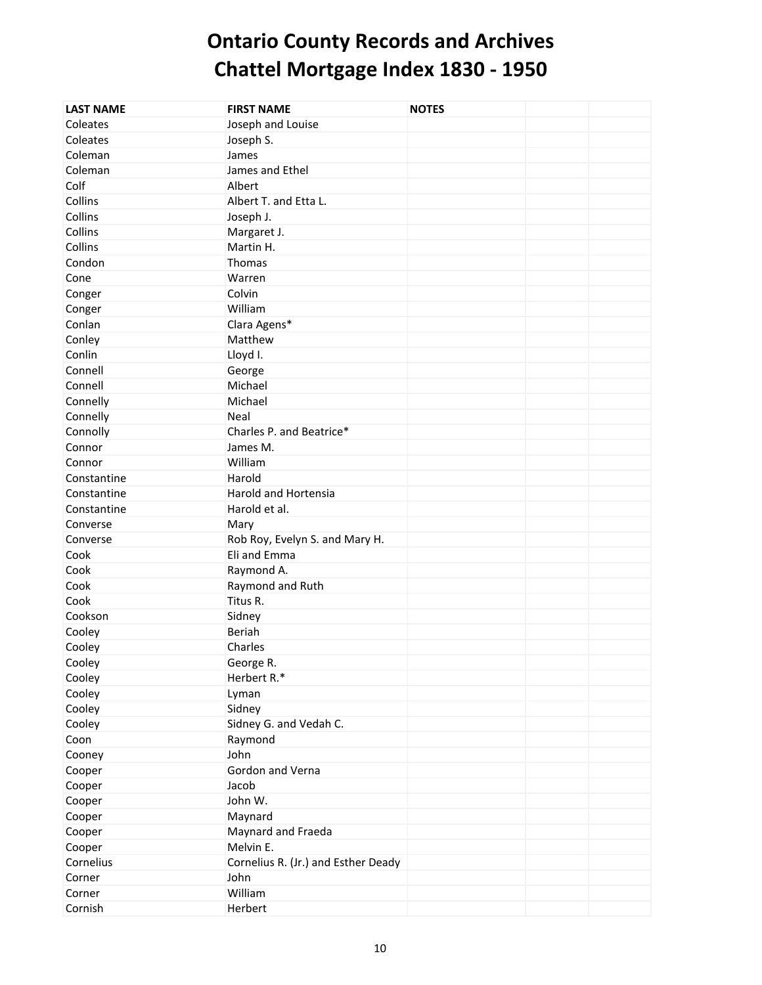| <b>LAST NAME</b> | <b>FIRST NAME</b>                   | <b>NOTES</b> |  |
|------------------|-------------------------------------|--------------|--|
| Coleates         | Joseph and Louise                   |              |  |
| Coleates         | Joseph S.                           |              |  |
| Coleman          | James                               |              |  |
| Coleman          | James and Ethel                     |              |  |
| Colf             | Albert                              |              |  |
| Collins          | Albert T. and Etta L.               |              |  |
| Collins          | Joseph J.                           |              |  |
| Collins          | Margaret J.                         |              |  |
| Collins          | Martin H.                           |              |  |
| Condon           | Thomas                              |              |  |
| Cone             | Warren                              |              |  |
| Conger           | Colvin                              |              |  |
| Conger           | William                             |              |  |
| Conlan           | Clara Agens*                        |              |  |
| Conley           | Matthew                             |              |  |
| Conlin           | Lloyd I.                            |              |  |
| Connell          | George                              |              |  |
| Connell          | Michael                             |              |  |
| Connelly         | Michael                             |              |  |
| Connelly         | Neal                                |              |  |
| Connolly         | Charles P. and Beatrice*            |              |  |
| Connor           | James M.                            |              |  |
| Connor           | William                             |              |  |
| Constantine      | Harold                              |              |  |
| Constantine      | Harold and Hortensia                |              |  |
| Constantine      | Harold et al.                       |              |  |
| Converse         | Mary                                |              |  |
| Converse         | Rob Roy, Evelyn S. and Mary H.      |              |  |
| Cook             | Eli and Emma                        |              |  |
| Cook             | Raymond A.                          |              |  |
| Cook             | Raymond and Ruth                    |              |  |
| Cook             | Titus R.                            |              |  |
| Cookson          | Sidney                              |              |  |
| Cooley           | Beriah                              |              |  |
| Cooley           | Charles                             |              |  |
| Cooley           | George R.                           |              |  |
| Cooley           | Herbert R.*                         |              |  |
| Cooley           | Lyman                               |              |  |
| Cooley           | Sidney                              |              |  |
| Cooley           | Sidney G. and Vedah C.              |              |  |
| Coon             | Raymond                             |              |  |
| Cooney           | John                                |              |  |
| Cooper           | Gordon and Verna                    |              |  |
| Cooper           | Jacob                               |              |  |
| Cooper           | John W.                             |              |  |
| Cooper           | Maynard                             |              |  |
| Cooper           | Maynard and Fraeda                  |              |  |
| Cooper           | Melvin E.                           |              |  |
| Cornelius        | Cornelius R. (Jr.) and Esther Deady |              |  |
| Corner           | John                                |              |  |
| Corner           | William                             |              |  |
| Cornish          | Herbert                             |              |  |
|                  |                                     |              |  |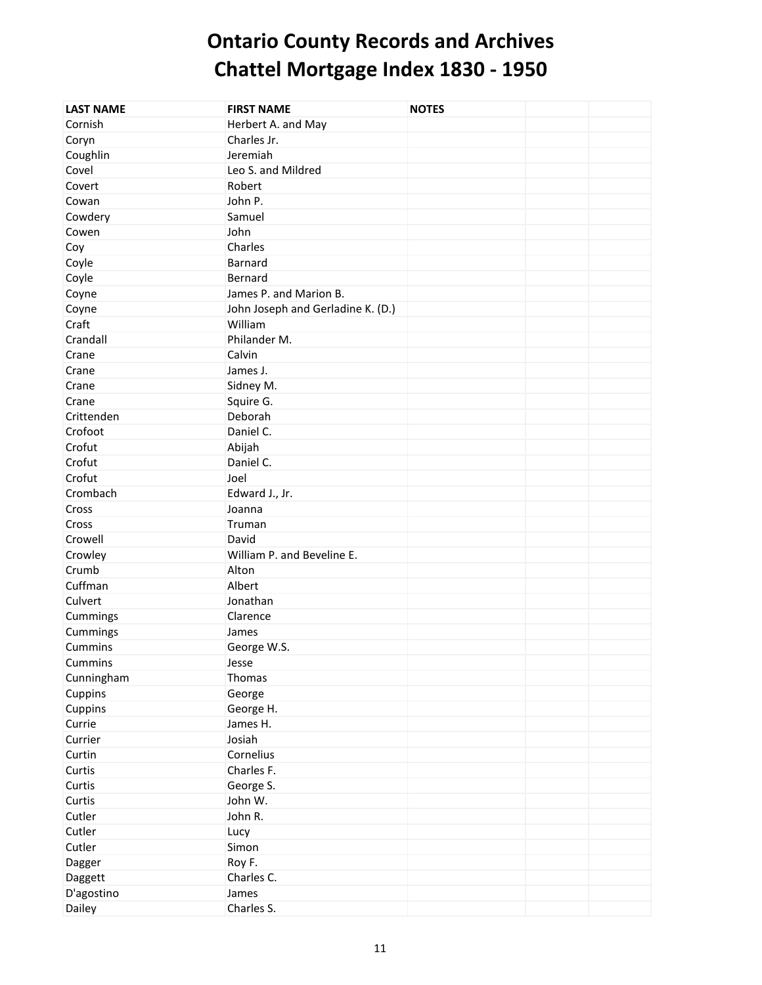| <b>LAST NAME</b> | <b>FIRST NAME</b>                 | <b>NOTES</b> |  |
|------------------|-----------------------------------|--------------|--|
| Cornish          | Herbert A. and May                |              |  |
| Coryn            | Charles Jr.                       |              |  |
| Coughlin         | Jeremiah                          |              |  |
| Covel            | Leo S. and Mildred                |              |  |
| Covert           | Robert                            |              |  |
| Cowan            | John P.                           |              |  |
| Cowdery          | Samuel                            |              |  |
| Cowen            | John                              |              |  |
| Coy              | Charles                           |              |  |
| Coyle            | Barnard                           |              |  |
| Coyle            | Bernard                           |              |  |
| Coyne            | James P. and Marion B.            |              |  |
| Coyne            | John Joseph and Gerladine K. (D.) |              |  |
| Craft            | William                           |              |  |
| Crandall         | Philander M.                      |              |  |
| Crane            | Calvin                            |              |  |
| Crane            | James J.                          |              |  |
| Crane            | Sidney M.                         |              |  |
| Crane            | Squire G.                         |              |  |
| Crittenden       | Deborah                           |              |  |
| Crofoot          | Daniel C.                         |              |  |
| Crofut           | Abijah                            |              |  |
| Crofut           | Daniel C.                         |              |  |
| Crofut           | Joel                              |              |  |
| Crombach         | Edward J., Jr.                    |              |  |
| Cross            | Joanna                            |              |  |
| Cross            | Truman                            |              |  |
| Crowell          | David                             |              |  |
| Crowley          | William P. and Beveline E.        |              |  |
| Crumb            | Alton                             |              |  |
| Cuffman          | Albert                            |              |  |
| Culvert          | Jonathan                          |              |  |
| Cummings         | Clarence                          |              |  |
| Cummings         | James                             |              |  |
| Cummins          | George W.S.                       |              |  |
| Cummins          | Jesse                             |              |  |
| Cunningham       | Thomas                            |              |  |
| Cuppins          | George                            |              |  |
| Cuppins          | George H.                         |              |  |
| Currie           | James H.                          |              |  |
| Currier          | Josiah                            |              |  |
| Curtin           | Cornelius                         |              |  |
| Curtis           | Charles F.                        |              |  |
| Curtis           | George S.                         |              |  |
| Curtis           | John W.                           |              |  |
| Cutler           | John R.                           |              |  |
| Cutler           | Lucy                              |              |  |
| Cutler           | Simon                             |              |  |
| Dagger           | Roy F.                            |              |  |
| Daggett          | Charles C.                        |              |  |
| D'agostino       | James                             |              |  |
| Dailey           | Charles S.                        |              |  |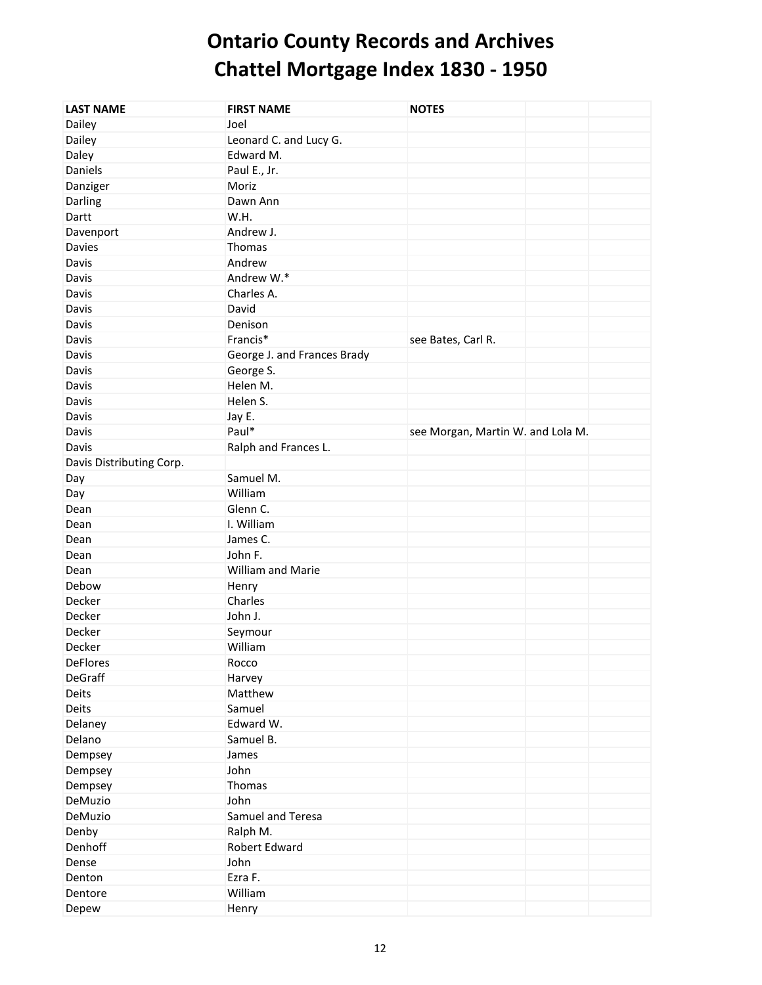| <b>LAST NAME</b>         | <b>FIRST NAME</b>           | <b>NOTES</b>                      |  |
|--------------------------|-----------------------------|-----------------------------------|--|
| Dailey                   | Joel                        |                                   |  |
| Dailey                   | Leonard C. and Lucy G.      |                                   |  |
| Daley                    | Edward M.                   |                                   |  |
| Daniels                  | Paul E., Jr.                |                                   |  |
| Danziger                 | Moriz                       |                                   |  |
| Darling                  | Dawn Ann                    |                                   |  |
| Dartt                    | W.H.                        |                                   |  |
| Davenport                | Andrew J.                   |                                   |  |
| <b>Davies</b>            | Thomas                      |                                   |  |
| Davis                    | Andrew                      |                                   |  |
| Davis                    | Andrew W.*                  |                                   |  |
| Davis                    | Charles A.                  |                                   |  |
| Davis                    | David                       |                                   |  |
| Davis                    | Denison                     |                                   |  |
| Davis                    | Francis*                    | see Bates, Carl R.                |  |
| Davis                    | George J. and Frances Brady |                                   |  |
| Davis                    | George S.                   |                                   |  |
| Davis                    | Helen M.                    |                                   |  |
| Davis                    | Helen S.                    |                                   |  |
| Davis                    | Jay E.                      |                                   |  |
| Davis                    | Paul*                       | see Morgan, Martin W. and Lola M. |  |
| Davis                    | Ralph and Frances L.        |                                   |  |
| Davis Distributing Corp. |                             |                                   |  |
| Day                      | Samuel M.                   |                                   |  |
| Day                      | William                     |                                   |  |
| Dean                     | Glenn C.                    |                                   |  |
| Dean                     | I. William                  |                                   |  |
| Dean                     | James C.                    |                                   |  |
| Dean                     | John F.                     |                                   |  |
| Dean                     | William and Marie           |                                   |  |
| Debow                    | Henry                       |                                   |  |
| Decker                   | Charles                     |                                   |  |
| Decker                   | John J.                     |                                   |  |
| Decker                   | Seymour                     |                                   |  |
| Decker                   | William                     |                                   |  |
| <b>DeFlores</b>          | Rocco                       |                                   |  |
| <b>DeGraff</b>           | Harvey                      |                                   |  |
| Deits                    | Matthew                     |                                   |  |
| Deits                    | Samuel                      |                                   |  |
| Delaney                  | Edward W.                   |                                   |  |
| Delano                   | Samuel B.                   |                                   |  |
| Dempsey                  | James                       |                                   |  |
| Dempsey                  | John                        |                                   |  |
| Dempsey                  | Thomas                      |                                   |  |
| DeMuzio                  | John                        |                                   |  |
| DeMuzio                  | Samuel and Teresa           |                                   |  |
| Denby                    | Ralph M.                    |                                   |  |
| Denhoff                  | Robert Edward               |                                   |  |
| Dense                    | John                        |                                   |  |
| Denton                   | Ezra F.                     |                                   |  |
| Dentore                  | William                     |                                   |  |
| Depew                    | Henry                       |                                   |  |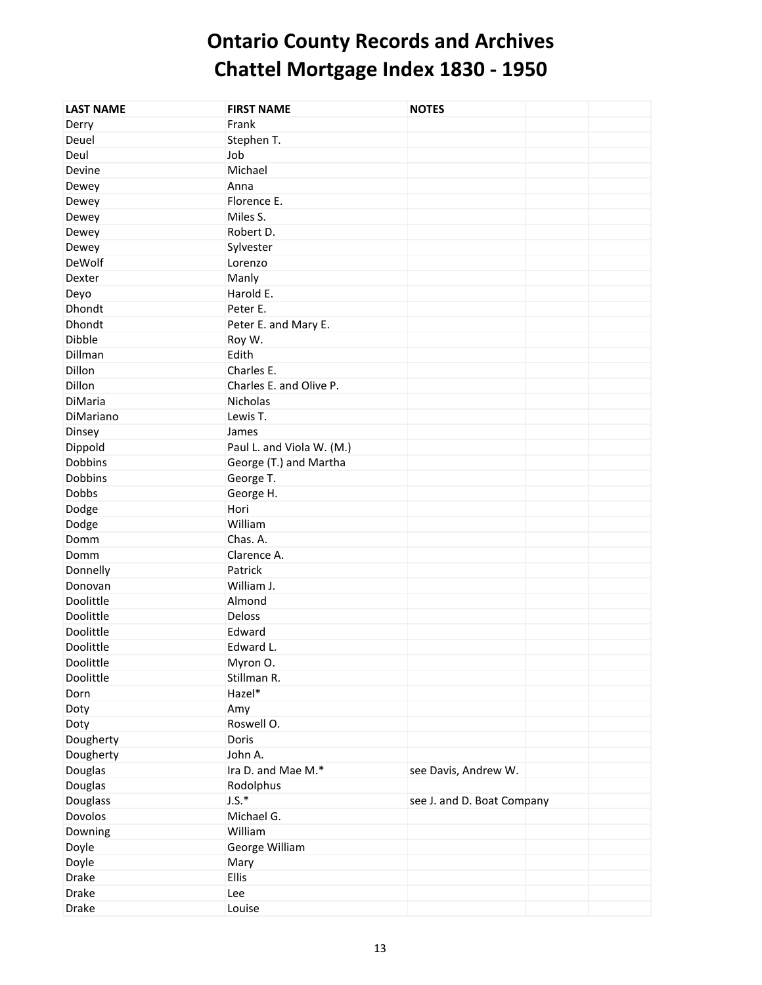| <b>LAST NAME</b> | <b>FIRST NAME</b>         | <b>NOTES</b>               |
|------------------|---------------------------|----------------------------|
| Derry            | Frank                     |                            |
| Deuel            | Stephen T.                |                            |
| Deul             | Job                       |                            |
| Devine           | Michael                   |                            |
| Dewey            | Anna                      |                            |
| Dewey            | Florence E.               |                            |
| Dewey            | Miles S.                  |                            |
| Dewey            | Robert D.                 |                            |
| Dewey            | Sylvester                 |                            |
| DeWolf           | Lorenzo                   |                            |
| Dexter           | Manly                     |                            |
| Deyo             | Harold E.                 |                            |
| Dhondt           | Peter E.                  |                            |
| Dhondt           | Peter E. and Mary E.      |                            |
| Dibble           | Roy W.                    |                            |
| Dillman          | Edith                     |                            |
| Dillon           | Charles E.                |                            |
| Dillon           | Charles E. and Olive P.   |                            |
| DiMaria          | Nicholas                  |                            |
| DiMariano        | Lewis T.                  |                            |
| Dinsey           | James                     |                            |
| Dippold          | Paul L. and Viola W. (M.) |                            |
| Dobbins          | George (T.) and Martha    |                            |
| Dobbins          | George T.                 |                            |
| Dobbs            | George H.                 |                            |
| Dodge            | Hori                      |                            |
| Dodge            | William                   |                            |
| Domm             | Chas. A.                  |                            |
| Domm             | Clarence A.               |                            |
| Donnelly         | Patrick                   |                            |
| Donovan          | William J.                |                            |
| Doolittle        | Almond                    |                            |
| Doolittle        | Deloss                    |                            |
| Doolittle        | Edward                    |                            |
| Doolittle        | Edward L.                 |                            |
| Doolittle        | Myron O.                  |                            |
| Doolittle        | Stillman R.               |                            |
| Dorn             | Hazel*                    |                            |
| Doty             | Amy                       |                            |
| Doty             | Roswell O.                |                            |
| Dougherty        | Doris                     |                            |
| Dougherty        | John A.                   |                            |
| Douglas          | Ira D. and Mae M.*        | see Davis, Andrew W.       |
| Douglas          | Rodolphus                 |                            |
| Douglass         | $J.S.*$                   | see J. and D. Boat Company |
| Dovolos          | Michael G.                |                            |
| Downing          | William                   |                            |
| Doyle            | George William            |                            |
| Doyle            | Mary                      |                            |
| Drake            | Ellis                     |                            |
| <b>Drake</b>     | Lee                       |                            |
| <b>Drake</b>     |                           |                            |
|                  | Louise                    |                            |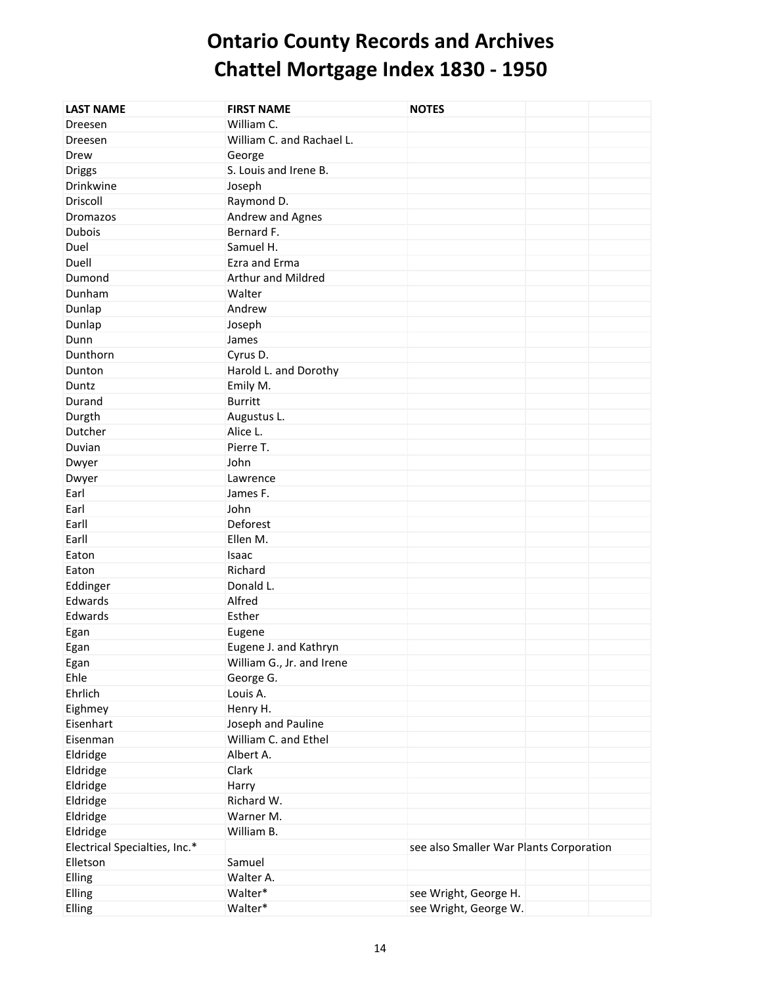| <b>LAST NAME</b>              | <b>FIRST NAME</b>         | <b>NOTES</b>                            |
|-------------------------------|---------------------------|-----------------------------------------|
| Dreesen                       | William C.                |                                         |
| Dreesen                       | William C. and Rachael L. |                                         |
| Drew                          | George                    |                                         |
| <b>Driggs</b>                 | S. Louis and Irene B.     |                                         |
| Drinkwine                     | Joseph                    |                                         |
| Driscoll                      | Raymond D.                |                                         |
| <b>Dromazos</b>               | Andrew and Agnes          |                                         |
| <b>Dubois</b>                 | Bernard F.                |                                         |
| Duel                          | Samuel H.                 |                                         |
| Duell                         | Ezra and Erma             |                                         |
| Dumond                        | Arthur and Mildred        |                                         |
| Dunham                        | Walter                    |                                         |
| Dunlap                        | Andrew                    |                                         |
| Dunlap                        | Joseph                    |                                         |
| Dunn                          | James                     |                                         |
| Dunthorn                      | Cyrus D.                  |                                         |
| Dunton                        | Harold L. and Dorothy     |                                         |
| Duntz                         | Emily M.                  |                                         |
| Durand                        | <b>Burritt</b>            |                                         |
| Durgth                        | Augustus L.               |                                         |
| Dutcher                       | Alice L.                  |                                         |
| Duvian                        | Pierre T.                 |                                         |
| Dwyer                         | John                      |                                         |
| Dwyer                         | Lawrence                  |                                         |
| Earl                          | James F.                  |                                         |
| Earl                          | John                      |                                         |
| Earll                         | Deforest                  |                                         |
| Earll                         | Ellen M.                  |                                         |
| Eaton                         | Isaac                     |                                         |
| Eaton                         | Richard                   |                                         |
| Eddinger                      | Donald L.                 |                                         |
| Edwards                       | Alfred                    |                                         |
| Edwards                       | Esther                    |                                         |
| Egan                          | Eugene                    |                                         |
| Egan                          | Eugene J. and Kathryn     |                                         |
| Egan                          | William G., Jr. and Irene |                                         |
| Ehle                          | George G.                 |                                         |
| Ehrlich                       | Louis A.                  |                                         |
| Eighmey                       | Henry H.                  |                                         |
| Eisenhart                     | Joseph and Pauline        |                                         |
| Eisenman                      | William C. and Ethel      |                                         |
| Eldridge                      | Albert A.                 |                                         |
| Eldridge                      | Clark                     |                                         |
| Eldridge                      | Harry                     |                                         |
| Eldridge                      | Richard W.                |                                         |
| Eldridge                      | Warner M.                 |                                         |
| Eldridge                      | William B.                |                                         |
| Electrical Specialties, Inc.* |                           | see also Smaller War Plants Corporation |
| Elletson                      | Samuel                    |                                         |
| Elling                        | Walter A.                 |                                         |
| Elling                        | Walter*                   | see Wright, George H.                   |
| Elling                        | Walter*                   | see Wright, George W.                   |
|                               |                           |                                         |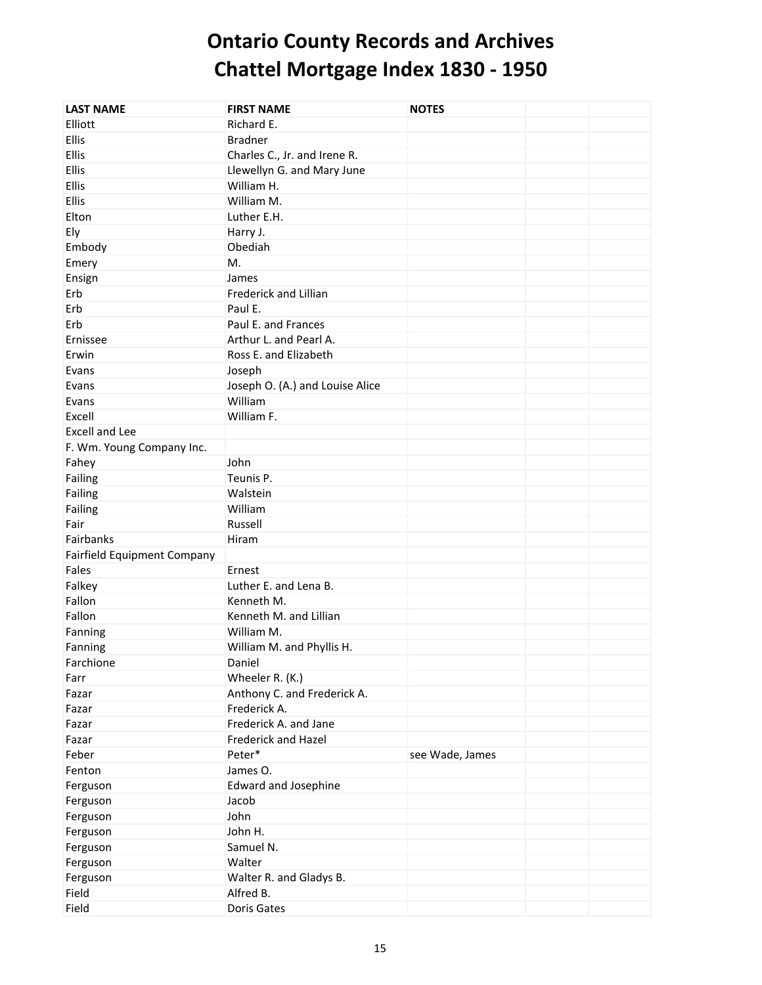| <b>LAST NAME</b>                   | <b>FIRST NAME</b>               | <b>NOTES</b>    |  |
|------------------------------------|---------------------------------|-----------------|--|
| Elliott                            | Richard E.                      |                 |  |
| <b>Ellis</b>                       | <b>Bradner</b>                  |                 |  |
| Ellis                              | Charles C., Jr. and Irene R.    |                 |  |
| Ellis                              | Llewellyn G. and Mary June      |                 |  |
| Ellis                              | William H.                      |                 |  |
| Ellis                              | William M.                      |                 |  |
| Elton                              | Luther E.H.                     |                 |  |
| Ely                                | Harry J.                        |                 |  |
| Embody                             | Obediah                         |                 |  |
| Emery                              | M.                              |                 |  |
| Ensign                             | James                           |                 |  |
| Erb                                | Frederick and Lillian           |                 |  |
| Erb                                | Paul E.                         |                 |  |
| Erb                                | Paul E. and Frances             |                 |  |
| Ernissee                           | Arthur L. and Pearl A.          |                 |  |
| Erwin                              | Ross E. and Elizabeth           |                 |  |
| Evans                              | Joseph                          |                 |  |
| Evans                              | Joseph O. (A.) and Louise Alice |                 |  |
| Evans                              | William                         |                 |  |
| Excell                             | William F.                      |                 |  |
| <b>Excell and Lee</b>              |                                 |                 |  |
| F. Wm. Young Company Inc.          |                                 |                 |  |
| Fahey                              | John                            |                 |  |
| Failing                            | Teunis P.                       |                 |  |
| Failing                            | Walstein                        |                 |  |
| Failing                            | William                         |                 |  |
| Fair                               | Russell                         |                 |  |
| Fairbanks                          | Hiram                           |                 |  |
| <b>Fairfield Equipment Company</b> |                                 |                 |  |
| Fales                              | Ernest                          |                 |  |
|                                    | Luther E. and Lena B.           |                 |  |
| Falkey<br>Fallon                   | Kenneth M.                      |                 |  |
| Fallon                             | Kenneth M. and Lillian          |                 |  |
|                                    | William M.                      |                 |  |
| Fanning                            |                                 |                 |  |
| Fanning                            | William M. and Phyllis H.       |                 |  |
| Farchione                          | Daniel                          |                 |  |
| Farr                               | Wheeler R. (K.)                 |                 |  |
| Fazar                              | Anthony C. and Frederick A.     |                 |  |
| Fazar                              | Frederick A.                    |                 |  |
| Fazar                              | Frederick A. and Jane           |                 |  |
| Fazar                              | <b>Frederick and Hazel</b>      |                 |  |
| Feber                              | Peter*                          | see Wade, James |  |
| Fenton                             | James O.                        |                 |  |
| Ferguson                           | <b>Edward and Josephine</b>     |                 |  |
| Ferguson                           | Jacob                           |                 |  |
| Ferguson                           | John                            |                 |  |
| Ferguson                           | John H.                         |                 |  |
| Ferguson                           | Samuel N.                       |                 |  |
| Ferguson                           | Walter                          |                 |  |
| Ferguson                           | Walter R. and Gladys B.         |                 |  |
| Field                              | Alfred B.                       |                 |  |
| Field                              | Doris Gates                     |                 |  |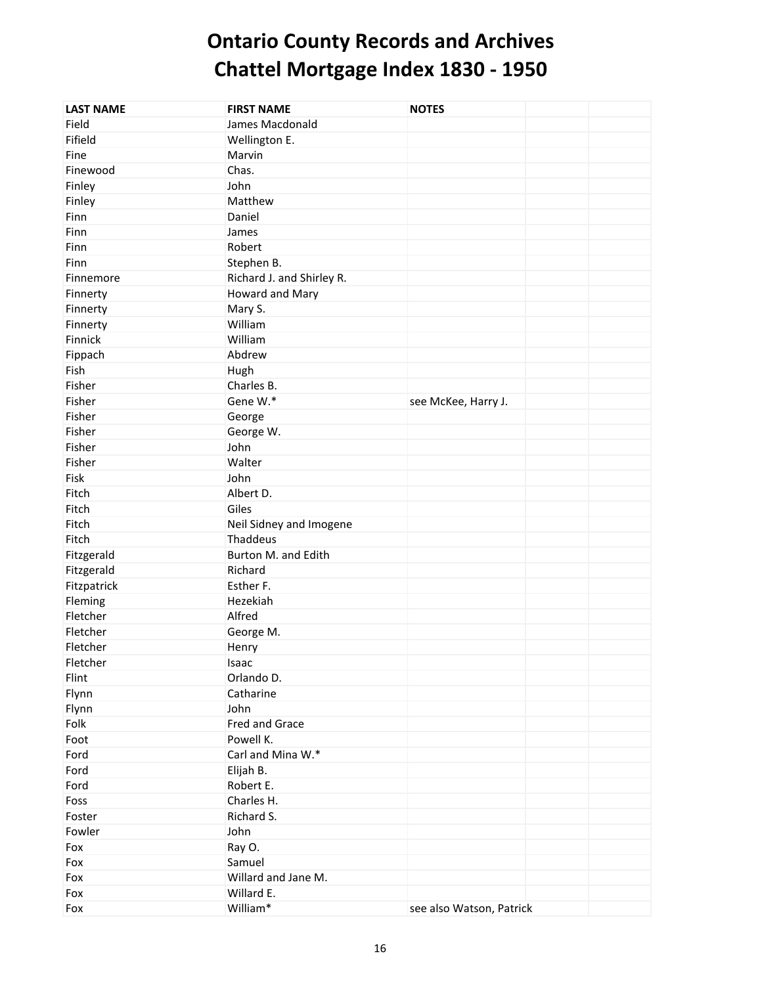| <b>LAST NAME</b> | <b>FIRST NAME</b>         | <b>NOTES</b>             |
|------------------|---------------------------|--------------------------|
| Field            | James Macdonald           |                          |
| Fifield          | Wellington E.             |                          |
| Fine             | Marvin                    |                          |
| Finewood         | Chas.                     |                          |
| Finley           | John                      |                          |
| Finley           | Matthew                   |                          |
| Finn             | Daniel                    |                          |
| Finn             | James                     |                          |
| Finn             | Robert                    |                          |
| Finn             | Stephen B.                |                          |
| Finnemore        | Richard J. and Shirley R. |                          |
| Finnerty         | Howard and Mary           |                          |
| Finnerty         | Mary S.                   |                          |
| Finnerty         | William                   |                          |
| Finnick          | William                   |                          |
|                  |                           |                          |
| Fippach          | Abdrew                    |                          |
| Fish             | Hugh                      |                          |
| Fisher           | Charles B.                |                          |
| Fisher           | Gene W.*                  | see McKee, Harry J.      |
| Fisher           | George                    |                          |
| Fisher           | George W.                 |                          |
| Fisher           | John                      |                          |
| Fisher           | Walter                    |                          |
| Fisk             | John                      |                          |
| Fitch            | Albert D.                 |                          |
| Fitch            | Giles                     |                          |
| Fitch            | Neil Sidney and Imogene   |                          |
| Fitch            | Thaddeus                  |                          |
| Fitzgerald       | Burton M. and Edith       |                          |
| Fitzgerald       | Richard                   |                          |
| Fitzpatrick      | Esther F.                 |                          |
| Fleming          | Hezekiah                  |                          |
| Fletcher         | Alfred                    |                          |
| Fletcher         | George M.                 |                          |
| Fletcher         | Henry                     |                          |
| Fletcher         | Isaac                     |                          |
| Flint            | Orlando D.                |                          |
| Flynn            | Catharine                 |                          |
| Flynn            | John                      |                          |
| Folk             | Fred and Grace            |                          |
| Foot             | Powell K.                 |                          |
| Ford             | Carl and Mina W.*         |                          |
| Ford             | Elijah B.                 |                          |
| Ford             | Robert E.                 |                          |
| Foss             | Charles H.                |                          |
| Foster           | Richard S.                |                          |
| Fowler           | John                      |                          |
| Fox              | Ray O.                    |                          |
| Fox              | Samuel                    |                          |
| Fox              | Willard and Jane M.       |                          |
| Fox              | Willard E.                |                          |
| Fox              | William*                  | see also Watson, Patrick |
|                  |                           |                          |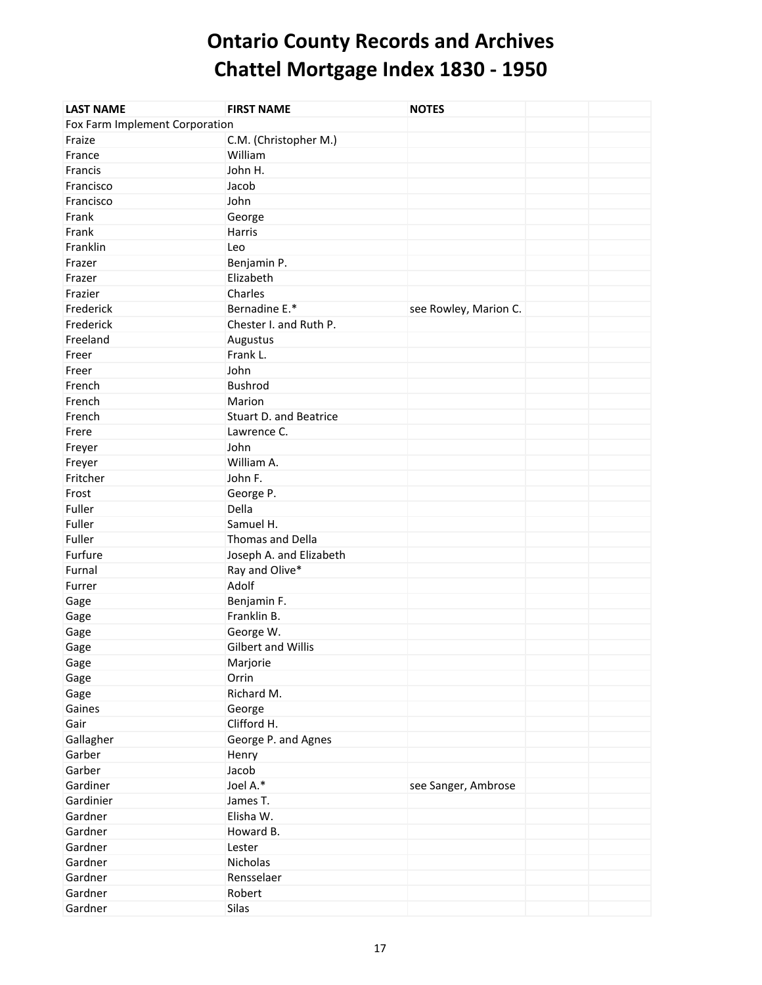| <b>LAST NAME</b>               | <b>FIRST NAME</b>             | <b>NOTES</b>          |  |
|--------------------------------|-------------------------------|-----------------------|--|
| Fox Farm Implement Corporation |                               |                       |  |
| Fraize                         | C.M. (Christopher M.)         |                       |  |
| France                         | William                       |                       |  |
| Francis                        | John H.                       |                       |  |
| Francisco                      | Jacob                         |                       |  |
| Francisco                      | John                          |                       |  |
| Frank                          | George                        |                       |  |
| Frank                          | Harris                        |                       |  |
| Franklin                       | Leo                           |                       |  |
| Frazer                         | Benjamin P.                   |                       |  |
| Frazer                         | Elizabeth                     |                       |  |
| Frazier                        | Charles                       |                       |  |
| Frederick                      | Bernadine E.*                 | see Rowley, Marion C. |  |
| Frederick                      | Chester I. and Ruth P.        |                       |  |
| Freeland                       | Augustus                      |                       |  |
| Freer                          | Frank L.                      |                       |  |
| Freer                          | John                          |                       |  |
| French                         | <b>Bushrod</b>                |                       |  |
| French                         | Marion                        |                       |  |
| French                         | <b>Stuart D. and Beatrice</b> |                       |  |
| Frere                          | Lawrence C.                   |                       |  |
| Freyer                         | John                          |                       |  |
| Freyer                         | William A.                    |                       |  |
| Fritcher                       | John F.                       |                       |  |
| Frost                          | George P.                     |                       |  |
| Fuller                         | Della                         |                       |  |
| Fuller                         | Samuel H.                     |                       |  |
| Fuller                         | Thomas and Della              |                       |  |
| Furfure                        | Joseph A. and Elizabeth       |                       |  |
| Furnal                         | Ray and Olive*                |                       |  |
| Furrer                         | Adolf                         |                       |  |
| Gage                           | Benjamin F.                   |                       |  |
| Gage                           | Franklin B.                   |                       |  |
| Gage                           | George W.                     |                       |  |
| Gage                           | Gilbert and Willis            |                       |  |
| Gage                           | Marjorie                      |                       |  |
| Gage                           | Orrin                         |                       |  |
| Gage                           | Richard M.                    |                       |  |
| Gaines                         | George                        |                       |  |
| Gair                           | Clifford H.                   |                       |  |
| Gallagher                      | George P. and Agnes           |                       |  |
| Garber                         | Henry                         |                       |  |
| Garber                         | Jacob                         |                       |  |
| Gardiner                       | Joel A.*                      | see Sanger, Ambrose   |  |
| Gardinier                      | James T.                      |                       |  |
| Gardner                        | Elisha W.                     |                       |  |
| Gardner                        | Howard B.                     |                       |  |
| Gardner                        | Lester                        |                       |  |
| Gardner                        | Nicholas                      |                       |  |
| Gardner                        | Rensselaer                    |                       |  |
| Gardner                        | Robert                        |                       |  |
| Gardner                        | Silas                         |                       |  |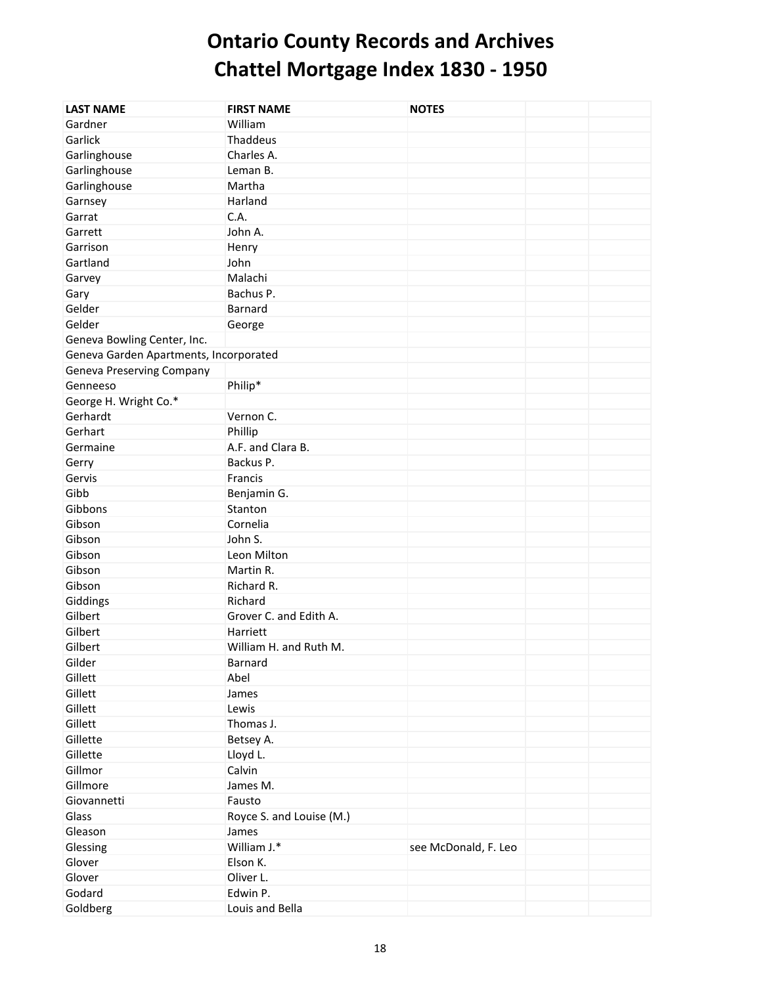| <b>LAST NAME</b>                       | <b>FIRST NAME</b>        | <b>NOTES</b>         |  |
|----------------------------------------|--------------------------|----------------------|--|
| Gardner                                | William                  |                      |  |
| Garlick                                | Thaddeus                 |                      |  |
| Garlinghouse                           | Charles A.               |                      |  |
| Garlinghouse                           | Leman B.                 |                      |  |
| Garlinghouse                           | Martha                   |                      |  |
| Garnsey                                | Harland                  |                      |  |
| Garrat                                 | C.A.                     |                      |  |
| Garrett                                | John A.                  |                      |  |
| Garrison                               | Henry                    |                      |  |
| Gartland                               | John                     |                      |  |
| Garvey                                 | Malachi                  |                      |  |
| Gary                                   | Bachus P.                |                      |  |
| Gelder                                 | Barnard                  |                      |  |
| Gelder                                 | George                   |                      |  |
| Geneva Bowling Center, Inc.            |                          |                      |  |
| Geneva Garden Apartments, Incorporated |                          |                      |  |
| <b>Geneva Preserving Company</b>       |                          |                      |  |
| Genneeso                               | Philip*                  |                      |  |
| George H. Wright Co.*                  |                          |                      |  |
| Gerhardt                               | Vernon C.                |                      |  |
| Gerhart                                | Phillip                  |                      |  |
| Germaine                               | A.F. and Clara B.        |                      |  |
| Gerry                                  | Backus P.                |                      |  |
| Gervis                                 | Francis                  |                      |  |
| Gibb                                   | Benjamin G.              |                      |  |
| Gibbons                                | Stanton                  |                      |  |
| Gibson                                 | Cornelia                 |                      |  |
| Gibson                                 | John S.                  |                      |  |
| Gibson                                 | Leon Milton              |                      |  |
| Gibson                                 | Martin R.                |                      |  |
| Gibson                                 | Richard R.               |                      |  |
| Giddings                               | Richard                  |                      |  |
| Gilbert                                | Grover C. and Edith A.   |                      |  |
| Gilbert                                | Harriett                 |                      |  |
| Gilbert                                | William H. and Ruth M.   |                      |  |
| Gilder                                 | Barnard                  |                      |  |
| Gillett                                | Abel                     |                      |  |
| Gillett                                | James                    |                      |  |
| Gillett                                | Lewis                    |                      |  |
| Gillett                                | Thomas J.                |                      |  |
| Gillette                               | Betsey A.                |                      |  |
| Gillette                               | Lloyd L.                 |                      |  |
| Gillmor                                | Calvin                   |                      |  |
| Gillmore                               | James M.                 |                      |  |
| Giovannetti                            | Fausto                   |                      |  |
| Glass                                  | Royce S. and Louise (M.) |                      |  |
| Gleason                                | James                    |                      |  |
| Glessing                               | William J.*              | see McDonald, F. Leo |  |
| Glover                                 | Elson K.                 |                      |  |
| Glover                                 | Oliver L.                |                      |  |
| Godard                                 | Edwin P.                 |                      |  |
| Goldberg                               | Louis and Bella          |                      |  |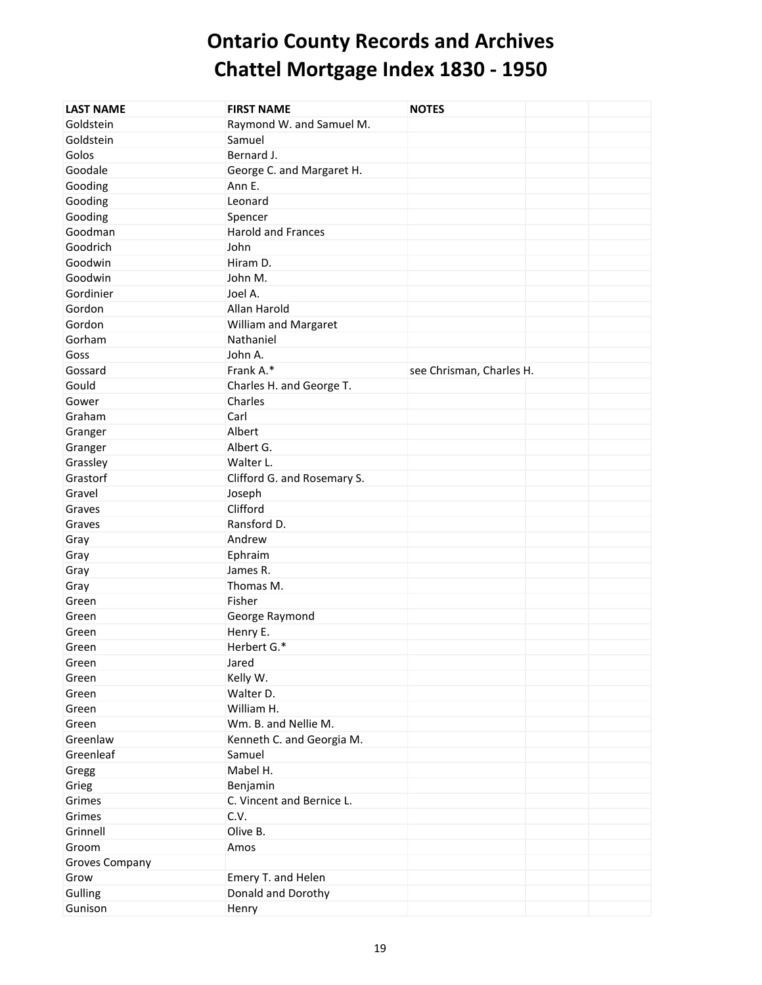| <b>LAST NAME</b>      | <b>FIRST NAME</b>           | <b>NOTES</b>             |
|-----------------------|-----------------------------|--------------------------|
| Goldstein             | Raymond W. and Samuel M.    |                          |
| Goldstein             | Samuel                      |                          |
| Golos                 | Bernard J.                  |                          |
| Goodale               | George C. and Margaret H.   |                          |
| Gooding               | Ann E.                      |                          |
| Gooding               | Leonard                     |                          |
| Gooding               | Spencer                     |                          |
| Goodman               | <b>Harold and Frances</b>   |                          |
| Goodrich              | John                        |                          |
| Goodwin               | Hiram D.                    |                          |
| Goodwin               | John M.                     |                          |
| Gordinier             | Joel A.                     |                          |
| Gordon                | Allan Harold                |                          |
| Gordon                | William and Margaret        |                          |
| Gorham                | Nathaniel                   |                          |
| Goss                  | John A.                     |                          |
| Gossard               | Frank A.*                   | see Chrisman, Charles H. |
| Gould                 | Charles H. and George T.    |                          |
| Gower                 | Charles                     |                          |
| Graham                | Carl                        |                          |
| Granger               | Albert                      |                          |
| Granger               | Albert G.                   |                          |
| Grassley              | Walter L.                   |                          |
| Grastorf              | Clifford G. and Rosemary S. |                          |
| Gravel                | Joseph                      |                          |
| Graves                | Clifford                    |                          |
| Graves                | Ransford D.                 |                          |
| Gray                  | Andrew                      |                          |
| Gray                  | Ephraim                     |                          |
| Gray                  | James R.                    |                          |
| Gray                  | Thomas M.                   |                          |
| Green                 | Fisher                      |                          |
| Green                 | George Raymond              |                          |
| Green                 | Henry E.                    |                          |
| Green                 | Herbert G.*                 |                          |
| Green                 | Jared                       |                          |
| Green                 | Kelly W.                    |                          |
| Green                 | Walter D.                   |                          |
| Green                 | William H.                  |                          |
| Green                 | Wm. B. and Nellie M.        |                          |
| Greenlaw              | Kenneth C. and Georgia M.   |                          |
| Greenleaf             | Samuel                      |                          |
| Gregg                 | Mabel H.                    |                          |
| Grieg                 | Benjamin                    |                          |
| Grimes                | C. Vincent and Bernice L.   |                          |
| Grimes                | C.V.                        |                          |
| Grinnell              | Olive B.                    |                          |
| Groom                 |                             |                          |
|                       | Amos                        |                          |
| <b>Groves Company</b> |                             |                          |
| Grow                  | Emery T. and Helen          |                          |
| Gulling               | Donald and Dorothy          |                          |
| Gunison               | Henry                       |                          |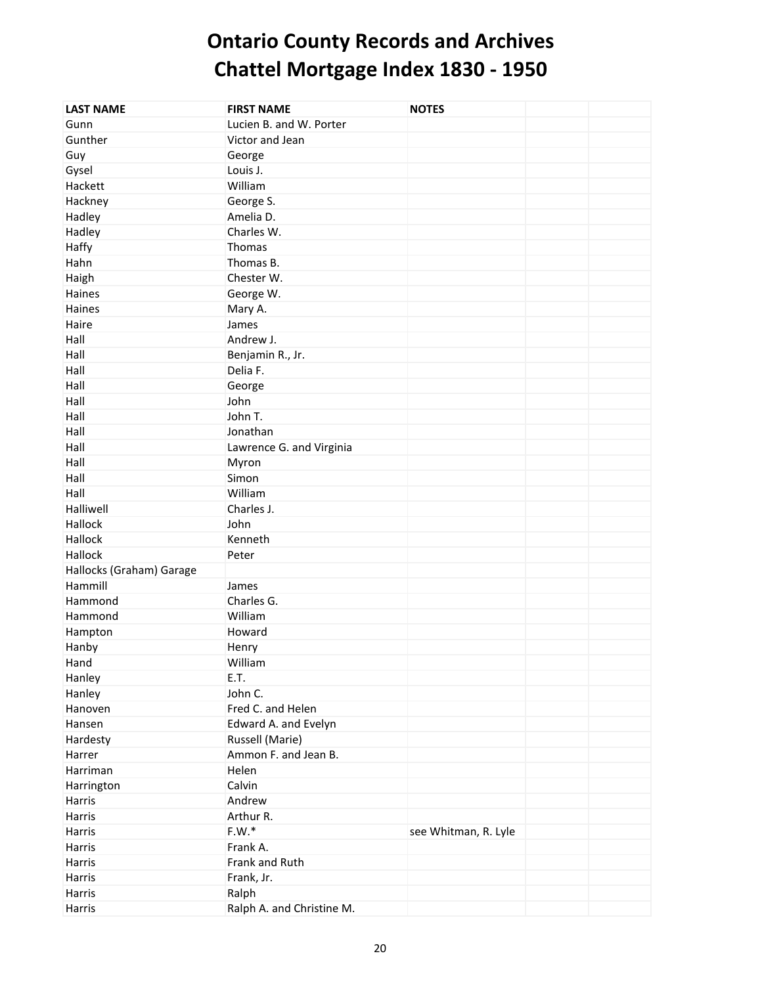| <b>LAST NAME</b>         | <b>FIRST NAME</b>         | <b>NOTES</b>         |  |
|--------------------------|---------------------------|----------------------|--|
| Gunn                     | Lucien B. and W. Porter   |                      |  |
| Gunther                  | Victor and Jean           |                      |  |
| Guy                      | George                    |                      |  |
| Gysel                    | Louis J.                  |                      |  |
| Hackett                  | William                   |                      |  |
| Hackney                  | George S.                 |                      |  |
| Hadley                   | Amelia D.                 |                      |  |
| Hadley                   | Charles W.                |                      |  |
| Haffy                    | Thomas                    |                      |  |
| Hahn                     | Thomas B.                 |                      |  |
| Haigh                    | Chester W.                |                      |  |
| Haines                   | George W.                 |                      |  |
| Haines                   | Mary A.                   |                      |  |
| Haire                    | James                     |                      |  |
| Hall                     | Andrew J.                 |                      |  |
| Hall                     | Benjamin R., Jr.          |                      |  |
| Hall                     | Delia F.                  |                      |  |
| Hall                     | George                    |                      |  |
| Hall                     | John                      |                      |  |
| Hall                     | John T.                   |                      |  |
| Hall                     | Jonathan                  |                      |  |
| Hall                     | Lawrence G. and Virginia  |                      |  |
| Hall                     | Myron                     |                      |  |
| Hall                     | Simon                     |                      |  |
| Hall                     | William                   |                      |  |
| Halliwell                | Charles J.                |                      |  |
| Hallock                  | John                      |                      |  |
| Hallock                  | Kenneth                   |                      |  |
| Hallock                  | Peter                     |                      |  |
| Hallocks (Graham) Garage |                           |                      |  |
| Hammill                  | James                     |                      |  |
| Hammond                  | Charles G.                |                      |  |
| Hammond                  | William                   |                      |  |
| Hampton                  | Howard                    |                      |  |
| Hanby                    | Henry                     |                      |  |
| Hand                     | William                   |                      |  |
| Hanley                   | E.T.                      |                      |  |
| Hanley                   | John C.                   |                      |  |
| Hanoven                  | Fred C. and Helen         |                      |  |
| Hansen                   | Edward A. and Evelyn      |                      |  |
| Hardesty                 | Russell (Marie)           |                      |  |
| Harrer                   | Ammon F. and Jean B.      |                      |  |
| Harriman                 | Helen                     |                      |  |
| Harrington               | Calvin                    |                      |  |
| Harris                   | Andrew                    |                      |  |
| Harris                   | Arthur R.                 |                      |  |
| Harris                   | $F.W.*$                   | see Whitman, R. Lyle |  |
| Harris                   | Frank A.                  |                      |  |
| Harris                   | Frank and Ruth            |                      |  |
| Harris                   | Frank, Jr.                |                      |  |
| Harris                   | Ralph                     |                      |  |
| Harris                   | Ralph A. and Christine M. |                      |  |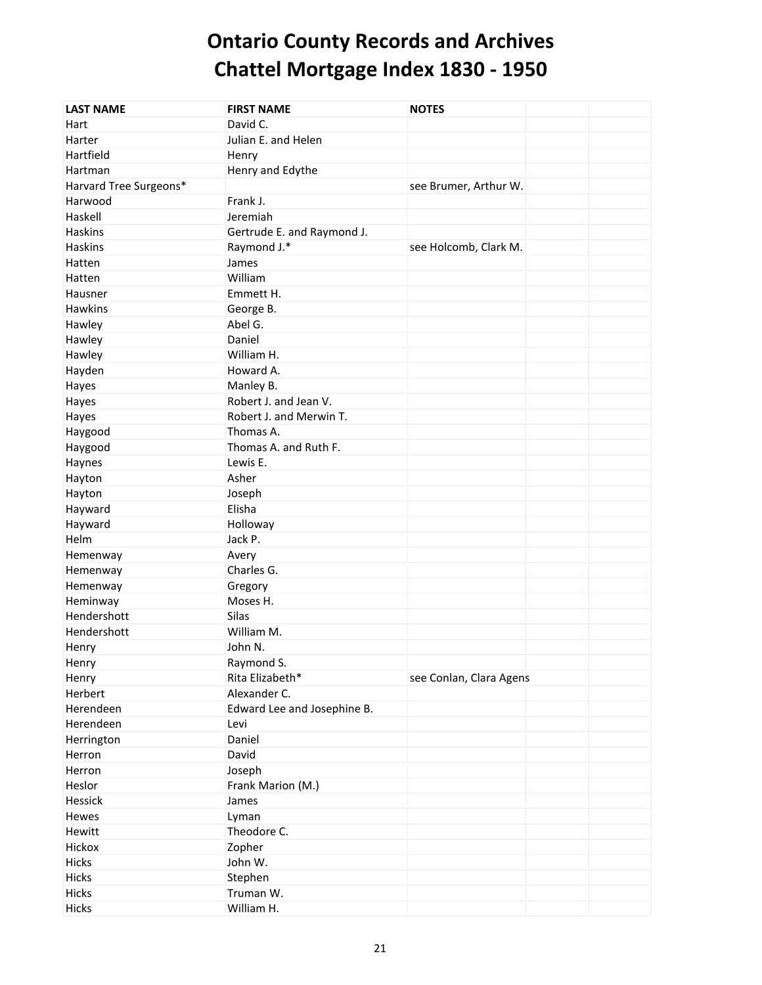| <b>LAST NAME</b>       | <b>FIRST NAME</b>           | <b>NOTES</b>            |
|------------------------|-----------------------------|-------------------------|
| Hart                   | David C.                    |                         |
| Harter                 | Julian E. and Helen         |                         |
| Hartfield              | Henry                       |                         |
| Hartman                | Henry and Edythe            |                         |
| Harvard Tree Surgeons* |                             | see Brumer, Arthur W.   |
| Harwood                | Frank J.                    |                         |
| Haskell                | Jeremiah                    |                         |
| <b>Haskins</b>         | Gertrude E. and Raymond J.  |                         |
| Haskins                | Raymond J.*                 | see Holcomb, Clark M.   |
| Hatten                 | James                       |                         |
| Hatten                 | William                     |                         |
| Hausner                | Emmett H.                   |                         |
| Hawkins                | George B.                   |                         |
| Hawley                 | Abel G.                     |                         |
| Hawley                 | Daniel                      |                         |
| Hawley                 | William H.                  |                         |
| Hayden                 | Howard A.                   |                         |
| Hayes                  | Manley B.                   |                         |
| Hayes                  | Robert J. and Jean V.       |                         |
| Hayes                  | Robert J. and Merwin T.     |                         |
| Haygood                | Thomas A.                   |                         |
| Haygood                | Thomas A. and Ruth F.       |                         |
| Haynes                 | Lewis E.                    |                         |
| Hayton                 | Asher                       |                         |
| Hayton                 | Joseph                      |                         |
| Hayward                | Elisha                      |                         |
| Hayward                | Holloway                    |                         |
| Helm                   | Jack P.                     |                         |
| Hemenway               | Avery                       |                         |
| Hemenway               | Charles G.                  |                         |
| Hemenway               | Gregory                     |                         |
| Heminway               | Moses H.                    |                         |
| Hendershott            | Silas                       |                         |
| Hendershott            | William M.                  |                         |
| Henry                  | John N.                     |                         |
| Henry                  | Raymond S.                  |                         |
| Henry                  | Rita Elizabeth*             | see Conlan, Clara Agens |
| Herbert                | Alexander C.                |                         |
| Herendeen              | Edward Lee and Josephine B. |                         |
| Herendeen              | Levi                        |                         |
| Herrington             | Daniel                      |                         |
| Herron                 | David                       |                         |
| Herron                 | Joseph                      |                         |
| Heslor                 | Frank Marion (M.)           |                         |
| Hessick                | James                       |                         |
| Hewes                  | Lyman                       |                         |
| Hewitt                 | Theodore C.                 |                         |
| Hickox                 | Zopher                      |                         |
| Hicks                  | John W.                     |                         |
| Hicks                  | Stephen                     |                         |
| Hicks                  | Truman W.                   |                         |
| Hicks                  | William H.                  |                         |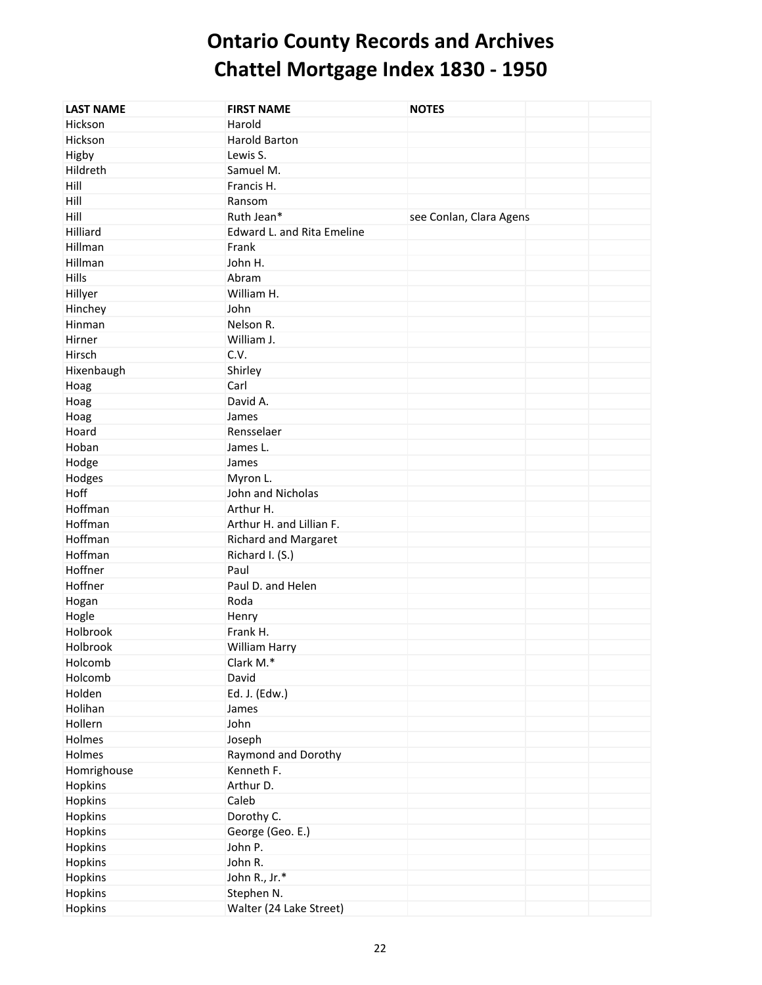| <b>LAST NAME</b> | <b>FIRST NAME</b>          | <b>NOTES</b>            |  |
|------------------|----------------------------|-------------------------|--|
| Hickson          | Harold                     |                         |  |
| Hickson          | <b>Harold Barton</b>       |                         |  |
| Higby            | Lewis S.                   |                         |  |
| Hildreth         | Samuel M.                  |                         |  |
| Hill             | Francis H.                 |                         |  |
| Hill             | Ransom                     |                         |  |
| Hill             | Ruth Jean*                 | see Conlan, Clara Agens |  |
| Hilliard         | Edward L. and Rita Emeline |                         |  |
| Hillman          | Frank                      |                         |  |
| Hillman          | John H.                    |                         |  |
| Hills            | Abram                      |                         |  |
| Hillyer          | William H.                 |                         |  |
|                  | John                       |                         |  |
| Hinchey          | Nelson R.                  |                         |  |
| Hinman           |                            |                         |  |
| Hirner           | William J.                 |                         |  |
| Hirsch           | C.V.                       |                         |  |
| Hixenbaugh       | Shirley                    |                         |  |
| Hoag             | Carl                       |                         |  |
| Hoag             | David A.                   |                         |  |
| Hoag             | James                      |                         |  |
| Hoard            | Rensselaer                 |                         |  |
| Hoban            | James L.                   |                         |  |
| Hodge            | James                      |                         |  |
| Hodges           | Myron L.                   |                         |  |
| Hoff             | John and Nicholas          |                         |  |
| Hoffman          | Arthur H.                  |                         |  |
| Hoffman          | Arthur H. and Lillian F.   |                         |  |
| Hoffman          | Richard and Margaret       |                         |  |
| Hoffman          | Richard I. (S.)            |                         |  |
| Hoffner          | Paul                       |                         |  |
| Hoffner          | Paul D. and Helen          |                         |  |
| Hogan            | Roda                       |                         |  |
| Hogle            | Henry                      |                         |  |
| Holbrook         | Frank H.                   |                         |  |
| Holbrook         | William Harry              |                         |  |
| Holcomb          | Clark M.*                  |                         |  |
| Holcomb          | David                      |                         |  |
| Holden           | Ed. J. (Edw.)              |                         |  |
| Holihan          | James                      |                         |  |
| Hollern          | John                       |                         |  |
| Holmes           | Joseph                     |                         |  |
| Holmes           | Raymond and Dorothy        |                         |  |
| Homrighouse      | Kenneth F.                 |                         |  |
| Hopkins          | Arthur D.                  |                         |  |
| Hopkins          | Caleb                      |                         |  |
|                  | Dorothy C.                 |                         |  |
| Hopkins          |                            |                         |  |
| Hopkins          | George (Geo. E.)           |                         |  |
| Hopkins          | John P.                    |                         |  |
| Hopkins          | John R.                    |                         |  |
| Hopkins          | John R., Jr.*              |                         |  |
| Hopkins          | Stephen N.                 |                         |  |
| Hopkins          | Walter (24 Lake Street)    |                         |  |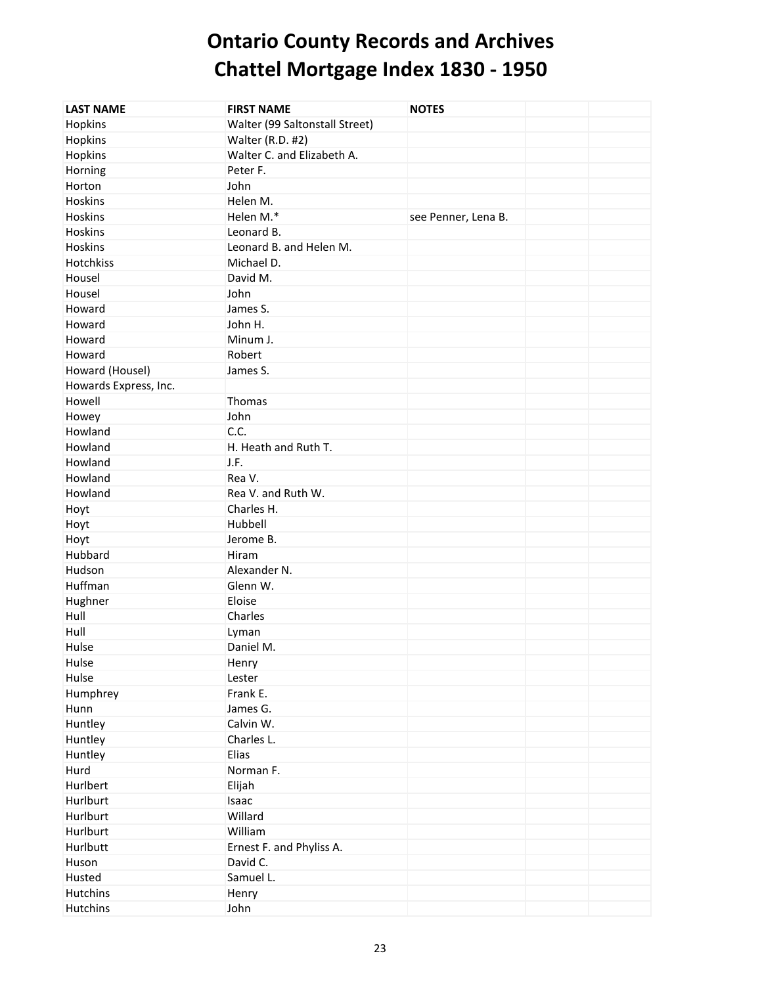| <b>LAST NAME</b>      | <b>FIRST NAME</b>              | <b>NOTES</b>        |  |
|-----------------------|--------------------------------|---------------------|--|
| Hopkins               | Walter (99 Saltonstall Street) |                     |  |
| Hopkins               | Walter (R.D. #2)               |                     |  |
| Hopkins               | Walter C. and Elizabeth A.     |                     |  |
| Horning               | Peter F.                       |                     |  |
| Horton                | John                           |                     |  |
| Hoskins               | Helen M.                       |                     |  |
| Hoskins               | Helen M.*                      | see Penner, Lena B. |  |
| Hoskins               | Leonard B.                     |                     |  |
| Hoskins               | Leonard B. and Helen M.        |                     |  |
| Hotchkiss             | Michael D.                     |                     |  |
| Housel                | David M.                       |                     |  |
| Housel                | John                           |                     |  |
| Howard                | James S.                       |                     |  |
| Howard                | John H.                        |                     |  |
| Howard                | Minum J.                       |                     |  |
| Howard                |                                |                     |  |
|                       | Robert                         |                     |  |
| Howard (Housel)       | James S.                       |                     |  |
| Howards Express, Inc. |                                |                     |  |
| Howell                | Thomas                         |                     |  |
| Howey                 | John                           |                     |  |
| Howland               | C.C.                           |                     |  |
| Howland               | H. Heath and Ruth T.           |                     |  |
| Howland               | J.F.                           |                     |  |
| Howland               | Rea V.                         |                     |  |
| Howland               | Rea V. and Ruth W.             |                     |  |
| Hoyt                  | Charles H.                     |                     |  |
| Hoyt                  | Hubbell                        |                     |  |
| Hoyt                  | Jerome B.                      |                     |  |
| Hubbard               | Hiram                          |                     |  |
| Hudson                | Alexander N.                   |                     |  |
| Huffman               | Glenn W.                       |                     |  |
| Hughner               | Eloise                         |                     |  |
| Hull                  | Charles                        |                     |  |
| Hull                  | Lyman                          |                     |  |
| Hulse                 | Daniel M.                      |                     |  |
| Hulse                 | Henry                          |                     |  |
| Hulse                 | Lester                         |                     |  |
| Humphrey              | Frank E.                       |                     |  |
| Hunn                  | James G.                       |                     |  |
| Huntley               | Calvin W.                      |                     |  |
| Huntley               | Charles L.                     |                     |  |
| Huntley               | Elias                          |                     |  |
| Hurd                  | Norman F.                      |                     |  |
| Hurlbert              | Elijah                         |                     |  |
| Hurlburt              | Isaac                          |                     |  |
| Hurlburt              | Willard                        |                     |  |
| Hurlburt              | William                        |                     |  |
| Hurlbutt              | Ernest F. and Phyliss A.       |                     |  |
| Huson                 | David C.                       |                     |  |
| Husted                | Samuel L.                      |                     |  |
| <b>Hutchins</b>       | Henry                          |                     |  |
| <b>Hutchins</b>       | John                           |                     |  |
|                       |                                |                     |  |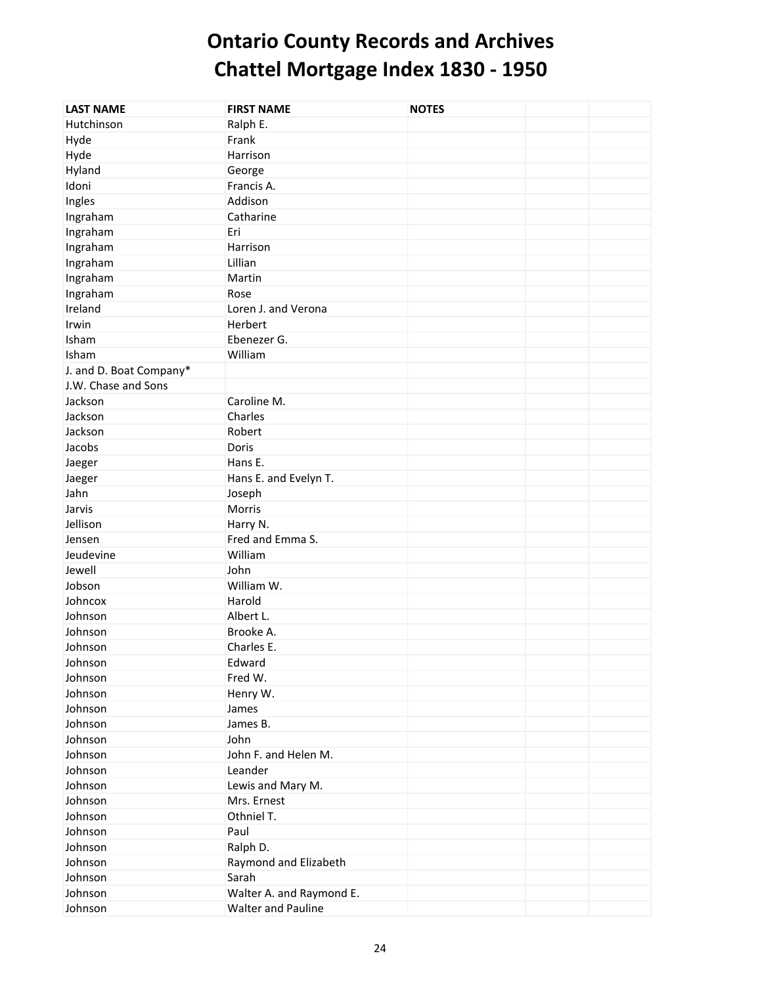| <b>LAST NAME</b>        | <b>FIRST NAME</b>         | <b>NOTES</b> |  |
|-------------------------|---------------------------|--------------|--|
| Hutchinson              | Ralph E.                  |              |  |
| Hyde                    | Frank                     |              |  |
| Hyde                    | Harrison                  |              |  |
| Hyland                  | George                    |              |  |
| Idoni                   | Francis A.                |              |  |
| Ingles                  | Addison                   |              |  |
| Ingraham                | Catharine                 |              |  |
| Ingraham                | Eri                       |              |  |
| Ingraham                | Harrison                  |              |  |
| Ingraham                | Lillian                   |              |  |
| Ingraham                | Martin                    |              |  |
| Ingraham                | Rose                      |              |  |
| Ireland                 | Loren J. and Verona       |              |  |
| Irwin                   | Herbert                   |              |  |
| Isham                   | Ebenezer G.               |              |  |
| Isham                   | William                   |              |  |
| J. and D. Boat Company* |                           |              |  |
| J.W. Chase and Sons     |                           |              |  |
| Jackson                 | Caroline M.               |              |  |
| Jackson                 | Charles                   |              |  |
| Jackson                 | Robert                    |              |  |
| Jacobs                  | Doris                     |              |  |
| Jaeger                  | Hans E.                   |              |  |
| Jaeger                  | Hans E. and Evelyn T.     |              |  |
| Jahn                    | Joseph                    |              |  |
| Jarvis                  | Morris                    |              |  |
| Jellison                | Harry N.                  |              |  |
| Jensen                  | Fred and Emma S.          |              |  |
| Jeudevine               | William                   |              |  |
| Jewell                  | John                      |              |  |
| Jobson                  | William W.                |              |  |
| Johncox                 | Harold                    |              |  |
| Johnson                 | Albert L.                 |              |  |
| Johnson                 | Brooke A.                 |              |  |
| Johnson                 | Charles E.                |              |  |
| Johnson                 | Edward                    |              |  |
| Johnson                 | Fred W.                   |              |  |
| Johnson                 | Henry W.                  |              |  |
| Johnson                 | James                     |              |  |
| Johnson                 | James B.                  |              |  |
| Johnson                 | John                      |              |  |
| Johnson                 | John F. and Helen M.      |              |  |
| Johnson                 | Leander                   |              |  |
| Johnson                 | Lewis and Mary M.         |              |  |
| Johnson                 | Mrs. Ernest               |              |  |
| Johnson                 | Othniel T.                |              |  |
| Johnson                 | Paul                      |              |  |
|                         |                           |              |  |
| Johnson                 | Ralph D.                  |              |  |
| Johnson                 | Raymond and Elizabeth     |              |  |
| Johnson                 | Sarah                     |              |  |
| Johnson                 | Walter A. and Raymond E.  |              |  |
| Johnson                 | <b>Walter and Pauline</b> |              |  |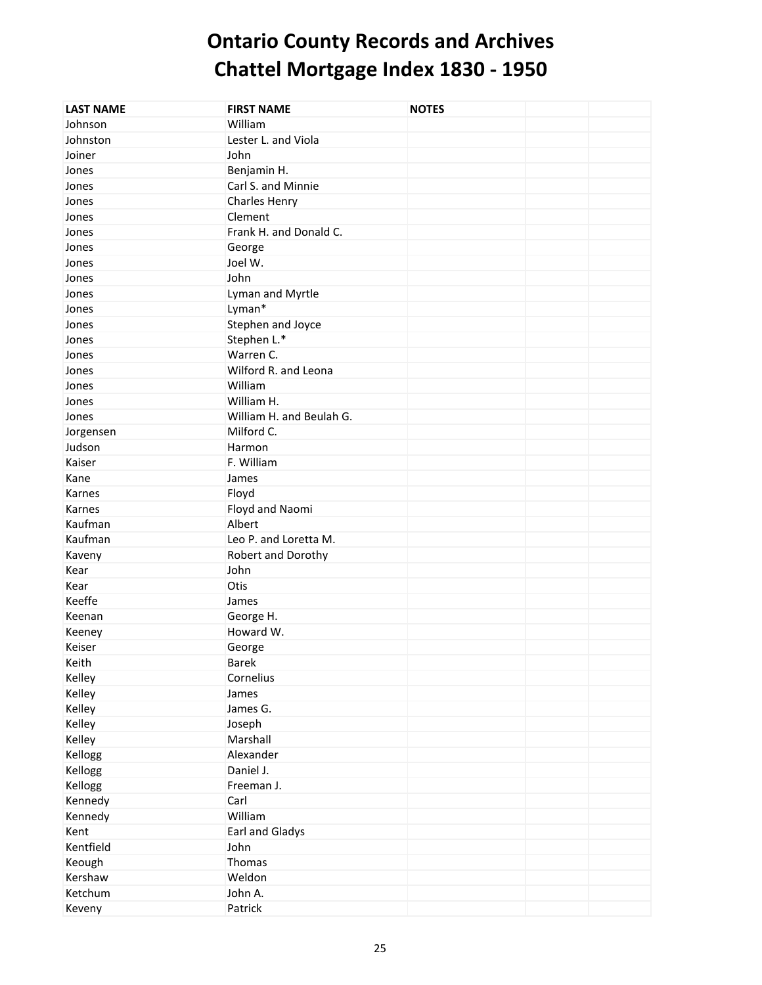| <b>LAST NAME</b> | <b>FIRST NAME</b>        | <b>NOTES</b> |  |
|------------------|--------------------------|--------------|--|
| Johnson          | William                  |              |  |
| Johnston         | Lester L. and Viola      |              |  |
| Joiner           | John                     |              |  |
| Jones            | Benjamin H.              |              |  |
| Jones            | Carl S. and Minnie       |              |  |
| Jones            | <b>Charles Henry</b>     |              |  |
| Jones            | Clement                  |              |  |
| Jones            | Frank H. and Donald C.   |              |  |
| Jones            | George                   |              |  |
| Jones            | Joel W.                  |              |  |
| Jones            | John                     |              |  |
| Jones            | Lyman and Myrtle         |              |  |
| Jones            | Lyman*                   |              |  |
| Jones            | Stephen and Joyce        |              |  |
| Jones            | Stephen L.*              |              |  |
| Jones            | Warren C.                |              |  |
| Jones            | Wilford R. and Leona     |              |  |
| Jones            | William                  |              |  |
| Jones            | William H.               |              |  |
| Jones            | William H. and Beulah G. |              |  |
| Jorgensen        | Milford C.               |              |  |
| Judson           | Harmon                   |              |  |
| Kaiser           | F. William               |              |  |
| Kane             | James                    |              |  |
| Karnes           | Floyd                    |              |  |
| Karnes           | Floyd and Naomi          |              |  |
| Kaufman          | Albert                   |              |  |
| Kaufman          | Leo P. and Loretta M.    |              |  |
| Kaveny           | Robert and Dorothy       |              |  |
| Kear             | John                     |              |  |
| Kear             | Otis                     |              |  |
| Keeffe           | James                    |              |  |
| Keenan           | George H.                |              |  |
| Keeney           | Howard W.                |              |  |
| Keiser           | George                   |              |  |
| Keith            | Barek                    |              |  |
| Kelley           | Cornelius                |              |  |
| Kelley           | James                    |              |  |
| Kelley           | James G.                 |              |  |
| Kelley           | Joseph                   |              |  |
| Kelley           | Marshall                 |              |  |
| Kellogg          | Alexander                |              |  |
| Kellogg          | Daniel J.                |              |  |
| Kellogg          | Freeman J.               |              |  |
| Kennedy          | Carl                     |              |  |
| Kennedy          | William                  |              |  |
| Kent             | <b>Earl and Gladys</b>   |              |  |
| Kentfield        | John                     |              |  |
| Keough           | Thomas                   |              |  |
| Kershaw          | Weldon                   |              |  |
| Ketchum          | John A.                  |              |  |
| Keveny           | Patrick                  |              |  |
|                  |                          |              |  |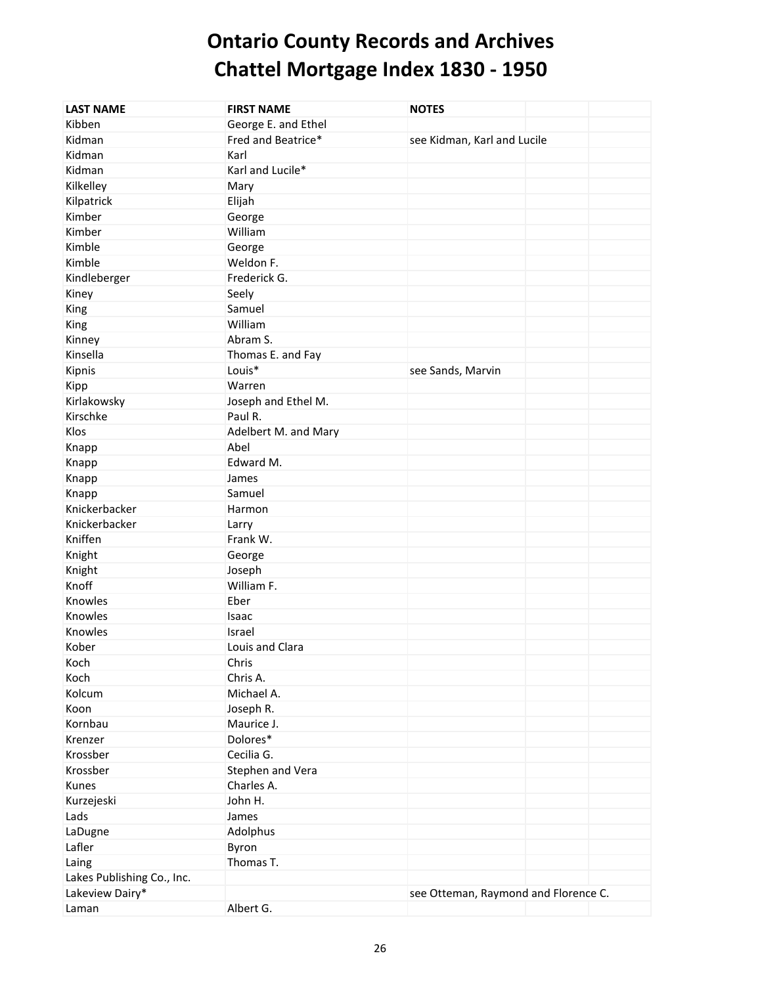| <b>LAST NAME</b>           | <b>FIRST NAME</b>    | <b>NOTES</b>                         |
|----------------------------|----------------------|--------------------------------------|
| Kibben                     | George E. and Ethel  |                                      |
| Kidman                     | Fred and Beatrice*   | see Kidman, Karl and Lucile          |
| Kidman                     | Karl                 |                                      |
| Kidman                     | Karl and Lucile*     |                                      |
| Kilkelley                  | Mary                 |                                      |
| Kilpatrick                 | Elijah               |                                      |
| Kimber                     | George               |                                      |
| Kimber                     | William              |                                      |
| Kimble                     | George               |                                      |
| Kimble                     | Weldon F.            |                                      |
| Kindleberger               | Frederick G.         |                                      |
| Kiney                      | Seely                |                                      |
| King                       | Samuel               |                                      |
| King                       | William              |                                      |
| Kinney                     | Abram S.             |                                      |
| Kinsella                   | Thomas E. and Fay    |                                      |
| Kipnis                     | Louis*               | see Sands, Marvin                    |
| Kipp                       | Warren               |                                      |
| Kirlakowsky                | Joseph and Ethel M.  |                                      |
| Kirschke                   | Paul R.              |                                      |
| Klos                       | Adelbert M. and Mary |                                      |
|                            | Abel                 |                                      |
| Knapp                      | Edward M.            |                                      |
| Knapp                      |                      |                                      |
| Knapp                      | James                |                                      |
| Knapp                      | Samuel               |                                      |
| Knickerbacker              | Harmon               |                                      |
| Knickerbacker              | Larry                |                                      |
| Kniffen                    | Frank W.             |                                      |
| Knight                     | George               |                                      |
| Knight                     | Joseph               |                                      |
| Knoff                      | William F.           |                                      |
| Knowles                    | Eber                 |                                      |
| Knowles                    | Isaac                |                                      |
| Knowles                    | Israel               |                                      |
| Kober                      | Louis and Clara      |                                      |
| Koch                       | Chris                |                                      |
| Koch                       | Chris A.             |                                      |
| Kolcum                     | Michael A.           |                                      |
| Koon                       | Joseph R.            |                                      |
| Kornbau                    | Maurice J.           |                                      |
| Krenzer                    | Dolores*             |                                      |
| Krossber                   | Cecilia G.           |                                      |
| Krossber                   | Stephen and Vera     |                                      |
| Kunes                      | Charles A.           |                                      |
| Kurzejeski                 | John H.              |                                      |
| Lads                       | James                |                                      |
| LaDugne                    | Adolphus             |                                      |
| Lafler                     | Byron                |                                      |
| Laing                      | Thomas T.            |                                      |
| Lakes Publishing Co., Inc. |                      |                                      |
| Lakeview Dairy*            |                      | see Otteman, Raymond and Florence C. |
| Laman                      | Albert G.            |                                      |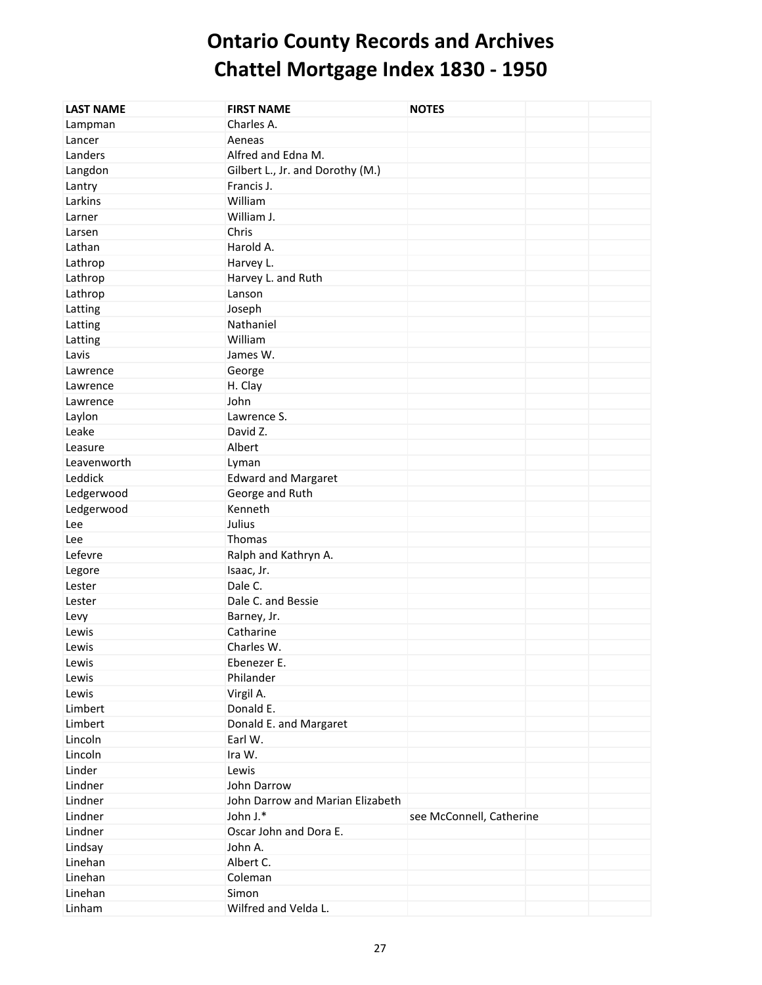| <b>LAST NAME</b> | <b>FIRST NAME</b>                | <b>NOTES</b>             |
|------------------|----------------------------------|--------------------------|
| Lampman          | Charles A.                       |                          |
| Lancer           | Aeneas                           |                          |
| Landers          | Alfred and Edna M.               |                          |
| Langdon          | Gilbert L., Jr. and Dorothy (M.) |                          |
| Lantry           | Francis J.                       |                          |
| Larkins          | William                          |                          |
| Larner           | William J.                       |                          |
| Larsen           | Chris                            |                          |
| Lathan           | Harold A.                        |                          |
| Lathrop          | Harvey L.                        |                          |
| Lathrop          | Harvey L. and Ruth               |                          |
| Lathrop          | Lanson                           |                          |
| Latting          | Joseph                           |                          |
| Latting          | Nathaniel                        |                          |
| Latting          | William                          |                          |
| Lavis            | James W.                         |                          |
| Lawrence         | George                           |                          |
| Lawrence         | H. Clay                          |                          |
| Lawrence         | John                             |                          |
| Laylon           | Lawrence S.                      |                          |
| Leake            | David Z.                         |                          |
| Leasure          | Albert                           |                          |
| Leavenworth      | Lyman                            |                          |
| Leddick          | <b>Edward and Margaret</b>       |                          |
| Ledgerwood       | George and Ruth                  |                          |
| Ledgerwood       | Kenneth                          |                          |
| Lee              | Julius                           |                          |
| Lee              | Thomas                           |                          |
| Lefevre          | Ralph and Kathryn A.             |                          |
| Legore           | Isaac, Jr.                       |                          |
| Lester           | Dale C.                          |                          |
| Lester           | Dale C. and Bessie               |                          |
| Levy             | Barney, Jr.                      |                          |
| Lewis            | Catharine                        |                          |
| Lewis            | Charles W.                       |                          |
| Lewis            | Ebenezer E.                      |                          |
| Lewis            | Philander                        |                          |
| Lewis            | Virgil A.                        |                          |
| Limbert          | Donald E.                        |                          |
| Limbert          | Donald E. and Margaret           |                          |
| Lincoln          | Earl W.                          |                          |
| Lincoln          | Ira W.                           |                          |
| Linder           | Lewis                            |                          |
| Lindner          | John Darrow                      |                          |
| Lindner          | John Darrow and Marian Elizabeth |                          |
| Lindner          | John J.*                         | see McConnell, Catherine |
| Lindner          | Oscar John and Dora E.           |                          |
| Lindsay          | John A.                          |                          |
| Linehan          | Albert C.                        |                          |
| Linehan          | Coleman                          |                          |
| Linehan          | Simon                            |                          |
| Linham           | Wilfred and Velda L.             |                          |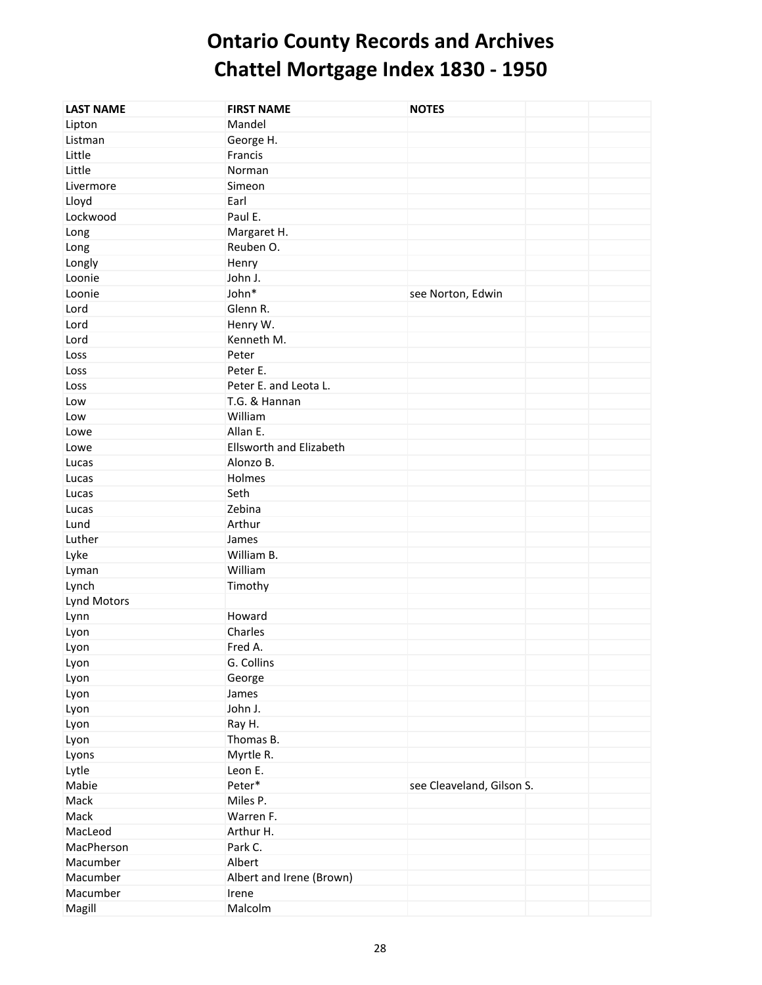| <b>LAST NAME</b>   | <b>FIRST NAME</b>              | <b>NOTES</b>              |
|--------------------|--------------------------------|---------------------------|
| Lipton             | Mandel                         |                           |
| Listman            | George H.                      |                           |
| Little             | Francis                        |                           |
| Little             | Norman                         |                           |
| Livermore          | Simeon                         |                           |
| Lloyd              | Earl                           |                           |
| Lockwood           | Paul E.                        |                           |
| Long               | Margaret H.                    |                           |
| Long               | Reuben O.                      |                           |
| Longly             | Henry                          |                           |
| Loonie             | John J.                        |                           |
| Loonie             | John*                          | see Norton, Edwin         |
| Lord               | Glenn R.                       |                           |
| Lord               | Henry W.                       |                           |
| Lord               | Kenneth M.                     |                           |
| Loss               | Peter                          |                           |
| Loss               | Peter E.                       |                           |
| Loss               | Peter E. and Leota L.          |                           |
| Low                | T.G. & Hannan                  |                           |
| Low                | William                        |                           |
| Lowe               | Allan E.                       |                           |
| Lowe               | <b>Ellsworth and Elizabeth</b> |                           |
| Lucas              | Alonzo B.                      |                           |
| Lucas              | Holmes                         |                           |
| Lucas              | Seth                           |                           |
| Lucas              | Zebina                         |                           |
| Lund               | Arthur                         |                           |
| Luther             | James                          |                           |
| Lyke               | William B.                     |                           |
| Lyman              | William                        |                           |
| Lynch              | Timothy                        |                           |
| <b>Lynd Motors</b> |                                |                           |
| Lynn               | Howard                         |                           |
| Lyon               | Charles                        |                           |
| Lyon               | Fred A.                        |                           |
| Lyon               | G. Collins                     |                           |
| Lyon               | George                         |                           |
| Lyon               | James                          |                           |
| Lyon               | John J.                        |                           |
| Lyon               | Ray H.                         |                           |
| Lyon               | Thomas B.                      |                           |
| Lyons              | Myrtle R.                      |                           |
| Lytle              | Leon E.                        |                           |
| Mabie              | Peter*                         | see Cleaveland, Gilson S. |
| Mack               | Miles P.                       |                           |
| Mack               | Warren F.                      |                           |
| MacLeod            | Arthur H.                      |                           |
| MacPherson         | Park C.                        |                           |
| Macumber           | Albert                         |                           |
| Macumber           | Albert and Irene (Brown)       |                           |
| Macumber           | Irene                          |                           |
| Magill             | Malcolm                        |                           |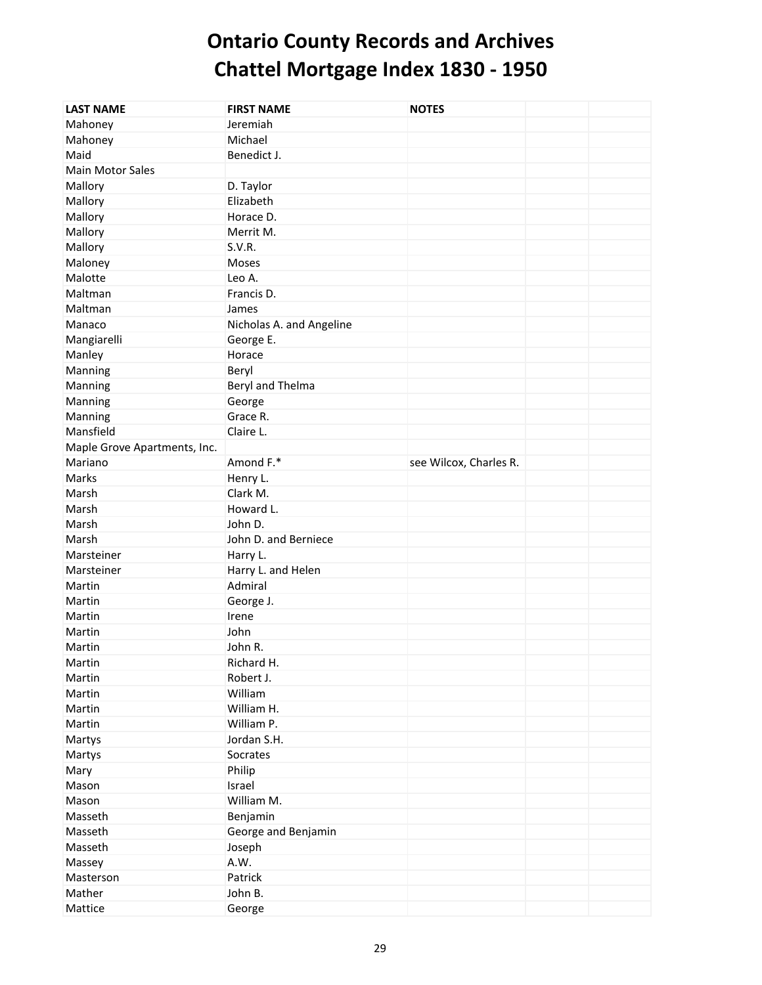| <b>LAST NAME</b>             | <b>FIRST NAME</b>        | <b>NOTES</b>           |  |
|------------------------------|--------------------------|------------------------|--|
| Mahoney                      | Jeremiah                 |                        |  |
| Mahoney                      | Michael                  |                        |  |
| Maid                         | Benedict J.              |                        |  |
| Main Motor Sales             |                          |                        |  |
| Mallory                      | D. Taylor                |                        |  |
| Mallory                      | Elizabeth                |                        |  |
| Mallory                      | Horace D.                |                        |  |
| Mallory                      | Merrit M.                |                        |  |
| Mallory                      | S.V.R.                   |                        |  |
| Maloney                      | Moses                    |                        |  |
| Malotte                      | Leo A.                   |                        |  |
| Maltman                      | Francis D.               |                        |  |
| Maltman                      | James                    |                        |  |
| Manaco                       | Nicholas A. and Angeline |                        |  |
| Mangiarelli                  | George E.                |                        |  |
| Manley                       | Horace                   |                        |  |
| Manning                      | Beryl                    |                        |  |
| Manning                      | Beryl and Thelma         |                        |  |
| Manning                      | George                   |                        |  |
| Manning                      | Grace R.                 |                        |  |
| Mansfield                    | Claire L.                |                        |  |
| Maple Grove Apartments, Inc. |                          |                        |  |
| Mariano                      | Amond F.*                | see Wilcox, Charles R. |  |
| Marks                        | Henry L.                 |                        |  |
| Marsh                        | Clark M.                 |                        |  |
| Marsh                        | Howard L.                |                        |  |
| Marsh                        | John D.                  |                        |  |
| Marsh                        | John D. and Berniece     |                        |  |
| Marsteiner                   | Harry L.                 |                        |  |
| Marsteiner                   | Harry L. and Helen       |                        |  |
| Martin                       | Admiral                  |                        |  |
| Martin                       | George J.                |                        |  |
| Martin                       | Irene                    |                        |  |
| Martin                       | John                     |                        |  |
| Martin                       | John R.                  |                        |  |
| Martin                       | Richard H.               |                        |  |
| Martin                       | Robert J.                |                        |  |
| Martin                       | William                  |                        |  |
| Martin                       | William H.               |                        |  |
| Martin                       | William P.               |                        |  |
| Martys                       | Jordan S.H.              |                        |  |
| Martys                       | Socrates                 |                        |  |
| Mary                         | Philip                   |                        |  |
| Mason                        | Israel                   |                        |  |
| Mason                        | William M.               |                        |  |
| Masseth                      | Benjamin                 |                        |  |
| Masseth                      | George and Benjamin      |                        |  |
| Masseth                      | Joseph                   |                        |  |
| Massey                       | A.W.                     |                        |  |
| Masterson                    | Patrick                  |                        |  |
| Mather                       | John B.                  |                        |  |
| Mattice                      | George                   |                        |  |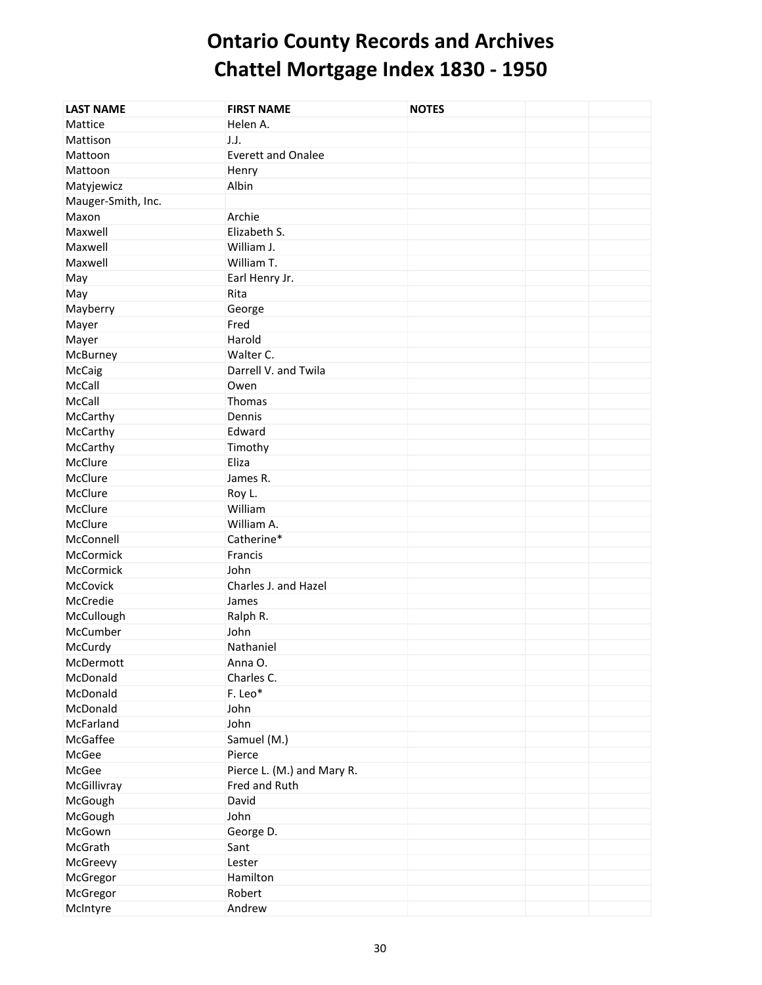| <b>LAST NAME</b>   | <b>FIRST NAME</b>          | <b>NOTES</b> |  |
|--------------------|----------------------------|--------------|--|
| Mattice            | Helen A.                   |              |  |
| Mattison           | J.J.                       |              |  |
| Mattoon            | <b>Everett and Onalee</b>  |              |  |
| Mattoon            | Henry                      |              |  |
| Matyjewicz         | Albin                      |              |  |
| Mauger-Smith, Inc. |                            |              |  |
| Maxon              | Archie                     |              |  |
| Maxwell            | Elizabeth S.               |              |  |
| Maxwell            | William J.                 |              |  |
| Maxwell            | William T.                 |              |  |
| May                | Earl Henry Jr.             |              |  |
| May                | Rita                       |              |  |
| Mayberry           | George                     |              |  |
| Mayer              | Fred                       |              |  |
| Mayer              | Harold                     |              |  |
| McBurney           | Walter C.                  |              |  |
| McCaig             | Darrell V. and Twila       |              |  |
| McCall             | Owen                       |              |  |
| McCall             | Thomas                     |              |  |
| McCarthy           | Dennis                     |              |  |
| McCarthy           | Edward                     |              |  |
| McCarthy           | Timothy                    |              |  |
| McClure            | Eliza                      |              |  |
| McClure            | James R.                   |              |  |
| McClure            | Roy L.                     |              |  |
| McClure            | William                    |              |  |
| McClure            | William A.                 |              |  |
| McConnell          | Catherine*                 |              |  |
| McCormick          | Francis                    |              |  |
| McCormick          | John                       |              |  |
| McCovick           | Charles J. and Hazel       |              |  |
| McCredie           | James                      |              |  |
| McCullough         | Ralph R.                   |              |  |
| McCumber           | John                       |              |  |
| McCurdy            | Nathaniel                  |              |  |
| McDermott          | Anna O.                    |              |  |
| McDonald           | Charles C.                 |              |  |
| McDonald           | F. Leo*                    |              |  |
| McDonald           | John                       |              |  |
| McFarland          | John                       |              |  |
| McGaffee           | Samuel (M.)                |              |  |
| McGee              | Pierce                     |              |  |
| McGee              | Pierce L. (M.) and Mary R. |              |  |
| McGillivray        | Fred and Ruth              |              |  |
| McGough            | David                      |              |  |
| McGough            | John                       |              |  |
| McGown             |                            |              |  |
|                    | George D.                  |              |  |
| McGrath            | Sant                       |              |  |
| McGreevy           | Lester                     |              |  |
| McGregor           | Hamilton                   |              |  |
| McGregor           | Robert                     |              |  |
| McIntyre           | Andrew                     |              |  |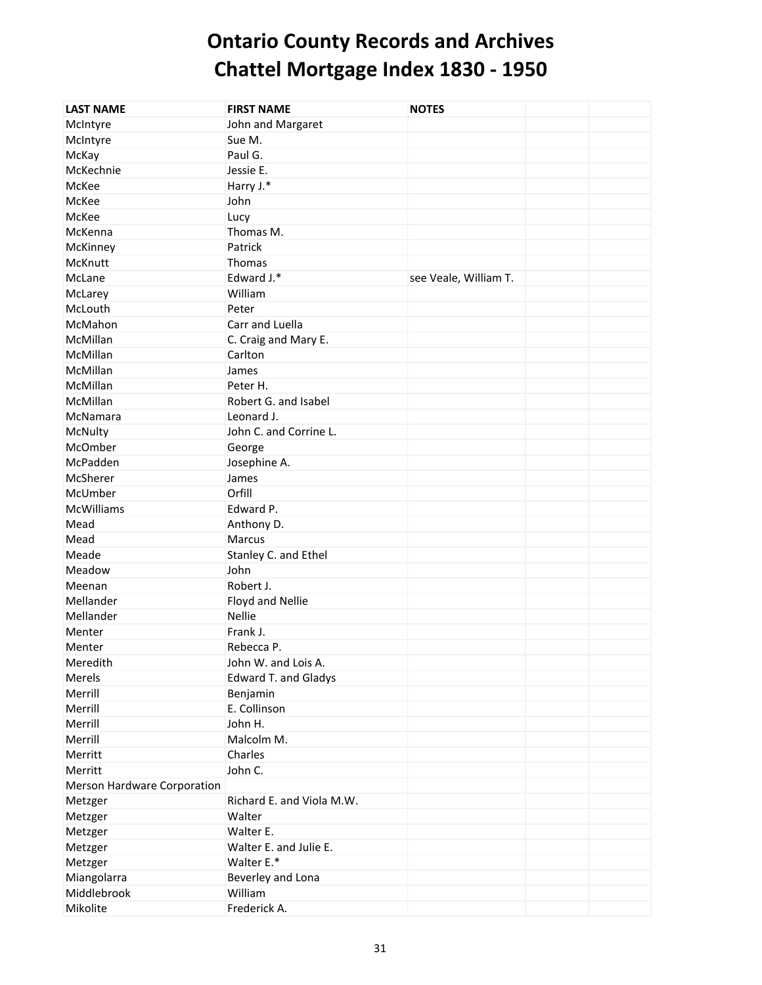| <b>LAST NAME</b>            | <b>FIRST NAME</b>                       | <b>NOTES</b>          |  |
|-----------------------------|-----------------------------------------|-----------------------|--|
| McIntyre                    | John and Margaret                       |                       |  |
| McIntyre                    | Sue M.                                  |                       |  |
| McKay                       | Paul G.                                 |                       |  |
| McKechnie                   | Jessie E.                               |                       |  |
| McKee                       | Harry J.*                               |                       |  |
| McKee                       | John                                    |                       |  |
| McKee                       | Lucy                                    |                       |  |
| McKenna                     | Thomas M.                               |                       |  |
| McKinney                    | Patrick                                 |                       |  |
| McKnutt                     | Thomas                                  |                       |  |
| McLane                      | Edward J.*                              | see Veale, William T. |  |
| McLarey                     | William                                 |                       |  |
| McLouth                     | Peter                                   |                       |  |
| McMahon                     | Carr and Luella                         |                       |  |
| McMillan                    | C. Craig and Mary E.                    |                       |  |
| McMillan                    | Carlton                                 |                       |  |
| McMillan                    | James                                   |                       |  |
| McMillan                    | Peter H.                                |                       |  |
| McMillan                    | Robert G. and Isabel                    |                       |  |
| McNamara                    | Leonard J.                              |                       |  |
| McNulty                     | John C. and Corrine L.                  |                       |  |
| McOmber                     | George                                  |                       |  |
| McPadden                    | Josephine A.                            |                       |  |
| McSherer                    | James                                   |                       |  |
| McUmber                     | Orfill                                  |                       |  |
| McWilliams                  | Edward P.                               |                       |  |
| Mead                        | Anthony D.                              |                       |  |
| Mead                        | Marcus                                  |                       |  |
| Meade                       | Stanley C. and Ethel                    |                       |  |
| Meadow                      | John                                    |                       |  |
| Meenan                      | Robert J.                               |                       |  |
| Mellander                   | Floyd and Nellie                        |                       |  |
| Mellander                   | Nellie                                  |                       |  |
| Menter                      | Frank J.                                |                       |  |
|                             | Rebecca P.                              |                       |  |
| Menter<br>Meredith          | John W. and Lois A.                     |                       |  |
| Merels                      |                                         |                       |  |
| Merrill                     | <b>Edward T. and Gladys</b><br>Benjamin |                       |  |
| Merrill                     | E. Collinson                            |                       |  |
| Merrill                     | John H.                                 |                       |  |
| Merrill                     | Malcolm M.                              |                       |  |
| Merritt                     | Charles                                 |                       |  |
| Merritt                     | John C.                                 |                       |  |
| Merson Hardware Corporation |                                         |                       |  |
|                             | Richard E. and Viola M.W.               |                       |  |
| Metzger                     | Walter                                  |                       |  |
| Metzger                     | Walter E.                               |                       |  |
| Metzger                     | Walter E. and Julie E.                  |                       |  |
| Metzger                     | Walter E.*                              |                       |  |
| Metzger                     |                                         |                       |  |
| Miangolarra                 | Beverley and Lona                       |                       |  |
| Middlebrook                 | William                                 |                       |  |
| Mikolite                    | Frederick A.                            |                       |  |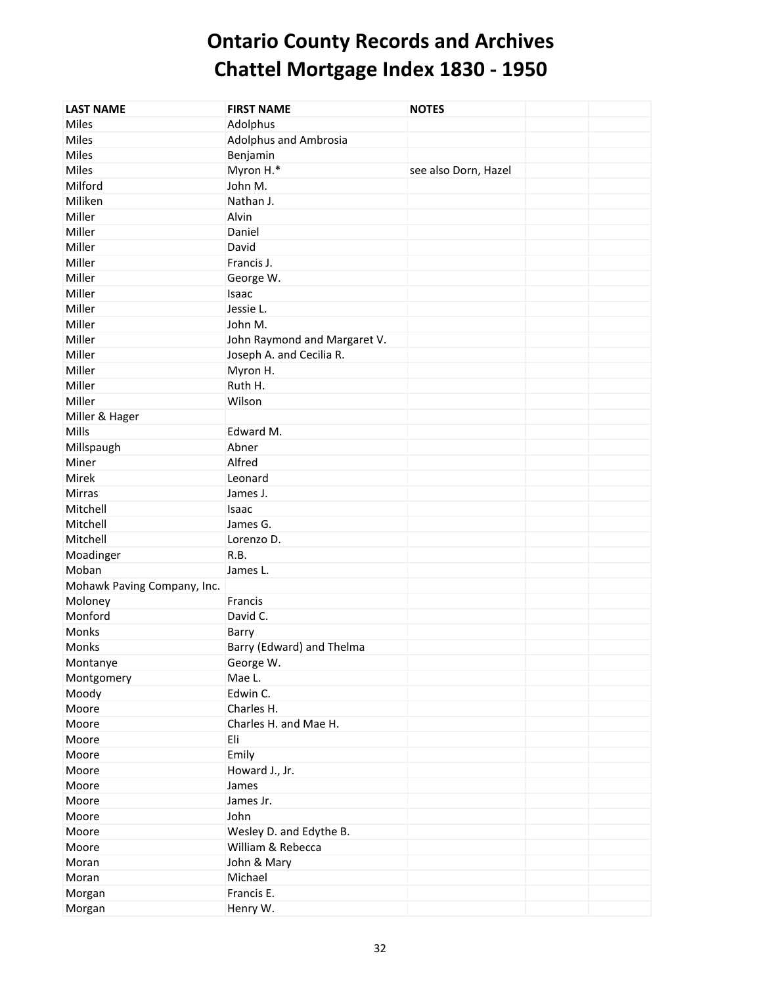| <b>LAST NAME</b>            | <b>FIRST NAME</b>            | <b>NOTES</b>         |  |
|-----------------------------|------------------------------|----------------------|--|
| Miles                       | Adolphus                     |                      |  |
| Miles                       | Adolphus and Ambrosia        |                      |  |
| Miles                       | Benjamin                     |                      |  |
| Miles                       | Myron H.*                    | see also Dorn, Hazel |  |
| Milford                     | John M.                      |                      |  |
| Miliken                     | Nathan J.                    |                      |  |
| Miller                      | Alvin                        |                      |  |
| Miller                      | Daniel                       |                      |  |
| Miller                      | David                        |                      |  |
| Miller                      | Francis J.                   |                      |  |
| Miller                      | George W.                    |                      |  |
| Miller                      | Isaac                        |                      |  |
| Miller                      | Jessie L.                    |                      |  |
| Miller                      | John M.                      |                      |  |
| Miller                      | John Raymond and Margaret V. |                      |  |
| Miller                      | Joseph A. and Cecilia R.     |                      |  |
| Miller                      | Myron H.                     |                      |  |
| Miller                      | Ruth H.                      |                      |  |
| Miller                      | Wilson                       |                      |  |
| Miller & Hager              |                              |                      |  |
| Mills                       | Edward M.                    |                      |  |
| Millspaugh                  | Abner                        |                      |  |
| Miner                       | Alfred                       |                      |  |
| Mirek                       | Leonard                      |                      |  |
| Mirras                      | James J.                     |                      |  |
| Mitchell                    | Isaac                        |                      |  |
| Mitchell                    | James G.                     |                      |  |
| Mitchell                    | Lorenzo D.                   |                      |  |
| Moadinger                   | R.B.                         |                      |  |
| Moban                       | James L.                     |                      |  |
| Mohawk Paving Company, Inc. |                              |                      |  |
| Moloney                     | Francis                      |                      |  |
| Monford                     | David C.                     |                      |  |
| Monks                       | Barry                        |                      |  |
| Monks                       | Barry (Edward) and Thelma    |                      |  |
| Montanye                    | George W.                    |                      |  |
| Montgomery                  | Mae L.                       |                      |  |
| Moody                       | Edwin C.                     |                      |  |
| Moore                       | Charles H.                   |                      |  |
| Moore                       | Charles H. and Mae H.        |                      |  |
| Moore                       | Eli                          |                      |  |
| Moore                       | Emily                        |                      |  |
| Moore                       | Howard J., Jr.               |                      |  |
| Moore                       | James                        |                      |  |
| Moore                       | James Jr.                    |                      |  |
| Moore                       | John                         |                      |  |
| Moore                       |                              |                      |  |
|                             | Wesley D. and Edythe B.      |                      |  |
| Moore                       | William & Rebecca            |                      |  |
| Moran                       | John & Mary                  |                      |  |
| Moran                       | Michael                      |                      |  |
| Morgan                      | Francis E.                   |                      |  |
| Morgan                      | Henry W.                     |                      |  |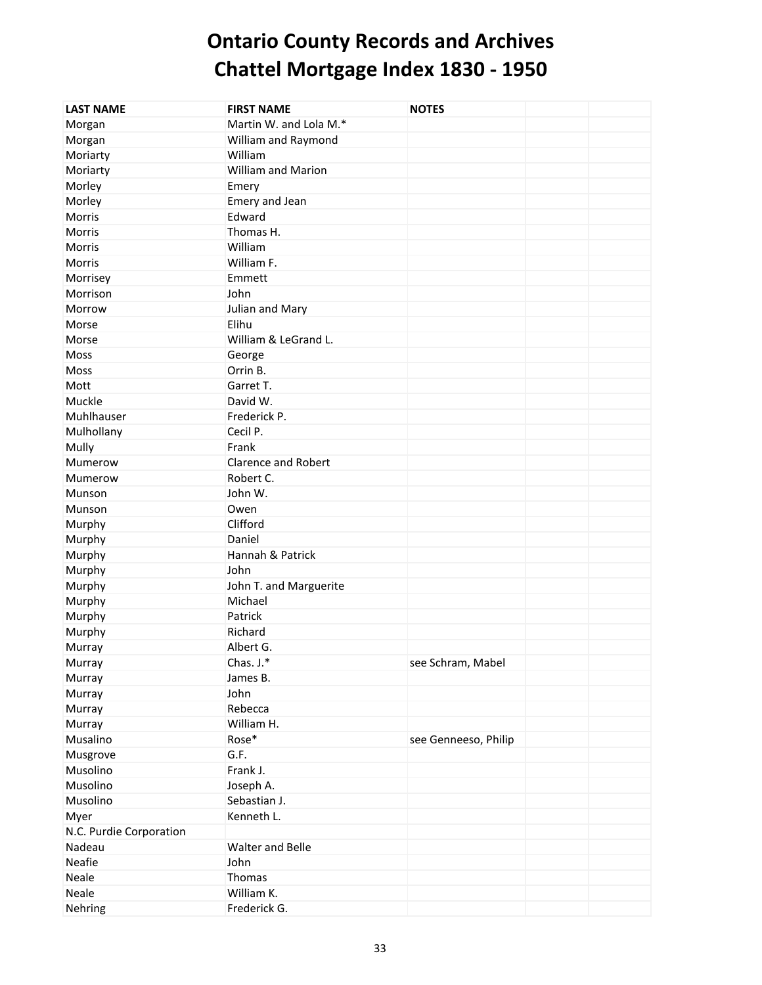| <b>LAST NAME</b>        | <b>FIRST NAME</b>          | <b>NOTES</b>         |  |
|-------------------------|----------------------------|----------------------|--|
| Morgan                  | Martin W. and Lola M.*     |                      |  |
| Morgan                  | William and Raymond        |                      |  |
| Moriarty                | William                    |                      |  |
| Moriarty                | <b>William and Marion</b>  |                      |  |
| Morley                  | Emery                      |                      |  |
| Morley                  | Emery and Jean             |                      |  |
| Morris                  | Edward                     |                      |  |
| Morris                  | Thomas H.                  |                      |  |
| Morris                  | William                    |                      |  |
| Morris                  | William F.                 |                      |  |
| Morrisey                | Emmett                     |                      |  |
| Morrison                | John                       |                      |  |
| Morrow                  | Julian and Mary            |                      |  |
| Morse                   | Elihu                      |                      |  |
| Morse                   | William & LeGrand L.       |                      |  |
| Moss                    | George                     |                      |  |
| Moss                    | Orrin B.                   |                      |  |
| Mott                    | Garret T.                  |                      |  |
| Muckle                  | David W.                   |                      |  |
| Muhlhauser              | Frederick P.               |                      |  |
| Mulhollany              | Cecil P.                   |                      |  |
| Mully                   | Frank                      |                      |  |
| Mumerow                 | <b>Clarence and Robert</b> |                      |  |
| Mumerow                 | Robert C.                  |                      |  |
| Munson                  | John W.                    |                      |  |
| Munson                  | Owen                       |                      |  |
| Murphy                  | Clifford                   |                      |  |
| Murphy                  | Daniel                     |                      |  |
| Murphy                  | Hannah & Patrick           |                      |  |
| Murphy                  | John                       |                      |  |
| Murphy                  | John T. and Marguerite     |                      |  |
| Murphy                  | Michael                    |                      |  |
| Murphy                  | Patrick                    |                      |  |
| Murphy                  | Richard                    |                      |  |
| Murray                  | Albert G.                  |                      |  |
| Murray                  | Chas. J.*                  | see Schram, Mabel    |  |
| Murray                  | James B.                   |                      |  |
| Murray                  | John                       |                      |  |
| Murray                  | Rebecca                    |                      |  |
| Murray                  | William H.                 |                      |  |
| Musalino                | Rose*                      | see Genneeso, Philip |  |
| Musgrove                | G.F.                       |                      |  |
| Musolino                | Frank J.                   |                      |  |
| Musolino                | Joseph A.                  |                      |  |
| Musolino                | Sebastian J.               |                      |  |
| Myer                    | Kenneth L.                 |                      |  |
| N.C. Purdie Corporation |                            |                      |  |
| Nadeau                  | <b>Walter and Belle</b>    |                      |  |
| Neafie                  | John                       |                      |  |
| Neale                   | Thomas                     |                      |  |
| Neale                   | William K.                 |                      |  |
| Nehring                 | Frederick G.               |                      |  |
|                         |                            |                      |  |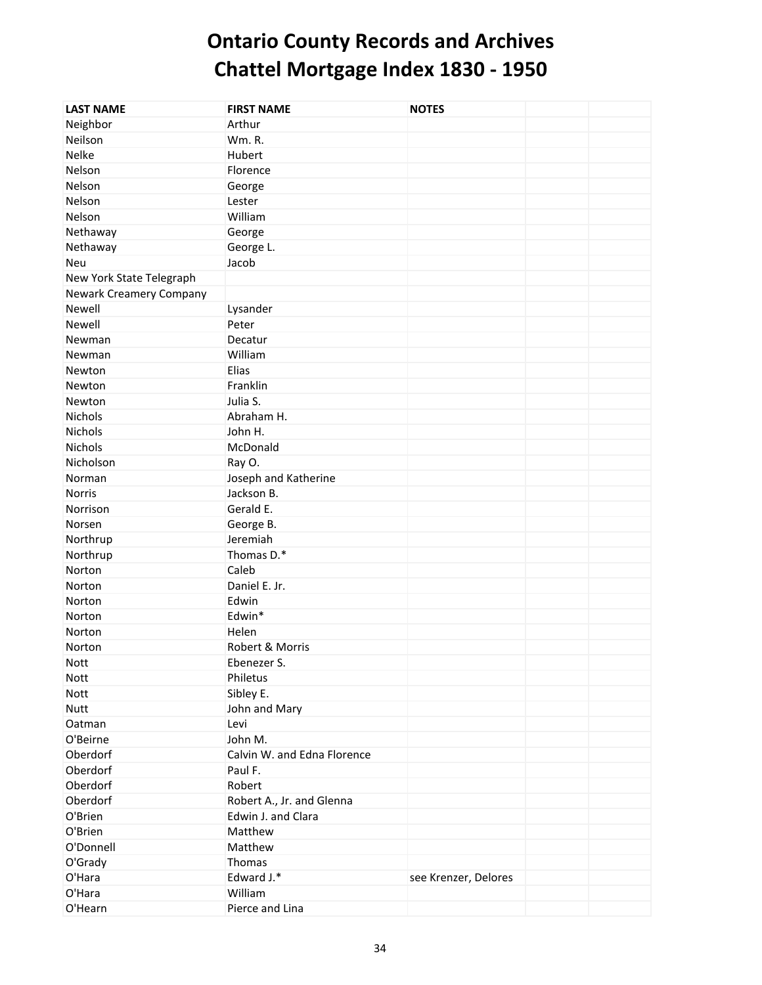| <b>LAST NAME</b>         | <b>FIRST NAME</b>           | <b>NOTES</b>         |  |
|--------------------------|-----------------------------|----------------------|--|
| Neighbor                 | Arthur                      |                      |  |
| Neilson                  | Wm.R.                       |                      |  |
| Nelke                    | Hubert                      |                      |  |
| Nelson                   | Florence                    |                      |  |
| Nelson                   | George                      |                      |  |
| Nelson                   | Lester                      |                      |  |
| Nelson                   | William                     |                      |  |
| Nethaway                 | George                      |                      |  |
| Nethaway                 | George L.                   |                      |  |
| Neu                      | Jacob                       |                      |  |
| New York State Telegraph |                             |                      |  |
| Newark Creamery Company  |                             |                      |  |
| Newell                   | Lysander                    |                      |  |
| Newell                   | Peter                       |                      |  |
| Newman                   | Decatur                     |                      |  |
| Newman                   | William                     |                      |  |
| Newton                   | Elias                       |                      |  |
| Newton                   | Franklin                    |                      |  |
| Newton                   | Julia S.                    |                      |  |
| Nichols                  | Abraham H.                  |                      |  |
| Nichols                  | John H.                     |                      |  |
| <b>Nichols</b>           | McDonald                    |                      |  |
| Nicholson                | Ray O.                      |                      |  |
| Norman                   | Joseph and Katherine        |                      |  |
| Norris                   | Jackson B.                  |                      |  |
| Norrison                 | Gerald E.                   |                      |  |
| Norsen                   | George B.                   |                      |  |
| Northrup                 | Jeremiah                    |                      |  |
| Northrup                 | Thomas D.*                  |                      |  |
| Norton                   | Caleb                       |                      |  |
| Norton                   | Daniel E. Jr.               |                      |  |
| Norton                   | Edwin                       |                      |  |
| Norton                   | Edwin*                      |                      |  |
| Norton                   | Helen                       |                      |  |
| Norton                   | Robert & Morris             |                      |  |
| Nott                     | Ebenezer S.                 |                      |  |
| Nott                     | Philetus                    |                      |  |
| Nott                     | Sibley E.                   |                      |  |
| <b>Nutt</b>              | John and Mary               |                      |  |
| Oatman                   | Levi                        |                      |  |
| O'Beirne                 | John M.                     |                      |  |
| Oberdorf                 | Calvin W. and Edna Florence |                      |  |
| Oberdorf                 | Paul F.                     |                      |  |
| Oberdorf                 | Robert                      |                      |  |
| Oberdorf                 | Robert A., Jr. and Glenna   |                      |  |
| O'Brien                  | Edwin J. and Clara          |                      |  |
| O'Brien                  | Matthew                     |                      |  |
| O'Donnell                | Matthew                     |                      |  |
| O'Grady                  | Thomas                      |                      |  |
| O'Hara                   | Edward J.*                  | see Krenzer, Delores |  |
| O'Hara                   | William                     |                      |  |
| O'Hearn                  | Pierce and Lina             |                      |  |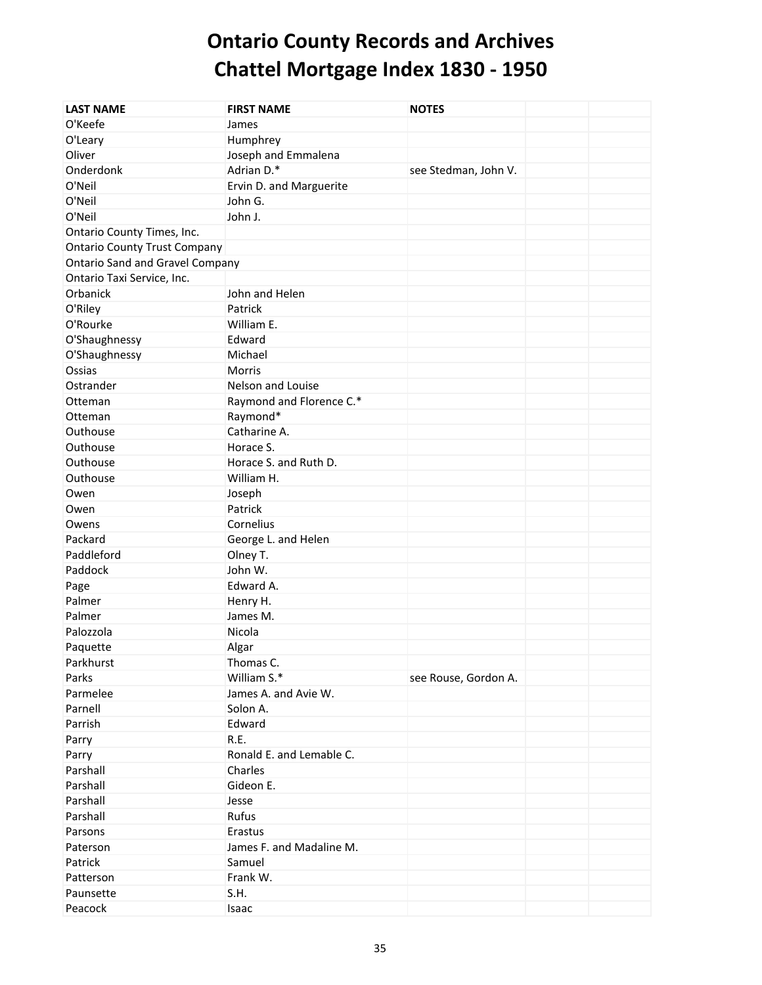| <b>LAST NAME</b>                       | <b>FIRST NAME</b>        | <b>NOTES</b>         |  |
|----------------------------------------|--------------------------|----------------------|--|
| O'Keefe                                | James                    |                      |  |
| O'Leary                                | Humphrey                 |                      |  |
| Oliver                                 | Joseph and Emmalena      |                      |  |
| Onderdonk                              | Adrian D.*               | see Stedman, John V. |  |
| O'Neil                                 | Ervin D. and Marguerite  |                      |  |
| O'Neil                                 | John G.                  |                      |  |
| O'Neil                                 | John J.                  |                      |  |
| Ontario County Times, Inc.             |                          |                      |  |
| <b>Ontario County Trust Company</b>    |                          |                      |  |
| <b>Ontario Sand and Gravel Company</b> |                          |                      |  |
| Ontario Taxi Service, Inc.             |                          |                      |  |
| Orbanick                               | John and Helen           |                      |  |
| O'Riley                                | Patrick                  |                      |  |
| O'Rourke                               | William E.               |                      |  |
| O'Shaughnessy                          | Edward                   |                      |  |
| O'Shaughnessy                          | Michael                  |                      |  |
| Ossias                                 | <b>Morris</b>            |                      |  |
| Ostrander                              | Nelson and Louise        |                      |  |
| Otteman                                | Raymond and Florence C.* |                      |  |
| Otteman                                | Raymond*                 |                      |  |
| Outhouse                               | Catharine A.             |                      |  |
| Outhouse                               | Horace S.                |                      |  |
| Outhouse                               | Horace S. and Ruth D.    |                      |  |
| Outhouse                               | William H.               |                      |  |
| Owen                                   | Joseph                   |                      |  |
| Owen                                   | Patrick                  |                      |  |
| Owens                                  | Cornelius                |                      |  |
| Packard                                | George L. and Helen      |                      |  |
| Paddleford                             | Olney T.                 |                      |  |
| Paddock                                | John W.                  |                      |  |
| Page                                   | Edward A.                |                      |  |
| Palmer                                 | Henry H.                 |                      |  |
| Palmer                                 | James M.                 |                      |  |
| Palozzola                              | Nicola                   |                      |  |
| Paquette                               | Algar                    |                      |  |
| Parkhurst                              | Thomas C.                |                      |  |
| Parks                                  | William S.*              | see Rouse, Gordon A. |  |
| Parmelee                               | James A. and Avie W.     |                      |  |
| Parnell                                | Solon A.                 |                      |  |
| Parrish                                | Edward                   |                      |  |
| Parry                                  | R.E.                     |                      |  |
| Parry                                  | Ronald E. and Lemable C. |                      |  |
| Parshall                               | Charles                  |                      |  |
| Parshall                               | Gideon E.                |                      |  |
| Parshall                               | Jesse                    |                      |  |
| Parshall                               | Rufus                    |                      |  |
| Parsons                                | Erastus                  |                      |  |
| Paterson                               | James F. and Madaline M. |                      |  |
| Patrick                                | Samuel                   |                      |  |
| Patterson                              | Frank W.                 |                      |  |
| Paunsette                              | S.H.                     |                      |  |
| Peacock                                | Isaac                    |                      |  |
|                                        |                          |                      |  |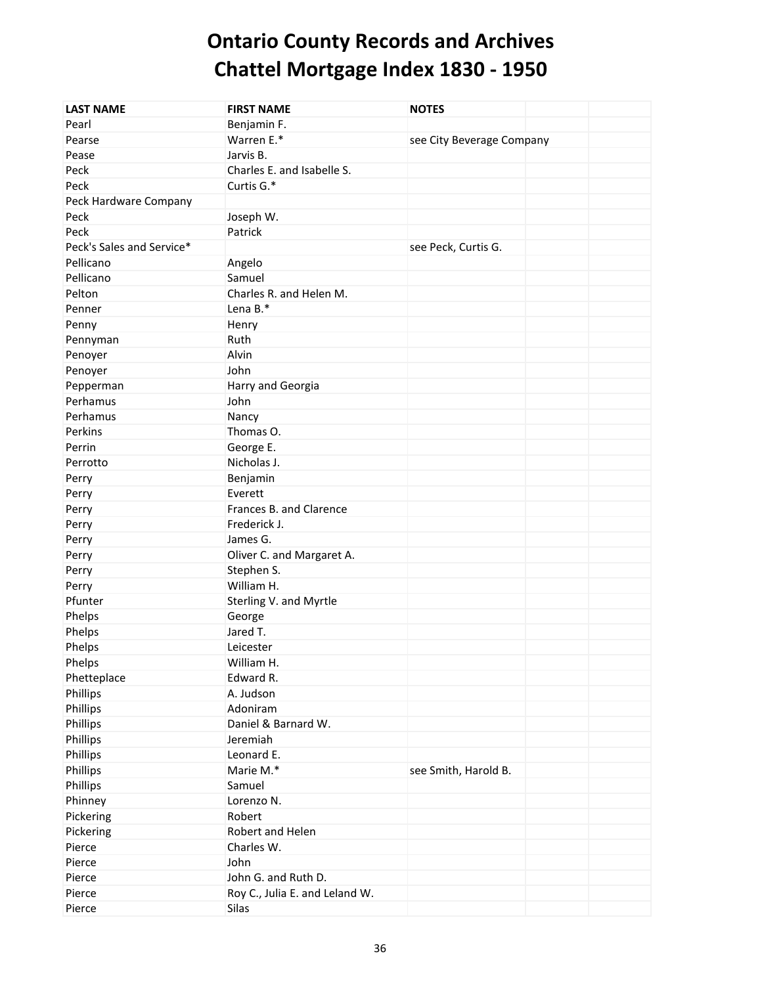| <b>LAST NAME</b>          | <b>FIRST NAME</b>              | <b>NOTES</b>              |  |
|---------------------------|--------------------------------|---------------------------|--|
| Pearl                     | Benjamin F.                    |                           |  |
| Pearse                    | Warren E.*                     | see City Beverage Company |  |
| Pease                     | Jarvis B.                      |                           |  |
| Peck                      | Charles E. and Isabelle S.     |                           |  |
| Peck                      | Curtis G.*                     |                           |  |
| Peck Hardware Company     |                                |                           |  |
| Peck                      | Joseph W.                      |                           |  |
| Peck                      | Patrick                        |                           |  |
| Peck's Sales and Service* |                                | see Peck, Curtis G.       |  |
| Pellicano                 | Angelo                         |                           |  |
| Pellicano                 | Samuel                         |                           |  |
| Pelton                    | Charles R. and Helen M.        |                           |  |
| Penner                    | Lena B.*                       |                           |  |
| Penny                     | Henry                          |                           |  |
| Pennyman                  | Ruth                           |                           |  |
| Penoyer                   | Alvin                          |                           |  |
| Penoyer                   | John                           |                           |  |
| Pepperman                 | Harry and Georgia              |                           |  |
| Perhamus                  | John                           |                           |  |
| Perhamus                  | Nancy                          |                           |  |
| Perkins                   | Thomas O.                      |                           |  |
| Perrin                    | George E.                      |                           |  |
| Perrotto                  | Nicholas J.                    |                           |  |
| Perry                     | Benjamin                       |                           |  |
| Perry                     | Everett                        |                           |  |
| Perry                     | Frances B. and Clarence        |                           |  |
| Perry                     | Frederick J.                   |                           |  |
| Perry                     | James G.                       |                           |  |
| Perry                     | Oliver C. and Margaret A.      |                           |  |
| Perry                     | Stephen S.                     |                           |  |
| Perry                     | William H.                     |                           |  |
| Pfunter                   | Sterling V. and Myrtle         |                           |  |
| Phelps                    | George                         |                           |  |
| Phelps                    | Jared T.                       |                           |  |
| Phelps                    | Leicester                      |                           |  |
| Phelps                    | William H.                     |                           |  |
| Phetteplace               | Edward R.                      |                           |  |
| Phillips                  | A. Judson                      |                           |  |
| Phillips                  | Adoniram                       |                           |  |
| Phillips                  | Daniel & Barnard W.            |                           |  |
| Phillips                  | Jeremiah                       |                           |  |
| Phillips                  | Leonard E.                     |                           |  |
| Phillips                  | Marie M.*                      | see Smith, Harold B.      |  |
| Phillips                  | Samuel                         |                           |  |
| Phinney                   | Lorenzo N.                     |                           |  |
| Pickering                 | Robert                         |                           |  |
| Pickering                 | Robert and Helen               |                           |  |
| Pierce                    | Charles W.                     |                           |  |
| Pierce                    | John                           |                           |  |
| Pierce                    | John G. and Ruth D.            |                           |  |
| Pierce                    | Roy C., Julia E. and Leland W. |                           |  |
| Pierce                    | Silas                          |                           |  |
|                           |                                |                           |  |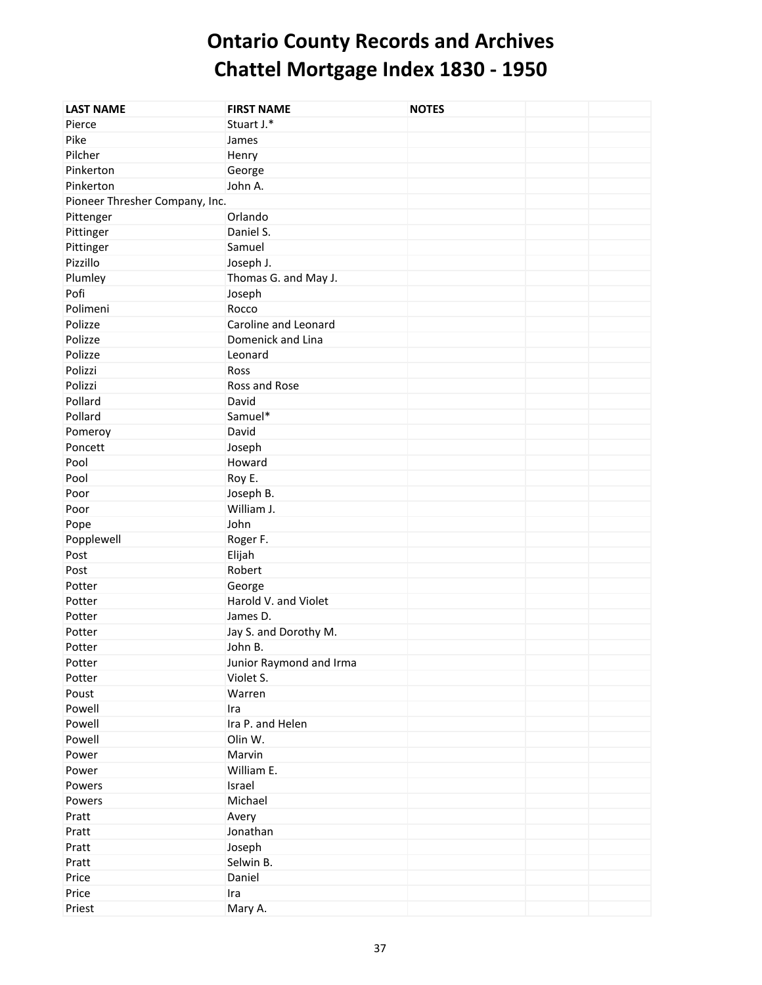| <b>LAST NAME</b>               | <b>FIRST NAME</b>       | <b>NOTES</b> |  |
|--------------------------------|-------------------------|--------------|--|
| Pierce                         | Stuart J.*              |              |  |
| Pike                           | James                   |              |  |
| Pilcher                        | Henry                   |              |  |
| Pinkerton                      | George                  |              |  |
| Pinkerton                      | John A.                 |              |  |
| Pioneer Thresher Company, Inc. |                         |              |  |
| Pittenger                      | Orlando                 |              |  |
| Pittinger                      | Daniel S.               |              |  |
| Pittinger                      | Samuel                  |              |  |
| Pizzillo                       | Joseph J.               |              |  |
| Plumley                        | Thomas G. and May J.    |              |  |
| Pofi                           | Joseph                  |              |  |
| Polimeni                       | Rocco                   |              |  |
| Polizze                        | Caroline and Leonard    |              |  |
| Polizze                        | Domenick and Lina       |              |  |
| Polizze                        | Leonard                 |              |  |
| Polizzi                        | Ross                    |              |  |
| Polizzi                        | Ross and Rose           |              |  |
| Pollard                        | David                   |              |  |
| Pollard                        | Samuel*                 |              |  |
| Pomeroy                        | David                   |              |  |
| Poncett                        | Joseph                  |              |  |
| Pool                           | Howard                  |              |  |
| Pool                           | Roy E.                  |              |  |
| Poor                           | Joseph B.               |              |  |
| Poor                           | William J.              |              |  |
| Pope                           | John                    |              |  |
| Popplewell                     | Roger F.                |              |  |
| Post                           | Elijah                  |              |  |
| Post                           | Robert                  |              |  |
| Potter                         | George                  |              |  |
| Potter                         | Harold V. and Violet    |              |  |
| Potter                         | James D.                |              |  |
| Potter                         | Jay S. and Dorothy M.   |              |  |
| Potter                         | John B.                 |              |  |
| Potter                         | Junior Raymond and Irma |              |  |
| Potter                         | Violet S.               |              |  |
| Poust                          | Warren                  |              |  |
| Powell                         | Ira                     |              |  |
| Powell                         | Ira P. and Helen        |              |  |
| Powell                         | Olin W.                 |              |  |
| Power                          | Marvin                  |              |  |
| Power                          | William E.              |              |  |
| Powers                         | Israel                  |              |  |
|                                |                         |              |  |
| Powers<br>Pratt                | Michael<br>Avery        |              |  |
|                                |                         |              |  |
| Pratt                          | Jonathan                |              |  |
| Pratt                          | Joseph                  |              |  |
| Pratt                          | Selwin B.               |              |  |
| Price                          | Daniel                  |              |  |
| Price                          | Ira                     |              |  |
| Priest                         | Mary A.                 |              |  |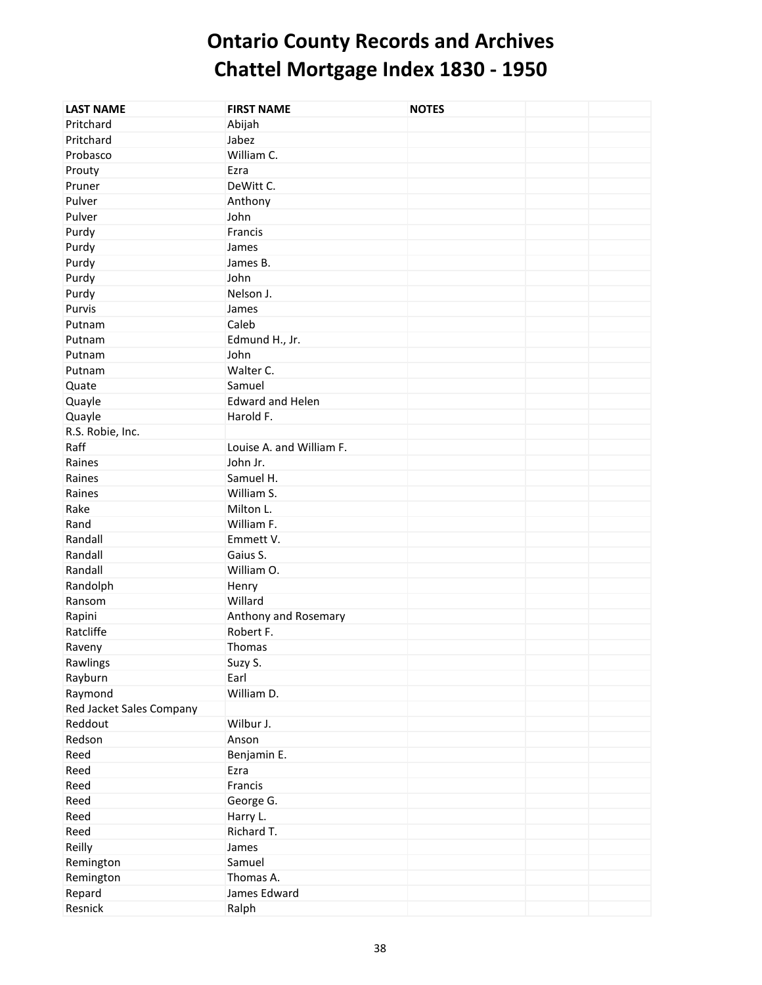| <b>LAST NAME</b>         | <b>FIRST NAME</b>        | <b>NOTES</b> |  |
|--------------------------|--------------------------|--------------|--|
| Pritchard                | Abijah                   |              |  |
| Pritchard                | Jabez                    |              |  |
| Probasco                 | William C.               |              |  |
| Prouty                   | Ezra                     |              |  |
| Pruner                   | DeWitt C.                |              |  |
| Pulver                   | Anthony                  |              |  |
| Pulver                   | John                     |              |  |
| Purdy                    | Francis                  |              |  |
| Purdy                    | James                    |              |  |
| Purdy                    | James B.                 |              |  |
| Purdy                    | John                     |              |  |
| Purdy                    | Nelson J.                |              |  |
| Purvis                   | James                    |              |  |
| Putnam                   | Caleb                    |              |  |
| Putnam                   | Edmund H., Jr.           |              |  |
|                          | John                     |              |  |
| Putnam<br>Putnam         | Walter C.                |              |  |
|                          |                          |              |  |
| Quate                    | Samuel                   |              |  |
| Quayle                   | <b>Edward and Helen</b>  |              |  |
| Quayle                   | Harold F.                |              |  |
| R.S. Robie, Inc.         |                          |              |  |
| Raff                     | Louise A. and William F. |              |  |
| Raines                   | John Jr.                 |              |  |
| Raines                   | Samuel H.                |              |  |
| Raines                   | William S.               |              |  |
| Rake                     | Milton L.                |              |  |
| Rand                     | William F.               |              |  |
| Randall                  | Emmett V.                |              |  |
| Randall                  | Gaius S.                 |              |  |
| Randall                  | William O.               |              |  |
| Randolph                 | Henry                    |              |  |
| Ransom                   | Willard                  |              |  |
| Rapini                   | Anthony and Rosemary     |              |  |
| Ratcliffe                | Robert F.                |              |  |
| Raveny                   | Thomas                   |              |  |
| Rawlings                 | Suzy S.                  |              |  |
| Rayburn                  | Earl                     |              |  |
| Raymond                  | William D.               |              |  |
| Red Jacket Sales Company |                          |              |  |
| Reddout                  | Wilbur J.                |              |  |
| Redson                   | Anson                    |              |  |
| Reed                     | Benjamin E.              |              |  |
| Reed                     | Ezra                     |              |  |
| Reed                     | Francis                  |              |  |
| Reed                     | George G.                |              |  |
| Reed                     | Harry L.                 |              |  |
| Reed                     | Richard T.               |              |  |
| Reilly                   | James                    |              |  |
| Remington                | Samuel                   |              |  |
| Remington                | Thomas A.                |              |  |
| Repard                   | James Edward             |              |  |
| Resnick                  | Ralph                    |              |  |
|                          |                          |              |  |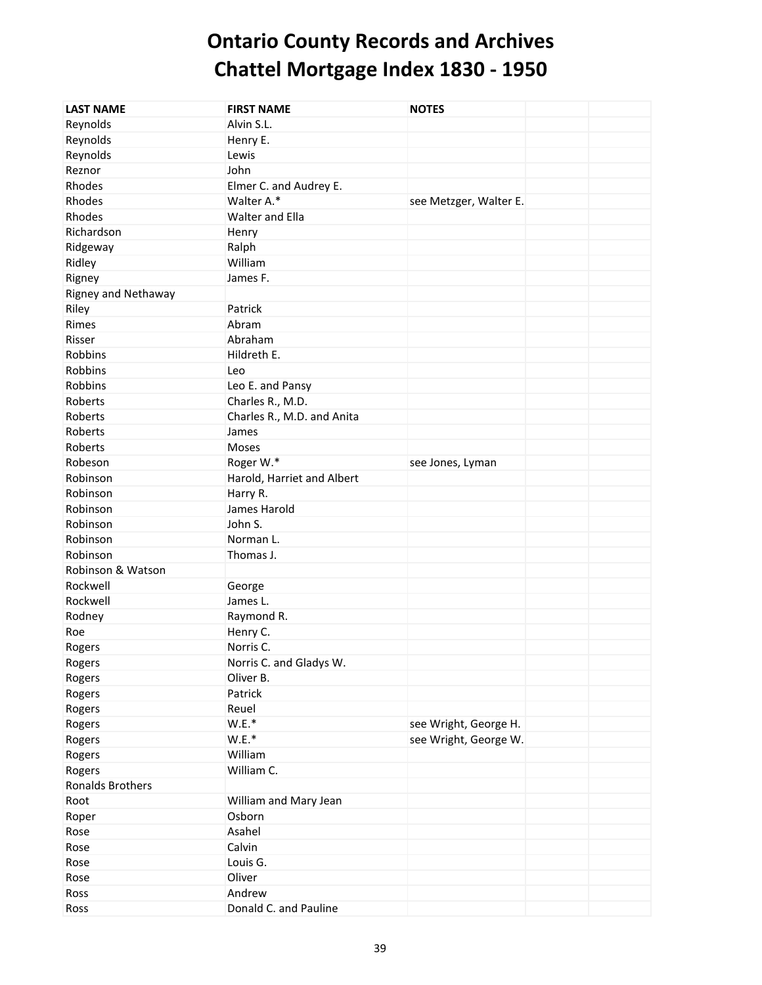| <b>LAST NAME</b>    | <b>FIRST NAME</b>          | <b>NOTES</b>           |
|---------------------|----------------------------|------------------------|
| Reynolds            | Alvin S.L.                 |                        |
| Reynolds            | Henry E.                   |                        |
| Reynolds            | Lewis                      |                        |
| Reznor              | John                       |                        |
| Rhodes              | Elmer C. and Audrey E.     |                        |
| Rhodes              | Walter A.*                 | see Metzger, Walter E. |
| Rhodes              | <b>Walter and Ella</b>     |                        |
| Richardson          | Henry                      |                        |
| Ridgeway            | Ralph                      |                        |
| Ridley              | William                    |                        |
| Rigney              | James F.                   |                        |
| Rigney and Nethaway |                            |                        |
| Riley               | Patrick                    |                        |
| Rimes               | Abram                      |                        |
| Risser              | Abraham                    |                        |
| Robbins             | Hildreth E.                |                        |
| Robbins             | Leo                        |                        |
| Robbins             | Leo E. and Pansy           |                        |
| Roberts             | Charles R., M.D.           |                        |
| Roberts             | Charles R., M.D. and Anita |                        |
| Roberts             | James                      |                        |
| Roberts             | Moses                      |                        |
| Robeson             | Roger W.*                  | see Jones, Lyman       |
| Robinson            | Harold, Harriet and Albert |                        |
| Robinson            | Harry R.                   |                        |
| Robinson            | James Harold               |                        |
| Robinson            | John S.                    |                        |
| Robinson            | Norman L.                  |                        |
| Robinson            | Thomas J.                  |                        |
| Robinson & Watson   |                            |                        |
| Rockwell            | George                     |                        |
| Rockwell            | James L.                   |                        |
| Rodney              | Raymond R.                 |                        |
| Roe                 | Henry C.                   |                        |
| Rogers              | Norris C.                  |                        |
| Rogers              | Norris C. and Gladys W.    |                        |
| Rogers              | Oliver B.                  |                        |
| Rogers              | Patrick                    |                        |
| Rogers              | Reuel                      |                        |
| Rogers              | $W.E.*$                    | see Wright, George H.  |
| Rogers              | $W.E.*$                    | see Wright, George W.  |
| Rogers              | William                    |                        |
| Rogers              | William C.                 |                        |
| Ronalds Brothers    |                            |                        |
| Root                | William and Mary Jean      |                        |
| Roper               | Osborn                     |                        |
| Rose                | Asahel                     |                        |
| Rose                | Calvin                     |                        |
| Rose                | Louis G.                   |                        |
| Rose                | Oliver                     |                        |
| Ross                | Andrew                     |                        |
| Ross                | Donald C. and Pauline      |                        |
|                     |                            |                        |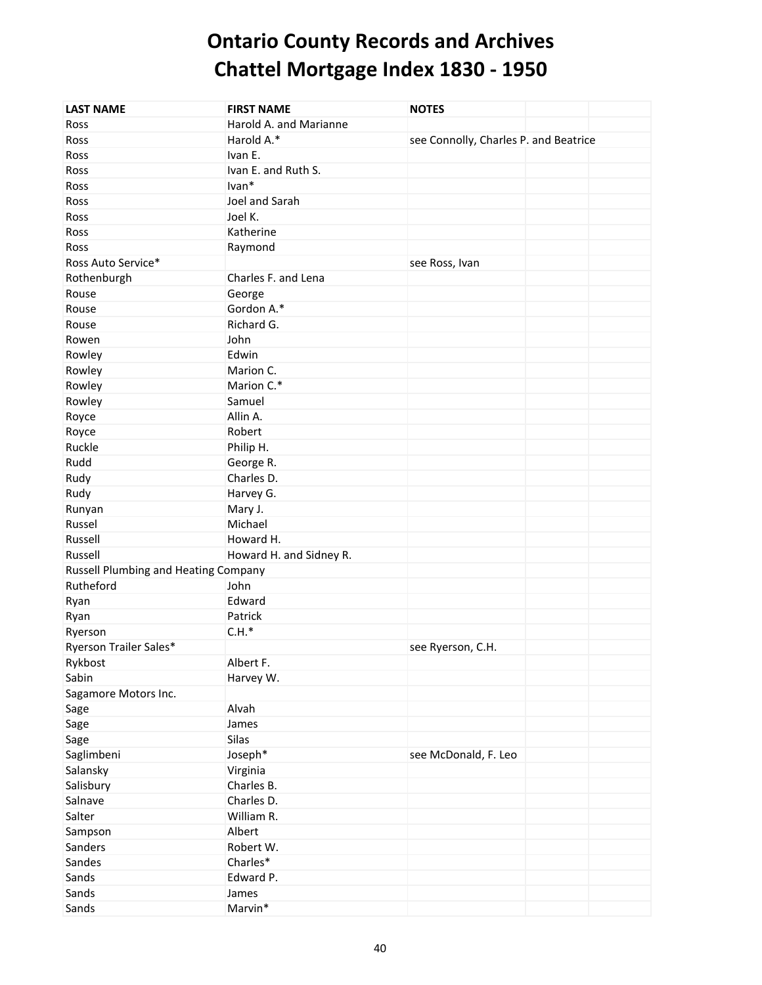| <b>LAST NAME</b>                     | <b>FIRST NAME</b>       | <b>NOTES</b>                          |
|--------------------------------------|-------------------------|---------------------------------------|
| Ross                                 | Harold A. and Marianne  |                                       |
| Ross                                 | Harold A.*              | see Connolly, Charles P. and Beatrice |
| Ross                                 | Ivan E.                 |                                       |
| Ross                                 | Ivan E. and Ruth S.     |                                       |
| Ross                                 | Ivan*                   |                                       |
| Ross                                 | Joel and Sarah          |                                       |
| Ross                                 | Joel K.                 |                                       |
| Ross                                 | Katherine               |                                       |
| Ross                                 | Raymond                 |                                       |
| Ross Auto Service*                   |                         | see Ross, Ivan                        |
| Rothenburgh                          | Charles F. and Lena     |                                       |
| Rouse                                | George                  |                                       |
| Rouse                                | Gordon A.*              |                                       |
| Rouse                                | Richard G.              |                                       |
| Rowen                                | John                    |                                       |
| Rowley                               | Edwin                   |                                       |
| Rowley                               | Marion C.               |                                       |
| Rowley                               | Marion C.*              |                                       |
| Rowley                               | Samuel                  |                                       |
| Royce                                | Allin A.                |                                       |
| Royce                                | Robert                  |                                       |
| Ruckle                               |                         |                                       |
| Rudd                                 | Philip H.               |                                       |
|                                      | George R.<br>Charles D. |                                       |
| Rudy                                 |                         |                                       |
| Rudy                                 | Harvey G.               |                                       |
| Runyan                               | Mary J.                 |                                       |
| Russel                               | Michael                 |                                       |
| Russell                              | Howard H.               |                                       |
| Russell                              | Howard H. and Sidney R. |                                       |
| Russell Plumbing and Heating Company |                         |                                       |
| Rutheford                            | John                    |                                       |
| Ryan                                 | Edward                  |                                       |
| Ryan                                 | Patrick                 |                                       |
| Ryerson                              | $C.H.*$                 |                                       |
| Ryerson Trailer Sales*               |                         | see Ryerson, C.H.                     |
| Rykbost                              | Albert F.               |                                       |
| Sabin                                | Harvey W.               |                                       |
| Sagamore Motors Inc.                 |                         |                                       |
| Sage                                 | Alvah                   |                                       |
| Sage                                 | James                   |                                       |
| Sage                                 | <b>Silas</b>            |                                       |
| Saglimbeni                           | Joseph*                 | see McDonald, F. Leo                  |
| Salansky                             | Virginia                |                                       |
| Salisbury                            | Charles B.              |                                       |
| Salnave                              | Charles D.              |                                       |
| Salter                               | William R.              |                                       |
| Sampson                              | Albert                  |                                       |
| Sanders                              | Robert W.               |                                       |
| Sandes                               | Charles*                |                                       |
| Sands                                | Edward P.               |                                       |
| Sands                                | James                   |                                       |
| Sands                                | Marvin*                 |                                       |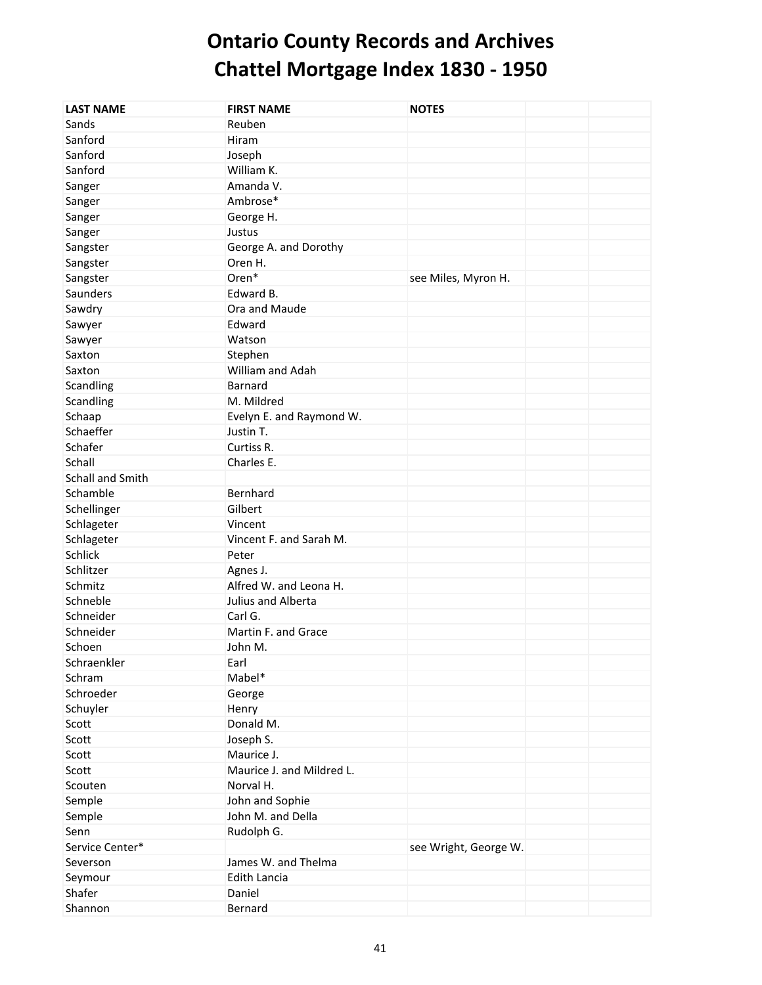| <b>LAST NAME</b> | <b>FIRST NAME</b>         | <b>NOTES</b>          |  |
|------------------|---------------------------|-----------------------|--|
| Sands            | Reuben                    |                       |  |
| Sanford          | Hiram                     |                       |  |
| Sanford          | Joseph                    |                       |  |
| Sanford          | William K.                |                       |  |
| Sanger           | Amanda V.                 |                       |  |
| Sanger           | Ambrose*                  |                       |  |
| Sanger           | George H.                 |                       |  |
| Sanger           | Justus                    |                       |  |
| Sangster         | George A. and Dorothy     |                       |  |
| Sangster         | Oren H.                   |                       |  |
| Sangster         | Oren*                     | see Miles, Myron H.   |  |
| Saunders         | Edward B.                 |                       |  |
| Sawdry           | Ora and Maude             |                       |  |
| Sawyer           | Edward                    |                       |  |
| Sawyer           | Watson                    |                       |  |
| Saxton           | Stephen                   |                       |  |
| Saxton           | William and Adah          |                       |  |
| Scandling        | Barnard                   |                       |  |
| Scandling        | M. Mildred                |                       |  |
| Schaap           | Evelyn E. and Raymond W.  |                       |  |
| Schaeffer        | Justin T.                 |                       |  |
| Schafer          | Curtiss R.                |                       |  |
| Schall           | Charles E.                |                       |  |
| Schall and Smith |                           |                       |  |
| Schamble         | Bernhard                  |                       |  |
| Schellinger      | Gilbert                   |                       |  |
| Schlageter       | Vincent                   |                       |  |
| Schlageter       | Vincent F. and Sarah M.   |                       |  |
| Schlick          | Peter                     |                       |  |
| Schlitzer        | Agnes J.                  |                       |  |
| Schmitz          | Alfred W. and Leona H.    |                       |  |
| Schneble         | Julius and Alberta        |                       |  |
| Schneider        | Carl G.                   |                       |  |
| Schneider        | Martin F. and Grace       |                       |  |
| Schoen           | John M.                   |                       |  |
| Schraenkler      | Earl                      |                       |  |
| Schram           | Mabel*                    |                       |  |
| Schroeder        | George                    |                       |  |
| Schuyler         | Henry                     |                       |  |
| Scott            | Donald M.                 |                       |  |
| Scott            | Joseph S.                 |                       |  |
| Scott            | Maurice J.                |                       |  |
| Scott            | Maurice J. and Mildred L. |                       |  |
| Scouten          | Norval H.                 |                       |  |
| Semple           | John and Sophie           |                       |  |
| Semple           | John M. and Della         |                       |  |
| Senn             | Rudolph G.                |                       |  |
| Service Center*  |                           | see Wright, George W. |  |
| Severson         | James W. and Thelma       |                       |  |
| Seymour          | <b>Edith Lancia</b>       |                       |  |
| Shafer           | Daniel                    |                       |  |
| Shannon          | Bernard                   |                       |  |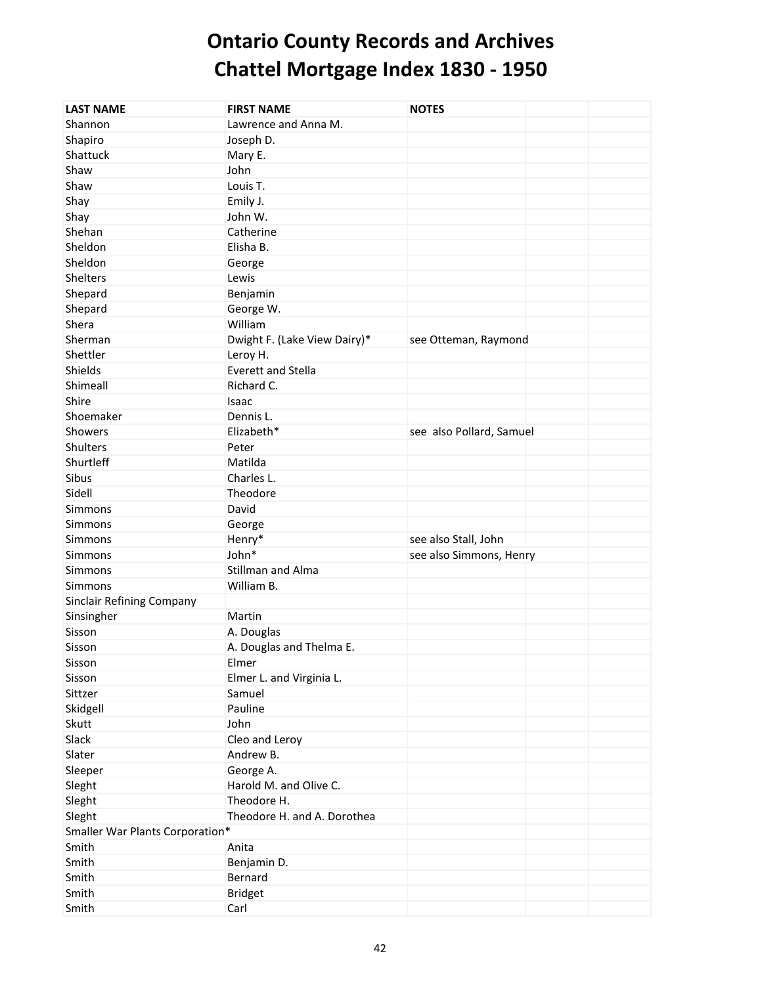| <b>LAST NAME</b>                | <b>FIRST NAME</b>            | <b>NOTES</b>             |
|---------------------------------|------------------------------|--------------------------|
| Shannon                         | Lawrence and Anna M.         |                          |
| Shapiro                         | Joseph D.                    |                          |
| Shattuck                        | Mary E.                      |                          |
| Shaw                            | John                         |                          |
| Shaw                            | Louis T.                     |                          |
| Shay                            | Emily J.                     |                          |
| Shay                            | John W.                      |                          |
| Shehan                          | Catherine                    |                          |
| Sheldon                         | Elisha B.                    |                          |
| Sheldon                         | George                       |                          |
| <b>Shelters</b>                 | Lewis                        |                          |
| Shepard                         | Benjamin                     |                          |
| Shepard                         | George W.                    |                          |
| Shera                           | William                      |                          |
| Sherman                         | Dwight F. (Lake View Dairy)* | see Otteman, Raymond     |
| Shettler                        | Leroy H.                     |                          |
| Shields                         | <b>Everett and Stella</b>    |                          |
| Shimeall                        | Richard C.                   |                          |
| Shire                           | Isaac                        |                          |
| Shoemaker                       | Dennis L.                    |                          |
| Showers                         | Elizabeth*                   | see also Pollard, Samuel |
| Shulters                        | Peter                        |                          |
| Shurtleff                       | Matilda                      |                          |
| Sibus                           | Charles L.                   |                          |
| Sidell                          | Theodore                     |                          |
| Simmons                         | David                        |                          |
| Simmons                         | George                       |                          |
| Simmons                         | Henry*                       | see also Stall, John     |
| Simmons                         | John*                        | see also Simmons, Henry  |
| Simmons                         | Stillman and Alma            |                          |
| Simmons                         | William B.                   |                          |
| Sinclair Refining Company       |                              |                          |
| Sinsingher                      | Martin                       |                          |
| Sisson                          | A. Douglas                   |                          |
| Sisson                          | A. Douglas and Thelma E.     |                          |
| Sisson                          | Elmer                        |                          |
| Sisson                          | Elmer L. and Virginia L.     |                          |
| Sittzer                         | Samuel                       |                          |
| Skidgell                        | Pauline                      |                          |
| Skutt                           | John                         |                          |
| Slack                           | Cleo and Leroy               |                          |
| Slater                          | Andrew B.                    |                          |
| Sleeper                         | George A.                    |                          |
| Sleght                          | Harold M. and Olive C.       |                          |
| Sleght                          | Theodore H.                  |                          |
| Sleght                          | Theodore H. and A. Dorothea  |                          |
| Smaller War Plants Corporation* |                              |                          |
| Smith                           | Anita                        |                          |
| Smith                           | Benjamin D.                  |                          |
| Smith                           | Bernard                      |                          |
| Smith                           | <b>Bridget</b>               |                          |
| Smith                           | Carl                         |                          |
|                                 |                              |                          |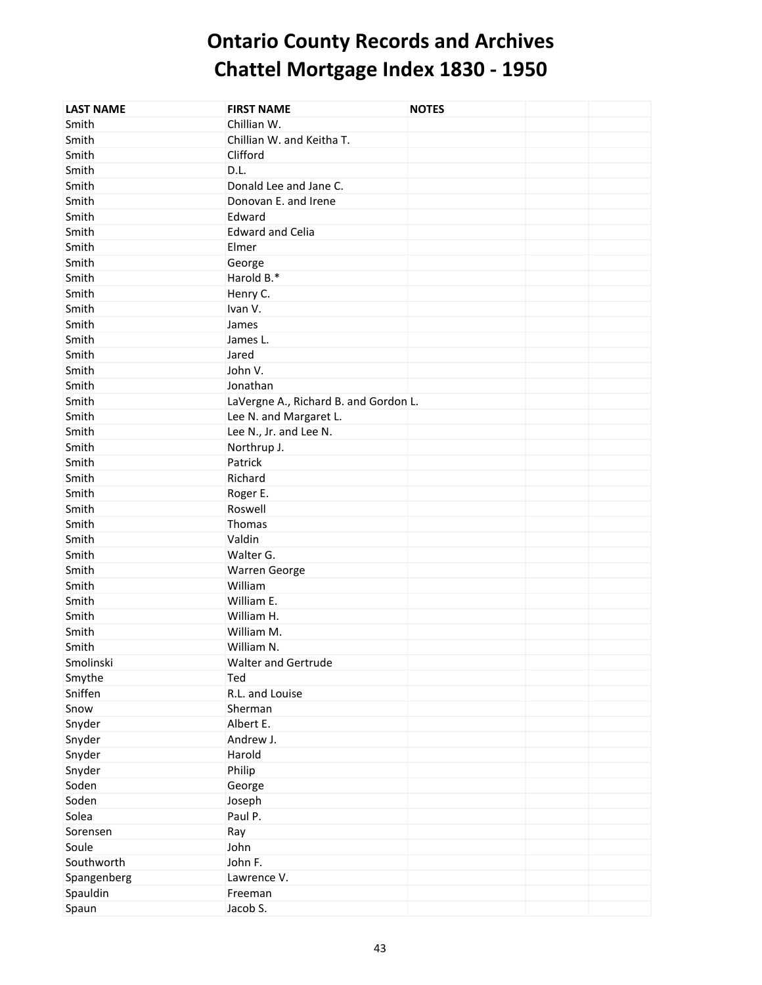| <b>LAST NAME</b>  | <b>FIRST NAME</b>                     | <b>NOTES</b> |  |
|-------------------|---------------------------------------|--------------|--|
| Smith             | Chillian W.                           |              |  |
| Smith             | Chillian W. and Keitha T.             |              |  |
| Smith             | Clifford                              |              |  |
| Smith             | D.L.                                  |              |  |
| Smith             | Donald Lee and Jane C.                |              |  |
| Smith             | Donovan E. and Irene                  |              |  |
| Smith             | Edward                                |              |  |
| Smith             | <b>Edward and Celia</b>               |              |  |
| Smith             | Elmer                                 |              |  |
| Smith             | George                                |              |  |
| Smith             | Harold B.*                            |              |  |
| Smith             | Henry C.                              |              |  |
| Smith             | Ivan V.                               |              |  |
| Smith             | James                                 |              |  |
| Smith             | James L.                              |              |  |
| Smith             | Jared                                 |              |  |
| Smith             | John V.                               |              |  |
| Smith             | Jonathan                              |              |  |
| Smith             | LaVergne A., Richard B. and Gordon L. |              |  |
| Smith             | Lee N. and Margaret L.                |              |  |
| Smith             | Lee N., Jr. and Lee N.                |              |  |
| Smith             | Northrup J.                           |              |  |
| Smith             | Patrick                               |              |  |
| Smith             | Richard                               |              |  |
| Smith             |                                       |              |  |
| Smith             | Roger E.<br>Roswell                   |              |  |
| Smith             | Thomas                                |              |  |
| Smith             | Valdin                                |              |  |
| Smith             | Walter G.                             |              |  |
| Smith             |                                       |              |  |
| Smith             | <b>Warren George</b><br>William       |              |  |
| Smith             | William E.                            |              |  |
| Smith             | William H.                            |              |  |
| Smith             | William M.                            |              |  |
| Smith             | William N.                            |              |  |
| Smolinski         | Walter and Gertrude                   |              |  |
|                   | Ted                                   |              |  |
| Smythe<br>Sniffen | R.L. and Louise                       |              |  |
| Snow              | Sherman                               |              |  |
|                   | Albert E.                             |              |  |
| Snyder            | Andrew J.                             |              |  |
| Snyder            | Harold                                |              |  |
| Snyder            | Philip                                |              |  |
| Snyder<br>Soden   |                                       |              |  |
| Soden             | George                                |              |  |
| Solea             | Joseph<br>Paul P.                     |              |  |
| Sorensen          |                                       |              |  |
| Soule             | Ray<br>John                           |              |  |
|                   | John F.                               |              |  |
| Southworth        |                                       |              |  |
| Spangenberg       | Lawrence V.                           |              |  |
| Spauldin          | Freeman                               |              |  |
| Spaun             | Jacob S.                              |              |  |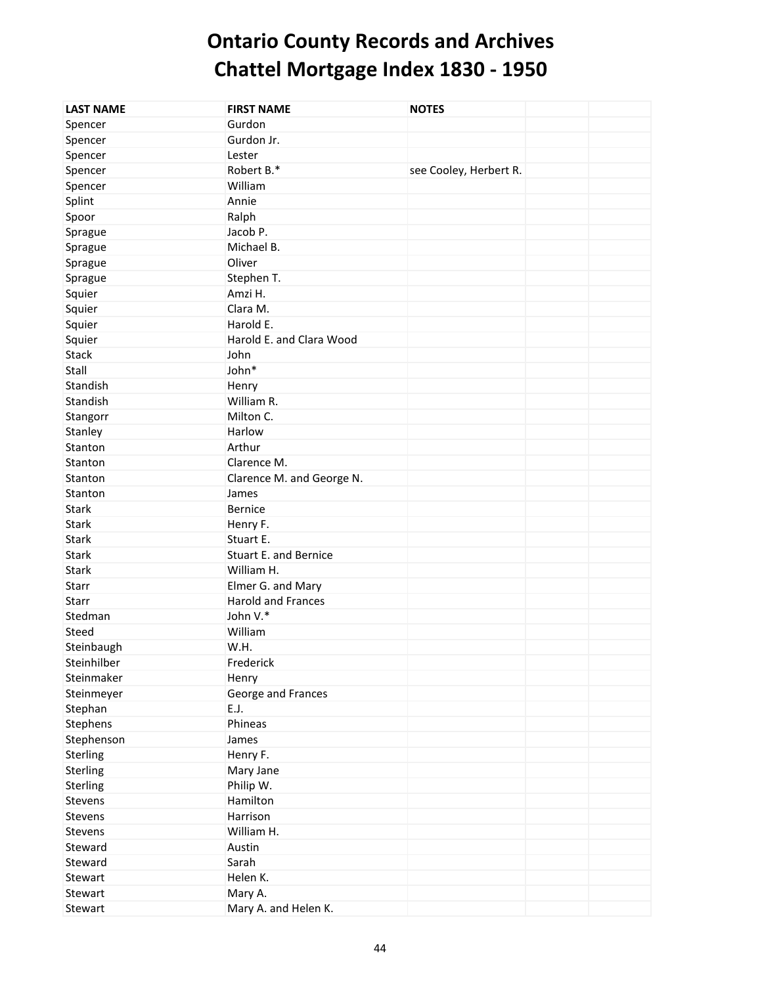| <b>LAST NAME</b> | <b>FIRST NAME</b>            | <b>NOTES</b>           |  |
|------------------|------------------------------|------------------------|--|
| Spencer          | Gurdon                       |                        |  |
| Spencer          | Gurdon Jr.                   |                        |  |
| Spencer          | Lester                       |                        |  |
| Spencer          | Robert B.*                   | see Cooley, Herbert R. |  |
| Spencer          | William                      |                        |  |
| Splint           | Annie                        |                        |  |
| Spoor            | Ralph                        |                        |  |
| Sprague          | Jacob P.                     |                        |  |
| Sprague          | Michael B.                   |                        |  |
| Sprague          | Oliver                       |                        |  |
| Sprague          | Stephen T.                   |                        |  |
| Squier           | Amzi H.                      |                        |  |
| Squier           | Clara M.                     |                        |  |
| Squier           | Harold E.                    |                        |  |
| Squier           | Harold E. and Clara Wood     |                        |  |
| <b>Stack</b>     | John                         |                        |  |
| Stall            | John*                        |                        |  |
| Standish         | Henry                        |                        |  |
| Standish         | William R.                   |                        |  |
| Stangorr         | Milton C.                    |                        |  |
| Stanley          | Harlow                       |                        |  |
| Stanton          | Arthur                       |                        |  |
| Stanton          | Clarence M.                  |                        |  |
| Stanton          | Clarence M. and George N.    |                        |  |
| Stanton          | James                        |                        |  |
| <b>Stark</b>     | Bernice                      |                        |  |
| <b>Stark</b>     | Henry F.                     |                        |  |
| <b>Stark</b>     | Stuart E.                    |                        |  |
| <b>Stark</b>     | <b>Stuart E. and Bernice</b> |                        |  |
| <b>Stark</b>     | William H.                   |                        |  |
| Starr            | Elmer G. and Mary            |                        |  |
| Starr            | <b>Harold and Frances</b>    |                        |  |
| Stedman          | John V.*                     |                        |  |
| Steed            | William                      |                        |  |
| Steinbaugh       | W.H.                         |                        |  |
| Steinhilber      | Frederick                    |                        |  |
| Steinmaker       | Henry                        |                        |  |
| Steinmeyer       | George and Frances           |                        |  |
| Stephan          | E.J.                         |                        |  |
| Stephens         | Phineas                      |                        |  |
| Stephenson       | James                        |                        |  |
| Sterling         | Henry F.                     |                        |  |
| Sterling         | Mary Jane                    |                        |  |
| Sterling         | Philip W.                    |                        |  |
| Stevens          | Hamilton                     |                        |  |
| Stevens          | Harrison                     |                        |  |
| Stevens          | William H.                   |                        |  |
| Steward          | Austin                       |                        |  |
| Steward          | Sarah                        |                        |  |
| Stewart          | Helen K.                     |                        |  |
| Stewart          | Mary A.                      |                        |  |
| Stewart          | Mary A. and Helen K.         |                        |  |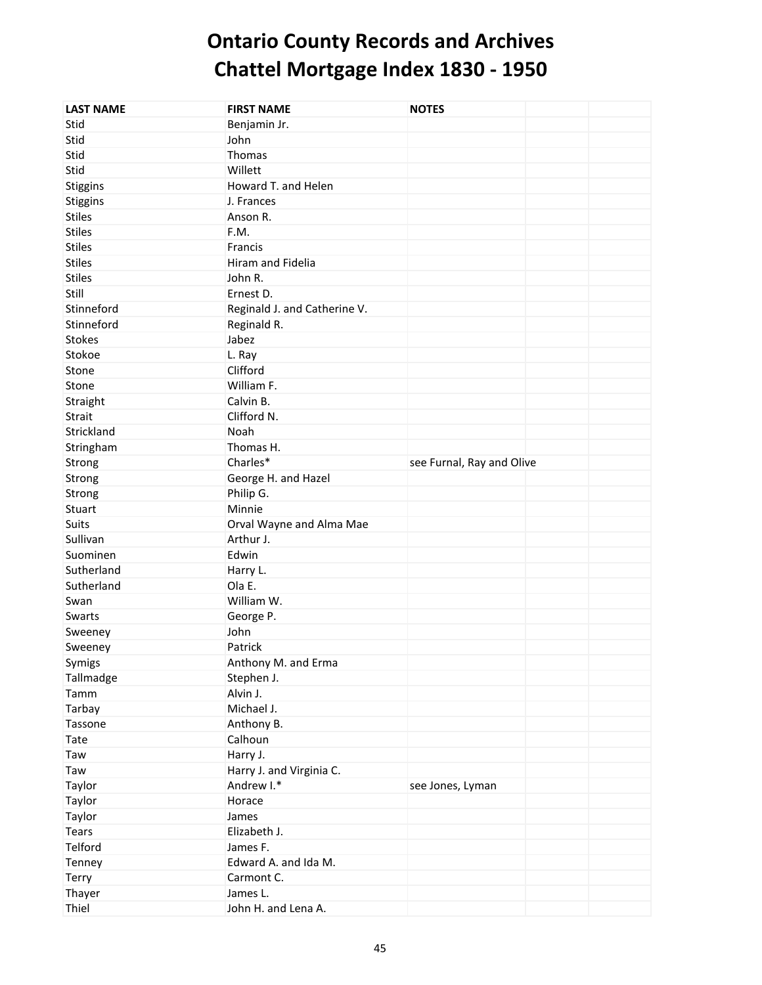| <b>LAST NAME</b>   | <b>FIRST NAME</b>            | <b>NOTES</b>              |
|--------------------|------------------------------|---------------------------|
| Stid               | Benjamin Jr.                 |                           |
| Stid               | John                         |                           |
| Stid               | Thomas                       |                           |
| Stid               | Willett                      |                           |
| Stiggins           | Howard T. and Helen          |                           |
| Stiggins           | J. Frances                   |                           |
| <b>Stiles</b>      | Anson R.                     |                           |
| <b>Stiles</b>      | F.M.                         |                           |
| <b>Stiles</b>      | Francis                      |                           |
| <b>Stiles</b>      | Hiram and Fidelia            |                           |
| <b>Stiles</b>      | John R.                      |                           |
| Still              | Ernest D.                    |                           |
| Stinneford         | Reginald J. and Catherine V. |                           |
| Stinneford         | Reginald R.                  |                           |
| <b>Stokes</b>      | Jabez                        |                           |
| Stokoe             | L. Ray                       |                           |
| Stone              | Clifford                     |                           |
| Stone              | William F.                   |                           |
|                    | Calvin B.                    |                           |
| Straight<br>Strait | Clifford N.                  |                           |
| Strickland         | Noah                         |                           |
|                    | Thomas H.                    |                           |
| Stringham          | Charles*                     |                           |
| Strong             |                              | see Furnal, Ray and Olive |
| Strong             | George H. and Hazel          |                           |
| Strong             | Philip G.                    |                           |
| Stuart             | Minnie                       |                           |
| Suits              | Orval Wayne and Alma Mae     |                           |
| Sullivan           | Arthur J.                    |                           |
| Suominen           | Edwin                        |                           |
| Sutherland         | Harry L.                     |                           |
| Sutherland         | Ola E.                       |                           |
| Swan               | William W.                   |                           |
| Swarts             | George P.                    |                           |
| Sweeney            | John                         |                           |
| Sweeney            | Patrick                      |                           |
| Symigs             | Anthony M. and Erma          |                           |
| Tallmadge          | Stephen J.                   |                           |
| Tamm               | Alvin J.                     |                           |
| Tarbay             | Michael J.                   |                           |
| Tassone            | Anthony B.                   |                           |
| Tate               | Calhoun                      |                           |
| Taw                | Harry J.                     |                           |
| Taw                | Harry J. and Virginia C.     |                           |
| Taylor             | Andrew I.*                   | see Jones, Lyman          |
| Taylor             | Horace                       |                           |
| Taylor             | James                        |                           |
| <b>Tears</b>       | Elizabeth J.                 |                           |
| Telford            | James F.                     |                           |
| Tenney             | Edward A. and Ida M.         |                           |
| Terry              | Carmont C.                   |                           |
| Thayer             | James L.                     |                           |
| Thiel              | John H. and Lena A.          |                           |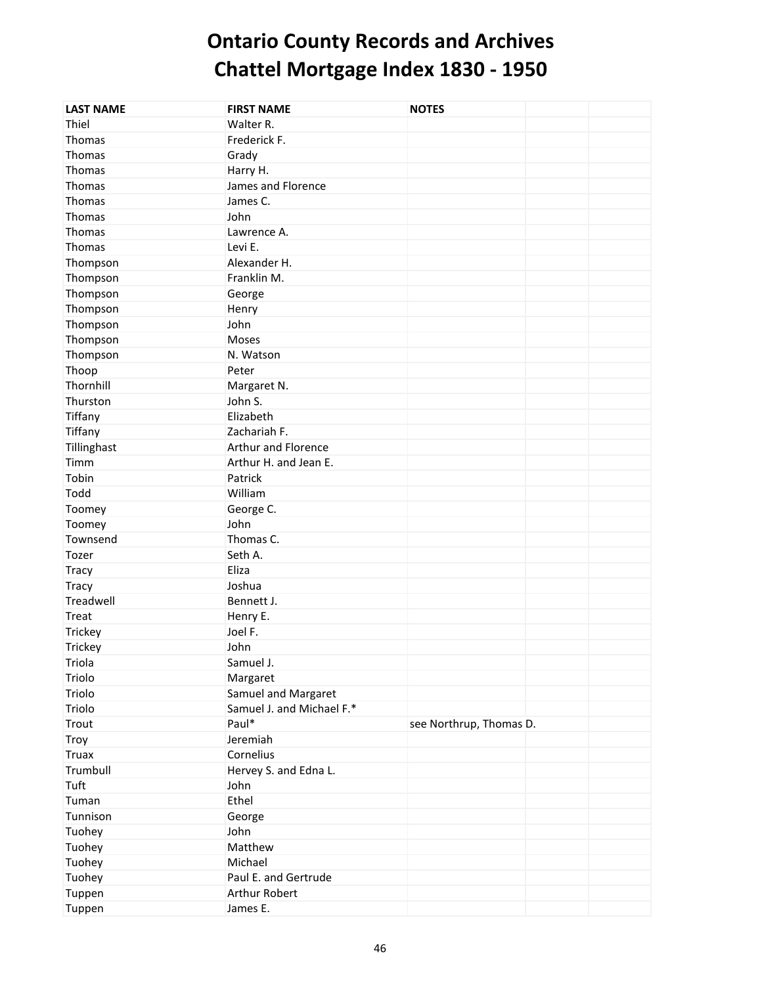| <b>LAST NAME</b>     | <b>FIRST NAME</b>         | <b>NOTES</b>            |  |
|----------------------|---------------------------|-------------------------|--|
| Thiel                | Walter R.                 |                         |  |
| Thomas               | Frederick F.              |                         |  |
| Thomas               | Grady                     |                         |  |
| Thomas               | Harry H.                  |                         |  |
| Thomas               | James and Florence        |                         |  |
| Thomas               | James C.                  |                         |  |
| Thomas               | John                      |                         |  |
| Thomas               | Lawrence A.               |                         |  |
| Thomas               | Levi E.                   |                         |  |
| Thompson             | Alexander H.              |                         |  |
| Thompson             | Franklin M.               |                         |  |
| Thompson             | George                    |                         |  |
| Thompson             | Henry                     |                         |  |
| Thompson             | John                      |                         |  |
| Thompson             | Moses                     |                         |  |
| Thompson             | N. Watson                 |                         |  |
| Thoop                | Peter                     |                         |  |
| Thornhill            | Margaret N.               |                         |  |
| Thurston             | John S.                   |                         |  |
| Tiffany              | Elizabeth                 |                         |  |
| Tiffany              | Zachariah F.              |                         |  |
| Tillinghast          | Arthur and Florence       |                         |  |
| Timm                 | Arthur H. and Jean E.     |                         |  |
| Tobin                | Patrick                   |                         |  |
| Todd                 | William                   |                         |  |
| Toomey               | George C.                 |                         |  |
| Toomey               | John                      |                         |  |
| Townsend             | Thomas C.                 |                         |  |
| Tozer                | Seth A.                   |                         |  |
| Tracy                | Eliza                     |                         |  |
| Tracy                | Joshua                    |                         |  |
| Treadwell            | Bennett J.                |                         |  |
| Treat                | Henry E.                  |                         |  |
| Trickey              | Joel F.                   |                         |  |
| Trickey              | John                      |                         |  |
| Triola               | Samuel J.                 |                         |  |
| Triolo               | Margaret                  |                         |  |
| Triolo               | Samuel and Margaret       |                         |  |
| Triolo               | Samuel J. and Michael F.* |                         |  |
| Trout                | Paul*                     | see Northrup, Thomas D. |  |
|                      | Jeremiah                  |                         |  |
| Troy<br><b>Truax</b> | Cornelius                 |                         |  |
| Trumbull             | Hervey S. and Edna L.     |                         |  |
|                      |                           |                         |  |
| Tuft                 | John                      |                         |  |
| Tuman                | Ethel                     |                         |  |
| Tunnison             | George                    |                         |  |
| Tuohey               | John                      |                         |  |
| Tuohey               | Matthew                   |                         |  |
| Tuohey               | Michael                   |                         |  |
| Tuohey               | Paul E. and Gertrude      |                         |  |
| Tuppen               | Arthur Robert             |                         |  |
| Tuppen               | James E.                  |                         |  |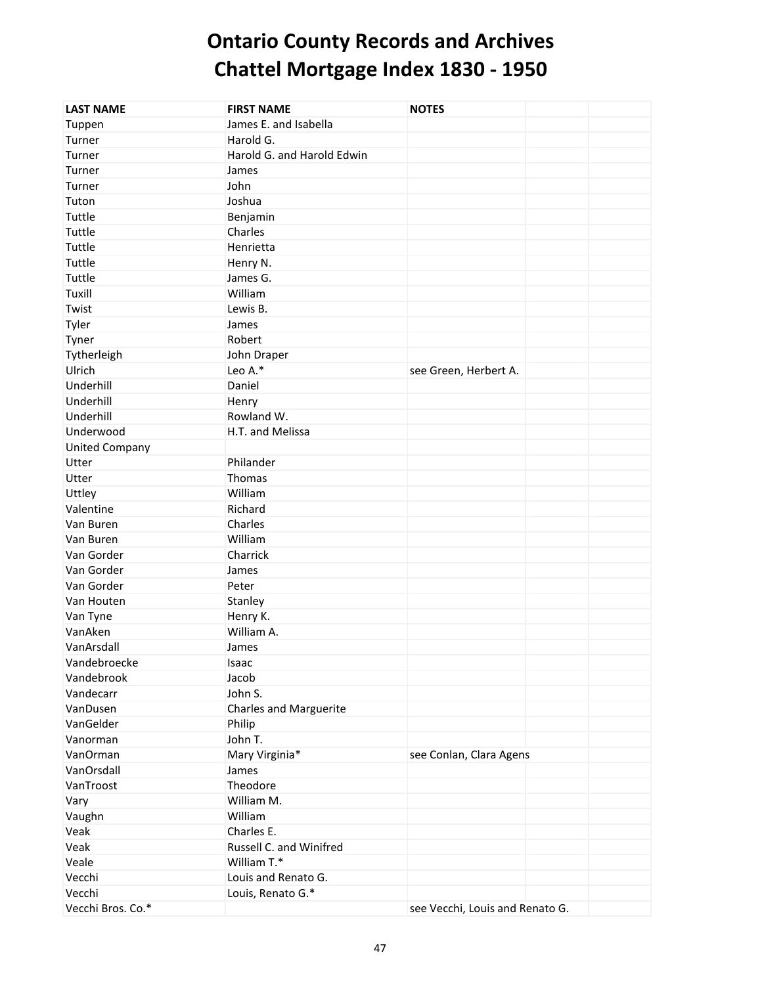| <b>LAST NAME</b>         | <b>FIRST NAME</b>             | <b>NOTES</b>                    |
|--------------------------|-------------------------------|---------------------------------|
| Tuppen                   | James E. and Isabella         |                                 |
| Turner                   | Harold G.                     |                                 |
| Turner                   | Harold G. and Harold Edwin    |                                 |
| Turner                   | James                         |                                 |
| Turner                   | John                          |                                 |
| Tuton                    | Joshua                        |                                 |
| Tuttle                   | Benjamin                      |                                 |
| Tuttle                   | Charles                       |                                 |
| Tuttle                   | Henrietta                     |                                 |
| Tuttle                   | Henry N.                      |                                 |
| Tuttle                   | James G.                      |                                 |
| Tuxill                   | William                       |                                 |
| Twist                    | Lewis B.                      |                                 |
| Tyler                    | James                         |                                 |
| Tyner                    | Robert                        |                                 |
| Tytherleigh              | John Draper                   |                                 |
| Ulrich                   | Leo A.*                       | see Green, Herbert A.           |
| Underhill                | Daniel                        |                                 |
| Underhill                | Henry                         |                                 |
| Underhill                | Rowland W.                    |                                 |
| Underwood                | H.T. and Melissa              |                                 |
| United Company           |                               |                                 |
| Utter                    | Philander                     |                                 |
| Utter                    | Thomas                        |                                 |
| Uttley                   | William                       |                                 |
| Valentine                | Richard                       |                                 |
| Van Buren                | Charles                       |                                 |
| Van Buren                | William                       |                                 |
| Van Gorder               | Charrick                      |                                 |
| Van Gorder               |                               |                                 |
|                          | James                         |                                 |
| Van Gorder<br>Van Houten | Peter                         |                                 |
|                          | Stanley                       |                                 |
| Van Tyne                 | Henry K.                      |                                 |
| VanAken                  | William A.                    |                                 |
| VanArsdall               | James                         |                                 |
| Vandebroecke             | Isaac                         |                                 |
| Vandebrook               | Jacob                         |                                 |
| Vandecarr                | John S.                       |                                 |
| VanDusen                 | <b>Charles and Marguerite</b> |                                 |
| VanGelder                | Philip                        |                                 |
| Vanorman                 | John T.                       |                                 |
| VanOrman                 | Mary Virginia*                | see Conlan, Clara Agens         |
| VanOrsdall               | James                         |                                 |
| VanTroost                | Theodore                      |                                 |
| Vary                     | William M.                    |                                 |
| Vaughn                   | William                       |                                 |
| Veak                     | Charles E.                    |                                 |
| Veak                     | Russell C. and Winifred       |                                 |
| Veale                    | William T.*                   |                                 |
| Vecchi                   | Louis and Renato G.           |                                 |
| Vecchi                   | Louis, Renato G.*             |                                 |
| Vecchi Bros. Co.*        |                               | see Vecchi, Louis and Renato G. |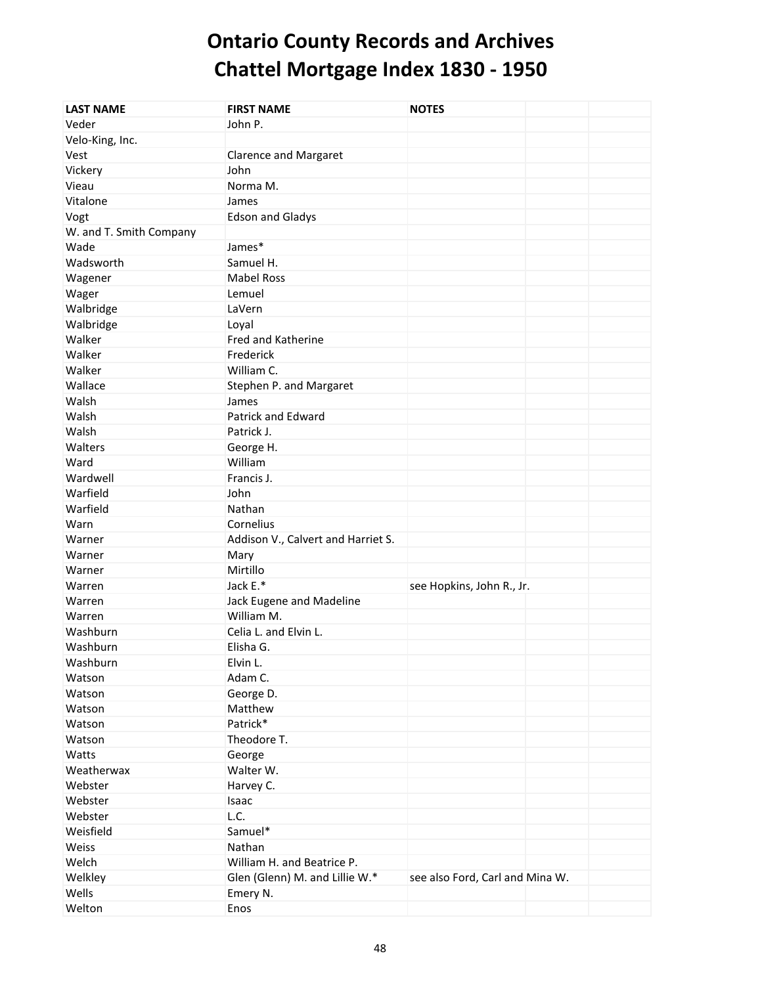| <b>LAST NAME</b>        | <b>FIRST NAME</b>                  | <b>NOTES</b>                    |
|-------------------------|------------------------------------|---------------------------------|
| Veder                   | John P.                            |                                 |
| Velo-King, Inc.         |                                    |                                 |
| Vest                    | <b>Clarence and Margaret</b>       |                                 |
| Vickery                 | John                               |                                 |
| Vieau                   | Norma M.                           |                                 |
| Vitalone                | James                              |                                 |
| Vogt                    | <b>Edson and Gladys</b>            |                                 |
| W. and T. Smith Company |                                    |                                 |
| Wade                    | James*                             |                                 |
| Wadsworth               | Samuel H.                          |                                 |
| Wagener                 | <b>Mabel Ross</b>                  |                                 |
| Wager                   | Lemuel                             |                                 |
| Walbridge               | LaVern                             |                                 |
| Walbridge               | Loyal                              |                                 |
| Walker                  | Fred and Katherine                 |                                 |
| Walker                  | Frederick                          |                                 |
| Walker                  | William C.                         |                                 |
| Wallace                 | Stephen P. and Margaret            |                                 |
| Walsh                   | James                              |                                 |
| Walsh                   | Patrick and Edward                 |                                 |
| Walsh                   | Patrick J.                         |                                 |
| Walters                 | George H.                          |                                 |
| Ward                    | William                            |                                 |
| Wardwell                | Francis J.                         |                                 |
| Warfield                | John                               |                                 |
| Warfield                | Nathan                             |                                 |
| Warn                    | Cornelius                          |                                 |
| Warner                  |                                    |                                 |
| Warner                  | Addison V., Calvert and Harriet S. |                                 |
| Warner                  | Mary<br>Mirtillo                   |                                 |
| Warren                  | Jack E.*                           | see Hopkins, John R., Jr.       |
| Warren                  | Jack Eugene and Madeline           |                                 |
| Warren                  | William M.                         |                                 |
| Washburn                | Celia L. and Elvin L.              |                                 |
|                         |                                    |                                 |
| Washburn                | Elisha G.<br>Elvin L.              |                                 |
| Washburn                |                                    |                                 |
| Watson                  | Adam C.                            |                                 |
| Watson                  | George D.                          |                                 |
| Watson                  | Matthew                            |                                 |
| Watson                  | Patrick*                           |                                 |
| Watson                  | Theodore T.                        |                                 |
| Watts                   | George                             |                                 |
| Weatherwax              | Walter W.                          |                                 |
| Webster                 | Harvey C.                          |                                 |
| Webster                 | Isaac                              |                                 |
| Webster                 | L.C.                               |                                 |
| Weisfield               | Samuel*                            |                                 |
| Weiss                   | Nathan                             |                                 |
| Welch                   | William H. and Beatrice P.         |                                 |
| Welkley                 | Glen (Glenn) M. and Lillie W.*     | see also Ford, Carl and Mina W. |
| Wells                   | Emery N.                           |                                 |
| Welton                  | Enos                               |                                 |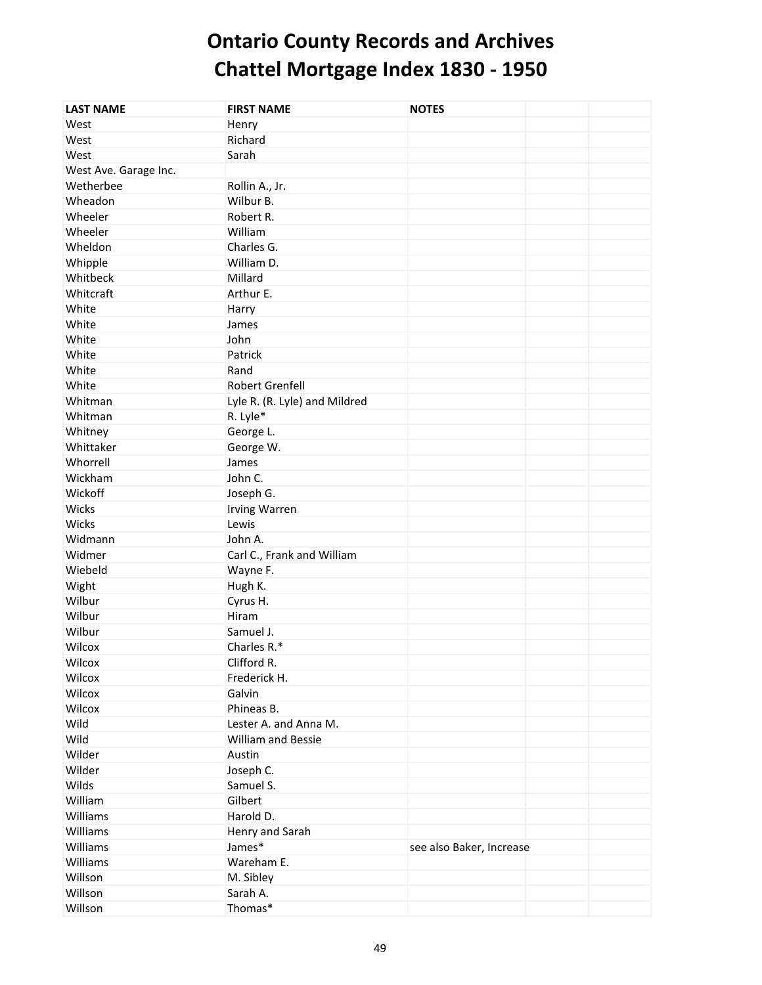| <b>LAST NAME</b>      | <b>FIRST NAME</b>             | <b>NOTES</b>             |  |
|-----------------------|-------------------------------|--------------------------|--|
| West                  | Henry                         |                          |  |
| West                  | Richard                       |                          |  |
| West                  | Sarah                         |                          |  |
| West Ave. Garage Inc. |                               |                          |  |
| Wetherbee             | Rollin A., Jr.                |                          |  |
| Wheadon               | Wilbur B.                     |                          |  |
| Wheeler               | Robert R.                     |                          |  |
| Wheeler               | William                       |                          |  |
| Wheldon               | Charles G.                    |                          |  |
| Whipple               | William D.                    |                          |  |
| Whitbeck              | Millard                       |                          |  |
| Whitcraft             | Arthur E.                     |                          |  |
| White                 | Harry                         |                          |  |
| White                 | James                         |                          |  |
| White                 | John                          |                          |  |
| White                 | Patrick                       |                          |  |
| White                 | Rand                          |                          |  |
| White                 | <b>Robert Grenfell</b>        |                          |  |
| Whitman               | Lyle R. (R. Lyle) and Mildred |                          |  |
| Whitman               | R. Lyle*                      |                          |  |
| Whitney               | George L.                     |                          |  |
| Whittaker             | George W.                     |                          |  |
| Whorrell              | James                         |                          |  |
| Wickham               | John C.                       |                          |  |
|                       |                               |                          |  |
| Wickoff               | Joseph G.                     |                          |  |
| Wicks<br>Wicks        | Irving Warren<br>Lewis        |                          |  |
| Widmann               | John A.                       |                          |  |
|                       |                               |                          |  |
| Widmer                | Carl C., Frank and William    |                          |  |
| Wiebeld               | Wayne F.                      |                          |  |
| Wight                 | Hugh K.                       |                          |  |
| Wilbur<br>Wilbur      | Cyrus H.                      |                          |  |
|                       | Hiram                         |                          |  |
| Wilbur                | Samuel J.                     |                          |  |
| Wilcox                | Charles R.*                   |                          |  |
| Wilcox                | Clifford R.                   |                          |  |
| Wilcox                | Frederick H.                  |                          |  |
| Wilcox                | Galvin                        |                          |  |
| Wilcox                | Phineas B.                    |                          |  |
| Wild                  | Lester A. and Anna M.         |                          |  |
| Wild                  | William and Bessie            |                          |  |
| Wilder                | Austin                        |                          |  |
| Wilder                | Joseph C.                     |                          |  |
| Wilds                 | Samuel S.                     |                          |  |
| William               | Gilbert                       |                          |  |
| Williams              | Harold D.                     |                          |  |
| Williams              | Henry and Sarah               |                          |  |
| Williams              | James*                        | see also Baker, Increase |  |
| Williams              | Wareham E.                    |                          |  |
| Willson               | M. Sibley                     |                          |  |
| Willson               | Sarah A.                      |                          |  |
| Willson               | Thomas*                       |                          |  |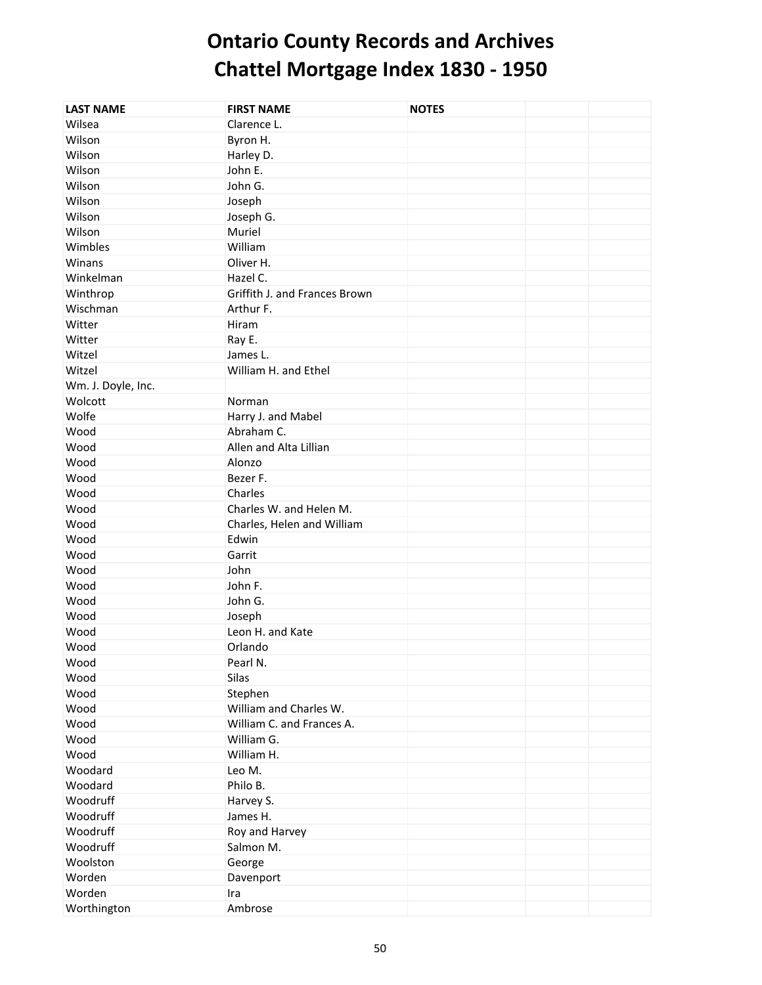| <b>LAST NAME</b>                                            | <b>FIRST NAME</b>                                                                                                  | <b>NOTES</b> |  |
|-------------------------------------------------------------|--------------------------------------------------------------------------------------------------------------------|--------------|--|
| Wilsea                                                      | Clarence L.                                                                                                        |              |  |
| Wilson                                                      | Byron H.                                                                                                           |              |  |
| Wilson                                                      | Harley D.                                                                                                          |              |  |
| Wilson                                                      | John E.                                                                                                            |              |  |
| Wilson                                                      | John G.                                                                                                            |              |  |
| Wilson                                                      | Joseph                                                                                                             |              |  |
| Wilson                                                      | Joseph G.                                                                                                          |              |  |
| Wilson                                                      | Muriel                                                                                                             |              |  |
| Wimbles                                                     | William                                                                                                            |              |  |
| Winans                                                      | Oliver H.                                                                                                          |              |  |
| Winkelman                                                   | Hazel C.                                                                                                           |              |  |
| Winthrop                                                    | Griffith J. and Frances Brown                                                                                      |              |  |
| Wischman                                                    | Arthur F.                                                                                                          |              |  |
| Witter                                                      | Hiram                                                                                                              |              |  |
| Witter                                                      | Ray E.                                                                                                             |              |  |
| Witzel                                                      | James L.                                                                                                           |              |  |
|                                                             | William H. and Ethel                                                                                               |              |  |
| Witzel                                                      |                                                                                                                    |              |  |
| Wm. J. Doyle, Inc.                                          |                                                                                                                    |              |  |
| Wolcott                                                     | Norman                                                                                                             |              |  |
| Wolfe                                                       | Harry J. and Mabel                                                                                                 |              |  |
| Wood                                                        | Abraham C.                                                                                                         |              |  |
| Wood                                                        | Allen and Alta Lillian                                                                                             |              |  |
| Wood                                                        | Alonzo                                                                                                             |              |  |
| Wood                                                        | Bezer F.                                                                                                           |              |  |
| Wood                                                        | Charles                                                                                                            |              |  |
| Wood                                                        | Charles W. and Helen M.                                                                                            |              |  |
| Wood                                                        | Charles, Helen and William                                                                                         |              |  |
| Wood                                                        | Edwin                                                                                                              |              |  |
| Wood                                                        | Garrit                                                                                                             |              |  |
| Wood                                                        |                                                                                                                    |              |  |
| Wood                                                        |                                                                                                                    |              |  |
|                                                             |                                                                                                                    |              |  |
| Wood                                                        | Joseph                                                                                                             |              |  |
| Wood                                                        |                                                                                                                    |              |  |
| Wood                                                        | Orlando                                                                                                            |              |  |
|                                                             | Pearl N.                                                                                                           |              |  |
| Wood                                                        |                                                                                                                    |              |  |
| Wood                                                        | Stephen                                                                                                            |              |  |
| Wood                                                        | William and Charles W.                                                                                             |              |  |
| Wood                                                        | William C. and Frances A.                                                                                          |              |  |
| Wood                                                        | William G.                                                                                                         |              |  |
| Wood                                                        | William H.                                                                                                         |              |  |
| Woodard                                                     | Leo M.                                                                                                             |              |  |
| Woodard                                                     | Philo B.                                                                                                           |              |  |
| Woodruff                                                    | Harvey S.                                                                                                          |              |  |
| Woodruff                                                    | James H.                                                                                                           |              |  |
| Woodruff                                                    |                                                                                                                    |              |  |
| Woodruff                                                    | Salmon M.                                                                                                          |              |  |
|                                                             |                                                                                                                    |              |  |
|                                                             |                                                                                                                    |              |  |
|                                                             |                                                                                                                    |              |  |
|                                                             |                                                                                                                    |              |  |
| Wood<br>Wood<br>Woolston<br>Worden<br>Worden<br>Worthington | John<br>John F.<br>John G.<br>Leon H. and Kate<br>Silas<br>Roy and Harvey<br>George<br>Davenport<br>Ira<br>Ambrose |              |  |